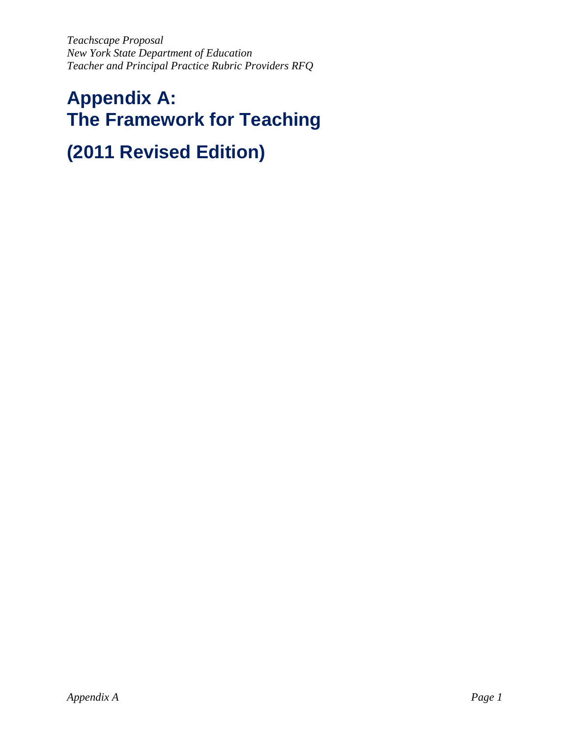*Teachscape Proposal New York State Department of Education Teacher and Principal Practice Rubric Providers RFQ* 

# **Appendix A: The Framework for Teaching**

**(2011 Revised Edition)**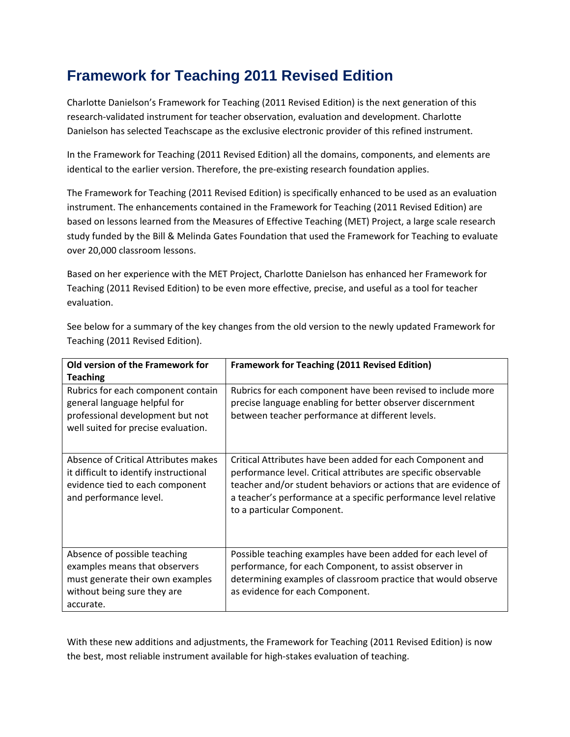## **Framework for Teaching 2011 Revised Edition**

Charlotte Danielson's Framework for Teaching (2011 Revised Edition) is the next generation of this research‐validated instrument for teacher observation, evaluation and development. Charlotte Danielson has selected Teachscape as the exclusive electronic provider of this refined instrument.

In the Framework for Teaching (2011 Revised Edition) all the domains, components, and elements are identical to the earlier version. Therefore, the pre‐existing research foundation applies.

The Framework for Teaching (2011 Revised Edition) is specifically enhanced to be used as an evaluation instrument. The enhancements contained in the Framework for Teaching (2011 Revised Edition) are based on lessons learned from the Measures of Effective Teaching (MET) Project, a large scale research study funded by the Bill & Melinda Gates Foundation that used the Framework for Teaching to evaluate over 20,000 classroom lessons.

Based on her experience with the MET Project, Charlotte Danielson has enhanced her Framework for Teaching (2011 Revised Edition) to be even more effective, precise, and useful as a tool for teacher evaluation.

See below for a summary of the key changes from the old version to the newly updated Framework for Teaching (2011 Revised Edition).

| Old version of the Framework for                                                                                                              | <b>Framework for Teaching (2011 Revised Edition)</b>                                                                                                                                                                                                                                               |
|-----------------------------------------------------------------------------------------------------------------------------------------------|----------------------------------------------------------------------------------------------------------------------------------------------------------------------------------------------------------------------------------------------------------------------------------------------------|
| <b>Teaching</b>                                                                                                                               |                                                                                                                                                                                                                                                                                                    |
| Rubrics for each component contain<br>general language helpful for<br>professional development but not<br>well suited for precise evaluation. | Rubrics for each component have been revised to include more<br>precise language enabling for better observer discernment<br>between teacher performance at different levels.                                                                                                                      |
| Absence of Critical Attributes makes<br>it difficult to identify instructional<br>evidence tied to each component<br>and performance level.   | Critical Attributes have been added for each Component and<br>performance level. Critical attributes are specific observable<br>teacher and/or student behaviors or actions that are evidence of<br>a teacher's performance at a specific performance level relative<br>to a particular Component. |
| Absence of possible teaching<br>examples means that observers<br>must generate their own examples<br>without being sure they are<br>accurate. | Possible teaching examples have been added for each level of<br>performance, for each Component, to assist observer in<br>determining examples of classroom practice that would observe<br>as evidence for each Component.                                                                         |

With these new additions and adjustments, the Framework for Teaching (2011 Revised Edition) is now the best, most reliable instrument available for high‐stakes evaluation of teaching.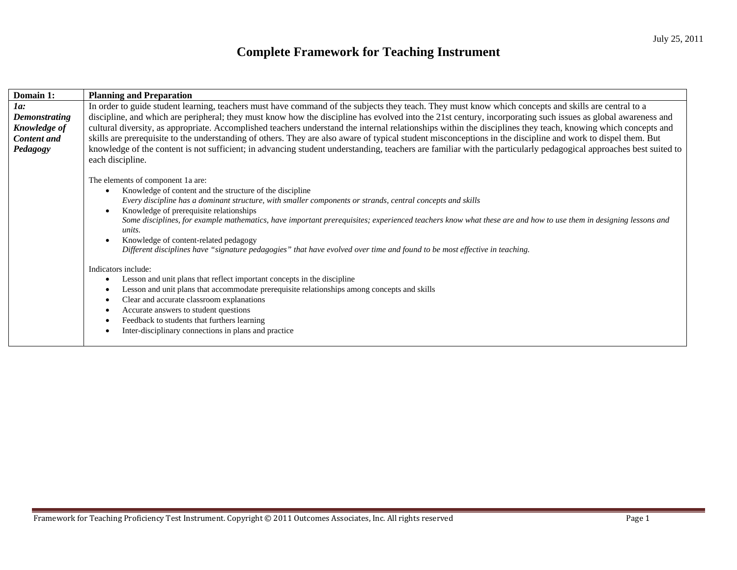### **Complete Framework for Teaching Instrument**

| Domain 1:            | <b>Planning and Preparation</b>                                                                                                                                   |
|----------------------|-------------------------------------------------------------------------------------------------------------------------------------------------------------------|
| $1a$ :               | In order to guide student learning, teachers must have command of the subjects they teach. They must know which concepts and skills are central to a              |
| <b>Demonstrating</b> | discipline, and which are peripheral; they must know how the discipline has evolved into the 21st century, incorporating such issues as global awareness and      |
| Knowledge of         | cultural diversity, as appropriate. Accomplished teachers understand the internal relationships within the disciplines they teach, knowing which concepts and     |
| <b>Content and</b>   | skills are prerequisite to the understanding of others. They are also aware of typical student misconceptions in the discipline and work to dispel them. But      |
| Pedagogy             | knowledge of the content is not sufficient; in advancing student understanding, teachers are familiar with the particularly pedagogical approaches best suited to |
|                      | each discipline.                                                                                                                                                  |
|                      |                                                                                                                                                                   |
|                      | The elements of component 1a are:                                                                                                                                 |
|                      | Knowledge of content and the structure of the discipline                                                                                                          |
|                      | Every discipline has a dominant structure, with smaller components or strands, central concepts and skills                                                        |
|                      | Knowledge of prerequisite relationships                                                                                                                           |
|                      | Some disciplines, for example mathematics, have important prerequisites; experienced teachers know what these are and how to use them in designing lessons and    |
|                      | units.                                                                                                                                                            |
|                      | Knowledge of content-related pedagogy                                                                                                                             |
|                      | Different disciplines have "signature pedagogies" that have evolved over time and found to be most effective in teaching.                                         |
|                      | Indicators include:                                                                                                                                               |
|                      | Lesson and unit plans that reflect important concepts in the discipline                                                                                           |
|                      | Lesson and unit plans that accommodate prerequisite relationships among concepts and skills                                                                       |
|                      | Clear and accurate classroom explanations                                                                                                                         |
|                      | Accurate answers to student questions                                                                                                                             |
|                      | Feedback to students that furthers learning                                                                                                                       |
|                      | Inter-disciplinary connections in plans and practice                                                                                                              |
|                      |                                                                                                                                                                   |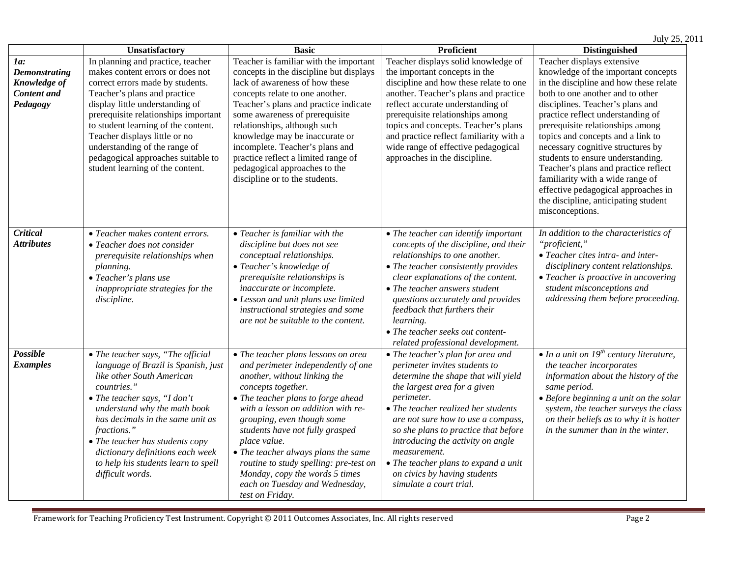|                                                                                  | Unsatisfactory                                                                                                                                                                                                                                                                                                                                                                                          | <b>Basic</b>                                                                                                                                                                                                                                                                                                                                                                                                                                                         | Proficient                                                                                                                                                                                                                                                                                                                                                                                                                           | <b>Distinguished</b>                                                                                                                                                                                                                                                                                                                                                                                                                                                                                                                                      |
|----------------------------------------------------------------------------------|---------------------------------------------------------------------------------------------------------------------------------------------------------------------------------------------------------------------------------------------------------------------------------------------------------------------------------------------------------------------------------------------------------|----------------------------------------------------------------------------------------------------------------------------------------------------------------------------------------------------------------------------------------------------------------------------------------------------------------------------------------------------------------------------------------------------------------------------------------------------------------------|--------------------------------------------------------------------------------------------------------------------------------------------------------------------------------------------------------------------------------------------------------------------------------------------------------------------------------------------------------------------------------------------------------------------------------------|-----------------------------------------------------------------------------------------------------------------------------------------------------------------------------------------------------------------------------------------------------------------------------------------------------------------------------------------------------------------------------------------------------------------------------------------------------------------------------------------------------------------------------------------------------------|
| $1a$ :<br><b>Demonstrating</b><br>Knowledge of<br><b>Content and</b><br>Pedagogy | In planning and practice, teacher<br>makes content errors or does not<br>correct errors made by students.<br>Teacher's plans and practice<br>display little understanding of<br>prerequisite relationships important<br>to student learning of the content.<br>Teacher displays little or no<br>understanding of the range of<br>pedagogical approaches suitable to<br>student learning of the content. | Teacher is familiar with the important<br>concepts in the discipline but displays<br>lack of awareness of how these<br>concepts relate to one another.<br>Teacher's plans and practice indicate<br>some awareness of prerequisite<br>relationships, although such<br>knowledge may be inaccurate or<br>incomplete. Teacher's plans and<br>practice reflect a limited range of<br>pedagogical approaches to the<br>discipline or to the students.                     | Teacher displays solid knowledge of<br>the important concepts in the<br>discipline and how these relate to one<br>another. Teacher's plans and practice<br>reflect accurate understanding of<br>prerequisite relationships among<br>topics and concepts. Teacher's plans<br>and practice reflect familiarity with a<br>wide range of effective pedagogical<br>approaches in the discipline.                                          | Teacher displays extensive<br>knowledge of the important concepts<br>in the discipline and how these relate<br>both to one another and to other<br>disciplines. Teacher's plans and<br>practice reflect understanding of<br>prerequisite relationships among<br>topics and concepts and a link to<br>necessary cognitive structures by<br>students to ensure understanding.<br>Teacher's plans and practice reflect<br>familiarity with a wide range of<br>effective pedagogical approaches in<br>the discipline, anticipating student<br>misconceptions. |
| Critical<br><b>Attributes</b>                                                    | • Teacher makes content errors.<br>• Teacher does not consider<br>prerequisite relationships when<br>planning.<br>• Teacher's plans use<br>inappropriate strategies for the<br>discipline.                                                                                                                                                                                                              | • Teacher is familiar with the<br>discipline but does not see<br>conceptual relationships.<br>• Teacher's knowledge of<br>prerequisite relationships is<br>inaccurate or incomplete.<br>• Lesson and unit plans use limited<br>instructional strategies and some<br>are not be suitable to the content.                                                                                                                                                              | • The teacher can identify important<br>concepts of the discipline, and their<br>relationships to one another.<br>• The teacher consistently provides<br>clear explanations of the content.<br>• The teacher answers student<br>questions accurately and provides<br>feedback that furthers their<br>learning.<br>• The teacher seeks out content-<br>related professional development.                                              | In addition to the characteristics of<br>"proficient,"<br>• Teacher cites intra- and inter-<br>disciplinary content relationships.<br>• Teacher is proactive in uncovering<br>student misconceptions and<br>addressing them before proceeding.                                                                                                                                                                                                                                                                                                            |
| <b>Possible</b><br><b>Examples</b>                                               | • The teacher says, "The official<br>language of Brazil is Spanish, just<br>like other South American<br>countries."<br>• The teacher says, "I don't<br>understand why the math book<br>has decimals in the same unit as<br>fractions."<br>• The teacher has students copy<br>dictionary definitions each week<br>to help his students learn to spell<br>difficult words.                               | • The teacher plans lessons on area<br>and perimeter independently of one<br>another, without linking the<br>concepts together.<br>• The teacher plans to forge ahead<br>with a lesson on addition with re-<br>grouping, even though some<br>students have not fully grasped<br>place value.<br>• The teacher always plans the same<br>routine to study spelling: pre-test on<br>Monday, copy the words 5 times<br>each on Tuesday and Wednesday,<br>test on Friday. | • The teacher's plan for area and<br>perimeter invites students to<br>determine the shape that will yield<br>the largest area for a given<br>perimeter.<br>• The teacher realized her students<br>are not sure how to use a compass,<br>so she plans to practice that before<br>introducing the activity on angle<br>measurement.<br>• The teacher plans to expand a unit<br>on civics by having students<br>simulate a court trial. | • In a unit on $19^{th}$ century literature,<br>the teacher incorporates<br>information about the history of the<br>same period.<br>• Before beginning a unit on the solar<br>system, the teacher surveys the class<br>on their beliefs as to why it is hotter<br>in the summer than in the winter.                                                                                                                                                                                                                                                       |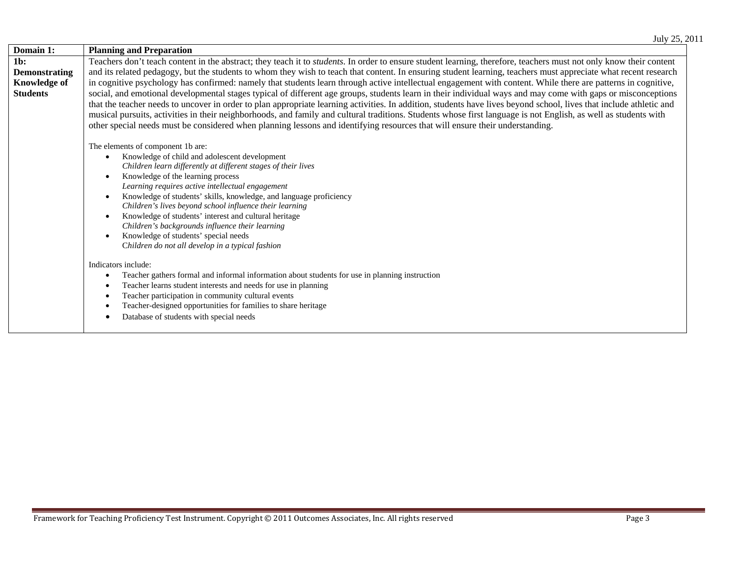| Domain 1:                                                                | <b>Planning and Preparation</b>                                                                                                                                                                                                                                                                                                                                                                                                                                                                                                                                                                                                                                                                                                                                                                                                                                                                                                                                                                                                                                                                                                                          |
|--------------------------------------------------------------------------|----------------------------------------------------------------------------------------------------------------------------------------------------------------------------------------------------------------------------------------------------------------------------------------------------------------------------------------------------------------------------------------------------------------------------------------------------------------------------------------------------------------------------------------------------------------------------------------------------------------------------------------------------------------------------------------------------------------------------------------------------------------------------------------------------------------------------------------------------------------------------------------------------------------------------------------------------------------------------------------------------------------------------------------------------------------------------------------------------------------------------------------------------------|
| $1b$ :<br><b>Demonstrating</b><br><b>Knowledge of</b><br><b>Students</b> | Teachers don't teach content in the abstract; they teach it to <i>students</i> . In order to ensure student learning, therefore, teachers must not only know their content<br>and its related pedagogy, but the students to whom they wish to teach that content. In ensuring student learning, teachers must appreciate what recent research<br>in cognitive psychology has confirmed: namely that students learn through active intellectual engagement with content. While there are patterns in cognitive,<br>social, and emotional developmental stages typical of different age groups, students learn in their individual ways and may come with gaps or misconceptions<br>that the teacher needs to uncover in order to plan appropriate learning activities. In addition, students have lives beyond school, lives that include athletic and<br>musical pursuits, activities in their neighborhoods, and family and cultural traditions. Students whose first language is not English, as well as students with<br>other special needs must be considered when planning lessons and identifying resources that will ensure their understanding. |
|                                                                          | The elements of component 1b are:<br>Knowledge of child and adolescent development<br>Children learn differently at different stages of their lives<br>Knowledge of the learning process<br>Learning requires active intellectual engagement<br>Knowledge of students' skills, knowledge, and language proficiency<br>Children's lives beyond school influence their learning<br>Knowledge of students' interest and cultural heritage<br>Children's backgrounds influence their learning<br>Knowledge of students' special needs<br>Children do not all develop in a typical fashion<br>Indicators include:<br>Teacher gathers formal and informal information about students for use in planning instruction<br>Teacher learns student interests and needs for use in planning<br>Teacher participation in community cultural events<br>Teacher-designed opportunities for families to share heritage<br>Database of students with special needs                                                                                                                                                                                                       |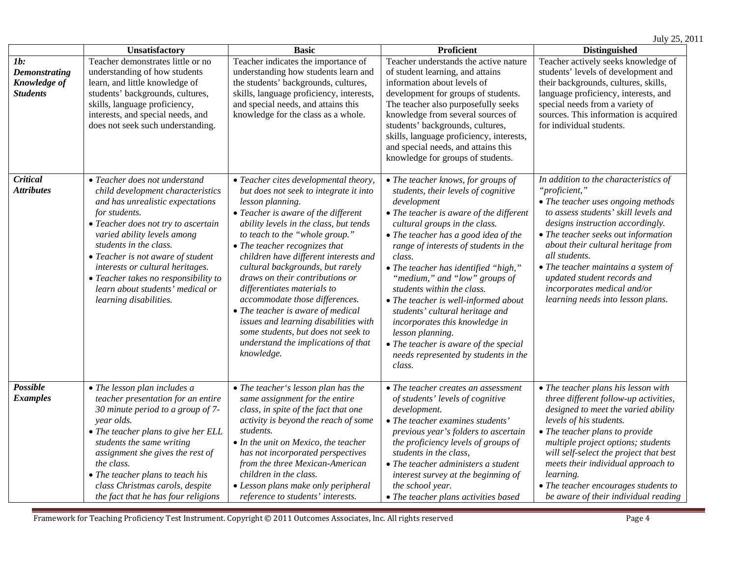|                                                                | Unsatisfactory                                                                                                                                                                                                                                                                                                                                                                                         | <b>Basic</b>                                                                                                                                                                                                                                                                                                                                                                                                                                                                                                                                                                                                       | <b>Proficient</b>                                                                                                                                                                                                                                                                                                                                                                                                                                                                                                                                                                                          | <b>Distinguished</b>                                                                                                                                                                                                                                                                                                                                                                                             |
|----------------------------------------------------------------|--------------------------------------------------------------------------------------------------------------------------------------------------------------------------------------------------------------------------------------------------------------------------------------------------------------------------------------------------------------------------------------------------------|--------------------------------------------------------------------------------------------------------------------------------------------------------------------------------------------------------------------------------------------------------------------------------------------------------------------------------------------------------------------------------------------------------------------------------------------------------------------------------------------------------------------------------------------------------------------------------------------------------------------|------------------------------------------------------------------------------------------------------------------------------------------------------------------------------------------------------------------------------------------------------------------------------------------------------------------------------------------------------------------------------------------------------------------------------------------------------------------------------------------------------------------------------------------------------------------------------------------------------------|------------------------------------------------------------------------------------------------------------------------------------------------------------------------------------------------------------------------------------------------------------------------------------------------------------------------------------------------------------------------------------------------------------------|
| 1b:<br><b>Demonstrating</b><br>Knowledge of<br><b>Students</b> | Teacher demonstrates little or no<br>understanding of how students<br>learn, and little knowledge of<br>students' backgrounds, cultures,<br>skills, language proficiency,<br>interests, and special needs, and<br>does not seek such understanding.                                                                                                                                                    | Teacher indicates the importance of<br>understanding how students learn and<br>the students' backgrounds, cultures,<br>skills, language proficiency, interests,<br>and special needs, and attains this<br>knowledge for the class as a whole.                                                                                                                                                                                                                                                                                                                                                                      | Teacher understands the active nature<br>of student learning, and attains<br>information about levels of<br>development for groups of students.<br>The teacher also purposefully seeks<br>knowledge from several sources of<br>students' backgrounds, cultures,<br>skills, language proficiency, interests,<br>and special needs, and attains this<br>knowledge for groups of students.                                                                                                                                                                                                                    | Teacher actively seeks knowledge of<br>students' levels of development and<br>their backgrounds, cultures, skills,<br>language proficiency, interests, and<br>special needs from a variety of<br>sources. This information is acquired<br>for individual students.                                                                                                                                               |
| <b>Critical</b><br><b>Attributes</b>                           | • Teacher does not understand<br>child development characteristics<br>and has unrealistic expectations<br>for students.<br>• Teacher does not try to ascertain<br>varied ability levels among<br>students in the class.<br>• Teacher is not aware of student<br>interests or cultural heritages.<br>• Teacher takes no responsibility to<br>learn about students' medical or<br>learning disabilities. | • Teacher cites developmental theory,<br>but does not seek to integrate it into<br>lesson planning.<br>• Teacher is aware of the different<br>ability levels in the class, but tends<br>to teach to the "whole group."<br>• The teacher recognizes that<br>children have different interests and<br>cultural backgrounds, but rarely<br>draws on their contributions or<br>differentiates materials to<br>accommodate those differences.<br>• The teacher is aware of medical<br>issues and learning disabilities with<br>some students, but does not seek to<br>understand the implications of that<br>knowledge. | • The teacher knows, for groups of<br>students, their levels of cognitive<br>development<br>• The teacher is aware of the different<br>cultural groups in the class.<br>$\bullet$ The teacher has a good idea of the<br>range of interests of students in the<br>class.<br>• The teacher has identified "high,"<br>"medium," and "low" groups of<br>students within the class.<br>• The teacher is well-informed about<br>students' cultural heritage and<br>incorporates this knowledge in<br>lesson planning.<br>• The teacher is aware of the special<br>needs represented by students in the<br>class. | In addition to the characteristics of<br>"proficient,"<br>• The teacher uses ongoing methods<br>to assess students' skill levels and<br>designs instruction accordingly.<br>• The teacher seeks out information<br>about their cultural heritage from<br>all students.<br>• The teacher maintains a system of<br>updated student records and<br>incorporates medical and/or<br>learning needs into lesson plans. |
| Possible<br><b>Examples</b>                                    | • The lesson plan includes a<br>teacher presentation for an entire<br>30 minute period to a group of 7-<br>year olds.<br>• The teacher plans to give her ELL<br>students the same writing<br>assignment she gives the rest of<br>the class.<br>• The teacher plans to teach his<br>class Christmas carols, despite<br>the fact that he has four religions                                              | • The teacher's lesson plan has the<br>same assignment for the entire<br>class, in spite of the fact that one<br>activity is beyond the reach of some<br>students.<br>• In the unit on Mexico, the teacher<br>has not incorporated perspectives<br>from the three Mexican-American<br>children in the class.<br>• Lesson plans make only peripheral<br>reference to students' interests.                                                                                                                                                                                                                           | $\bullet$ The teacher creates an assessment<br>of students' levels of cognitive<br>development.<br>• The teacher examines students'<br>previous year's folders to ascertain<br>the proficiency levels of groups of<br>students in the class,<br>$\bullet$ The teacher administers a student<br>interest survey at the beginning of<br>the school year.<br>• The teacher plans activities based                                                                                                                                                                                                             | • The teacher plans his lesson with<br>three different follow-up activities,<br>designed to meet the varied ability<br>levels of his students.<br>• The teacher plans to provide<br>multiple project options; students<br>will self-select the project that best<br>meets their individual approach to<br>learning.<br>• The teacher encourages students to<br>be aware of their individual reading              |

Framework for Teaching Proficiency Test Instrument. Copyright © 2011 Outcomes Associates, Inc. All rights reserved Page 4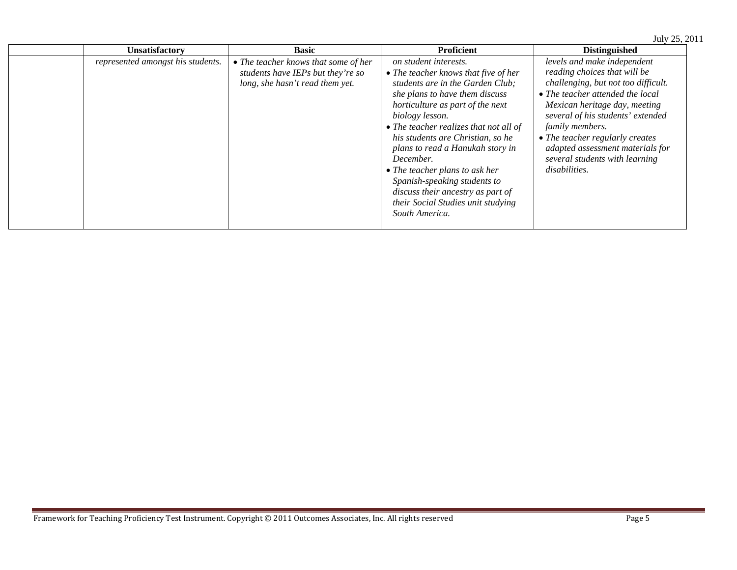| levels and make independent<br>represented amongst his students.<br>on student interests.<br>• The teacher knows that some of her<br>reading choices that will be<br>$\bullet$ The teacher knows that five of her<br>students have IEPs but they're so<br>challenging, but not too difficult.<br>students are in the Garden Club;<br>long, she hasn't read them yet.<br>• The teacher attended the local<br>she plans to have them discuss<br>horticulture as part of the next<br>Mexican heritage day, meeting<br>several of his students' extended<br>biology lesson.<br>family members.<br>$\bullet$ The teacher realizes that not all of<br>his students are Christian, so he<br>• The teacher regularly creates | <b>Unsatisfactory</b> | <b>Basic</b> | <b>Proficient</b>                | <b>Distinguished</b>             |
|----------------------------------------------------------------------------------------------------------------------------------------------------------------------------------------------------------------------------------------------------------------------------------------------------------------------------------------------------------------------------------------------------------------------------------------------------------------------------------------------------------------------------------------------------------------------------------------------------------------------------------------------------------------------------------------------------------------------|-----------------------|--------------|----------------------------------|----------------------------------|
| several students with learning<br>December.<br><i>disabilities.</i><br>$\bullet$ The teacher plans to ask her<br>Spanish-speaking students to<br>discuss their ancestry as part of<br>their Social Studies unit studying<br>South America.                                                                                                                                                                                                                                                                                                                                                                                                                                                                           |                       |              | plans to read a Hanukah story in | adapted assessment materials for |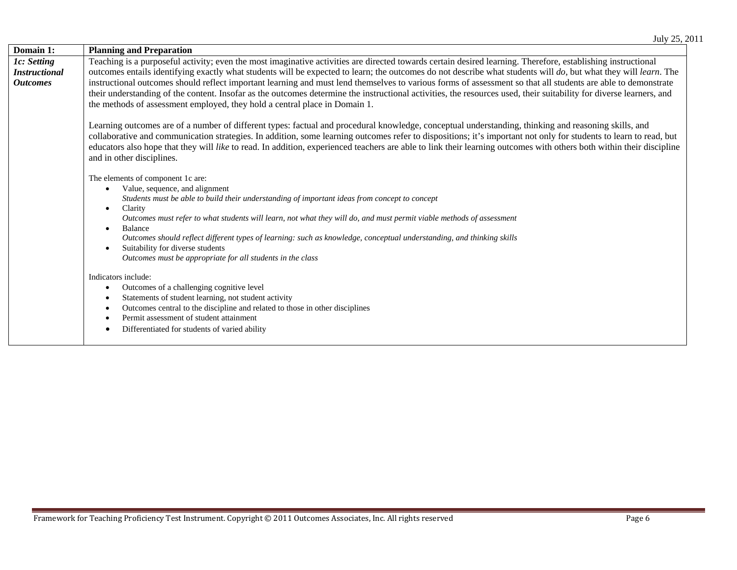| Domain 1:                                              | <b>Planning and Preparation</b>                                                                                                                                                                                                                                                                                                                                                                                                                                                                                                                                                                                                                                                                                                                       |
|--------------------------------------------------------|-------------------------------------------------------------------------------------------------------------------------------------------------------------------------------------------------------------------------------------------------------------------------------------------------------------------------------------------------------------------------------------------------------------------------------------------------------------------------------------------------------------------------------------------------------------------------------------------------------------------------------------------------------------------------------------------------------------------------------------------------------|
| 1c: Setting<br><i>Instructional</i><br><b>Outcomes</b> | Teaching is a purposeful activity; even the most imaginative activities are directed towards certain desired learning. Therefore, establishing instructional<br>outcomes entails identifying exactly what students will be expected to learn; the outcomes do not describe what students will do, but what they will learn. The<br>instructional outcomes should reflect important learning and must lend themselves to various forms of assessment so that all students are able to demonstrate<br>their understanding of the content. Insofar as the outcomes determine the instructional activities, the resources used, their suitability for diverse learners, and<br>the methods of assessment employed, they hold a central place in Domain 1. |
|                                                        | Learning outcomes are of a number of different types: factual and procedural knowledge, conceptual understanding, thinking and reasoning skills, and<br>collaborative and communication strategies. In addition, some learning outcomes refer to dispositions; it's important not only for students to learn to read, but<br>educators also hope that they will like to read. In addition, experienced teachers are able to link their learning outcomes with others both within their discipline<br>and in other disciplines.                                                                                                                                                                                                                        |
|                                                        | The elements of component 1c are:<br>Value, sequence, and alignment<br>$\bullet$<br>Students must be able to build their understanding of important ideas from concept to concept<br>Clarity<br>$\bullet$<br>Outcomes must refer to what students will learn, not what they will do, and must permit viable methods of assessment<br>Balance<br>$\bullet$<br>Outcomes should reflect different types of learning: such as knowledge, conceptual understanding, and thinking skills<br>Suitability for diverse students<br>$\bullet$<br>Outcomes must be appropriate for all students in the class                                                                                                                                                     |
|                                                        | Indicators include:<br>Outcomes of a challenging cognitive level<br>$\bullet$<br>Statements of student learning, not student activity<br>$\bullet$<br>Outcomes central to the discipline and related to those in other disciplines<br>$\bullet$<br>Permit assessment of student attainment<br>$\bullet$<br>Differentiated for students of varied ability<br>-                                                                                                                                                                                                                                                                                                                                                                                         |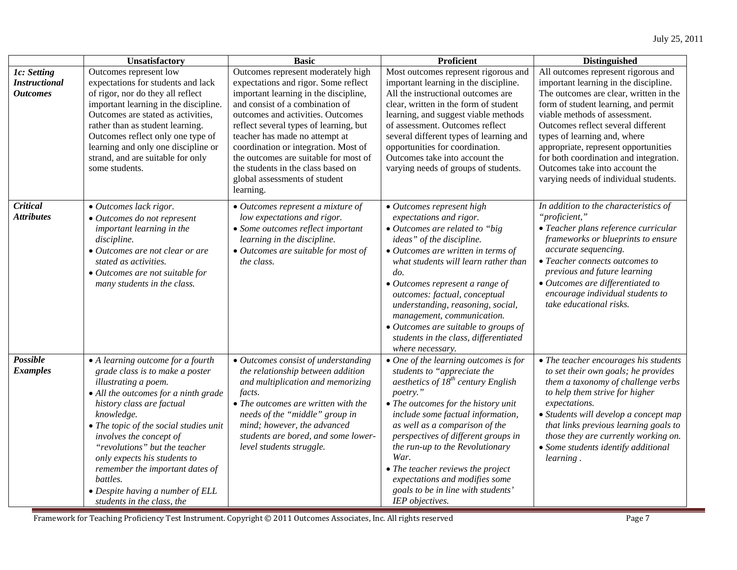|                                                        | Unsatisfactory                                                                                                                                                                                                                                                                                                                                                                                                                         | <b>Basic</b>                                                                                                                                                                                                                                                                                                                                                                                                                                 | Proficient                                                                                                                                                                                                                                                                                                                                                                                                                                                  | <b>Distinguished</b>                                                                                                                                                                                                                                                                                                                                                                                                               |
|--------------------------------------------------------|----------------------------------------------------------------------------------------------------------------------------------------------------------------------------------------------------------------------------------------------------------------------------------------------------------------------------------------------------------------------------------------------------------------------------------------|----------------------------------------------------------------------------------------------------------------------------------------------------------------------------------------------------------------------------------------------------------------------------------------------------------------------------------------------------------------------------------------------------------------------------------------------|-------------------------------------------------------------------------------------------------------------------------------------------------------------------------------------------------------------------------------------------------------------------------------------------------------------------------------------------------------------------------------------------------------------------------------------------------------------|------------------------------------------------------------------------------------------------------------------------------------------------------------------------------------------------------------------------------------------------------------------------------------------------------------------------------------------------------------------------------------------------------------------------------------|
| 1c: Setting<br><b>Instructional</b><br><b>Outcomes</b> | Outcomes represent low<br>expectations for students and lack<br>of rigor, nor do they all reflect<br>important learning in the discipline.<br>Outcomes are stated as activities,<br>rather than as student learning.<br>Outcomes reflect only one type of<br>learning and only one discipline or<br>strand, and are suitable for only<br>some students.                                                                                | Outcomes represent moderately high<br>expectations and rigor. Some reflect<br>important learning in the discipline,<br>and consist of a combination of<br>outcomes and activities. Outcomes<br>reflect several types of learning, but<br>teacher has made no attempt at<br>coordination or integration. Most of<br>the outcomes are suitable for most of<br>the students in the class based on<br>global assessments of student<br>learning. | Most outcomes represent rigorous and<br>important learning in the discipline.<br>All the instructional outcomes are<br>clear, written in the form of student<br>learning, and suggest viable methods<br>of assessment. Outcomes reflect<br>several different types of learning and<br>opportunities for coordination.<br>Outcomes take into account the<br>varying needs of groups of students.                                                             | All outcomes represent rigorous and<br>important learning in the discipline.<br>The outcomes are clear, written in the<br>form of student learning, and permit<br>viable methods of assessment.<br>Outcomes reflect several different<br>types of learning and, where<br>appropriate, represent opportunities<br>for both coordination and integration.<br>Outcomes take into account the<br>varying needs of individual students. |
| Critical<br><b>Attributes</b>                          | • Outcomes lack rigor.<br>• Outcomes do not represent<br>important learning in the<br>discipline.<br>• Outcomes are not clear or are<br>stated as activities.<br>• Outcomes are not suitable for<br>many students in the class.                                                                                                                                                                                                        | $\bullet$ Outcomes represent a mixture of<br>low expectations and rigor.<br>• Some outcomes reflect important<br>learning in the discipline.<br>• Outcomes are suitable for most of<br>the class.                                                                                                                                                                                                                                            | • Outcomes represent high<br>expectations and rigor.<br>• Outcomes are related to "big<br>ideas" of the discipline.<br>• Outcomes are written in terms of<br>what students will learn rather than<br>do.<br>• Outcomes represent a range of<br>outcomes: factual, conceptual<br>understanding, reasoning, social,<br>management, communication.<br>• Outcomes are suitable to groups of<br>students in the class, differentiated<br>where necessary.        | In addition to the characteristics of<br>"proficient,"<br>• Teacher plans reference curricular<br>frameworks or blueprints to ensure<br>accurate sequencing.<br>• Teacher connects outcomes to<br>previous and future learning<br>• Outcomes are differentiated to<br>encourage individual students to<br>take educational risks.                                                                                                  |
| Possible<br><b>Examples</b>                            | • A learning outcome for a fourth<br>grade class is to make a poster<br>illustrating a poem.<br>• All the outcomes for a ninth grade<br>history class are factual<br>knowledge.<br>• The topic of the social studies unit<br>involves the concept of<br>"revolutions" but the teacher<br>only expects his students to<br>remember the important dates of<br>battles.<br>• Despite having a number of ELL<br>students in the class, the | • Outcomes consist of understanding<br>the relationship between addition<br>and multiplication and memorizing<br>facts.<br>$\bullet$ The outcomes are written with the<br>needs of the "middle" group in<br>mind; however, the advanced<br>students are bored, and some lower-<br>level students struggle.                                                                                                                                   | • One of the learning outcomes is for<br>students to "appreciate the<br>aesthetics of $18^{th}$ century English<br>poetry."<br>• The outcomes for the history unit<br>include some factual information,<br>as well as a comparison of the<br>perspectives of different groups in<br>the run-up to the Revolutionary<br>War.<br>• The teacher reviews the project<br>expectations and modifies some<br>goals to be in line with students'<br>IEP objectives. | • The teacher encourages his students<br>to set their own goals; he provides<br>them a taxonomy of challenge verbs<br>to help them strive for higher<br>expectations.<br>• Students will develop a concept map<br>that links previous learning goals to<br>those they are currently working on.<br>• Some students identify additional<br>learning.                                                                                |

Framework for Teaching Proficiency Test Instrument. Copyright © 2011 Outcomes Associates, Inc. All rights reserved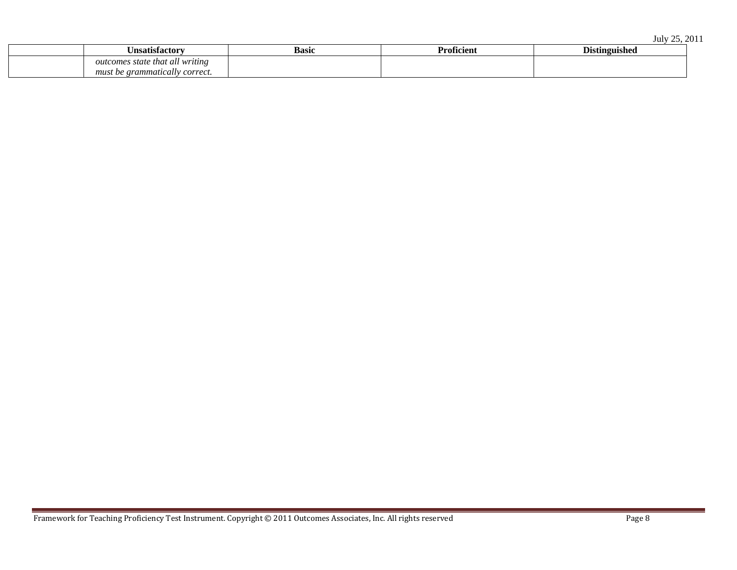| <b>Jnsatisfactorv</b>                  | <b>Basic</b> | $\mathbf{a}$<br>Proficient | <b>Distinguished</b> |
|----------------------------------------|--------------|----------------------------|----------------------|
| <i>outcomes state that all writing</i> |              |                            |                      |
| must be<br>e grammatically correct.    |              |                            |                      |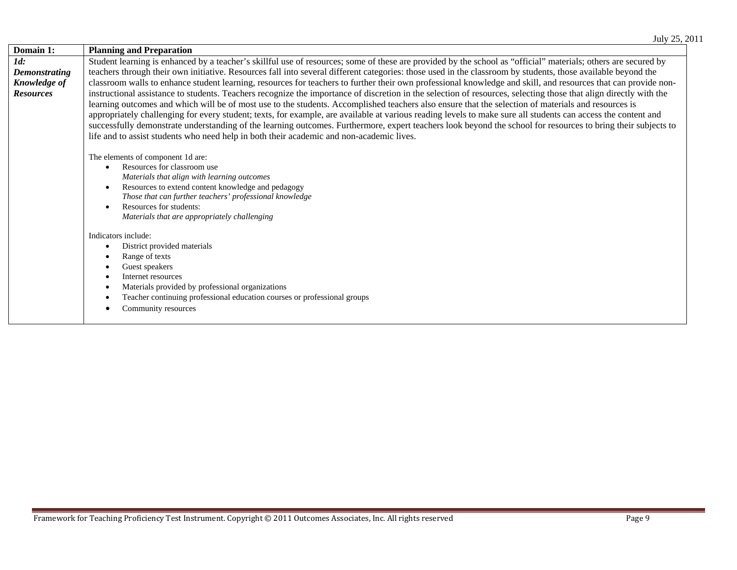| Domain 1:                                                          | <b>Planning and Preparation</b>                                                                                                                                                                                                                                                                                                                                                                                                                                                                                                                                                                                                                                                                                                                                                                                                                                                                                                                                                                                                                                                                                                                                                                                                                                                                                                                                                                                                                                                                                                                                           |
|--------------------------------------------------------------------|---------------------------------------------------------------------------------------------------------------------------------------------------------------------------------------------------------------------------------------------------------------------------------------------------------------------------------------------------------------------------------------------------------------------------------------------------------------------------------------------------------------------------------------------------------------------------------------------------------------------------------------------------------------------------------------------------------------------------------------------------------------------------------------------------------------------------------------------------------------------------------------------------------------------------------------------------------------------------------------------------------------------------------------------------------------------------------------------------------------------------------------------------------------------------------------------------------------------------------------------------------------------------------------------------------------------------------------------------------------------------------------------------------------------------------------------------------------------------------------------------------------------------------------------------------------------------|
| $1d$ :<br><b>Demonstrating</b><br>Knowledge of<br><b>Resources</b> | Student learning is enhanced by a teacher's skillful use of resources; some of these are provided by the school as "official" materials; others are secured by<br>teachers through their own initiative. Resources fall into several different categories: those used in the classroom by students, those available beyond the<br>classroom walls to enhance student learning, resources for teachers to further their own professional knowledge and skill, and resources that can provide non-<br>instructional assistance to students. Teachers recognize the importance of discretion in the selection of resources, selecting those that align directly with the<br>learning outcomes and which will be of most use to the students. Accomplished teachers also ensure that the selection of materials and resources is<br>appropriately challenging for every student; texts, for example, are available at various reading levels to make sure all students can access the content and<br>successfully demonstrate understanding of the learning outcomes. Furthermore, expert teachers look beyond the school for resources to bring their subjects to<br>life and to assist students who need help in both their academic and non-academic lives.<br>The elements of component 1d are:<br>Resources for classroom use<br>Materials that align with learning outcomes<br>Resources to extend content knowledge and pedagogy<br>Those that can further teachers' professional knowledge<br>Resources for students:<br>Materials that are appropriately challenging |
|                                                                    | Indicators include:<br>District provided materials<br>Range of texts<br>$\bullet$<br>Guest speakers<br>Internet resources<br>Materials provided by professional organizations<br>Teacher continuing professional education courses or professional groups<br>Community resources                                                                                                                                                                                                                                                                                                                                                                                                                                                                                                                                                                                                                                                                                                                                                                                                                                                                                                                                                                                                                                                                                                                                                                                                                                                                                          |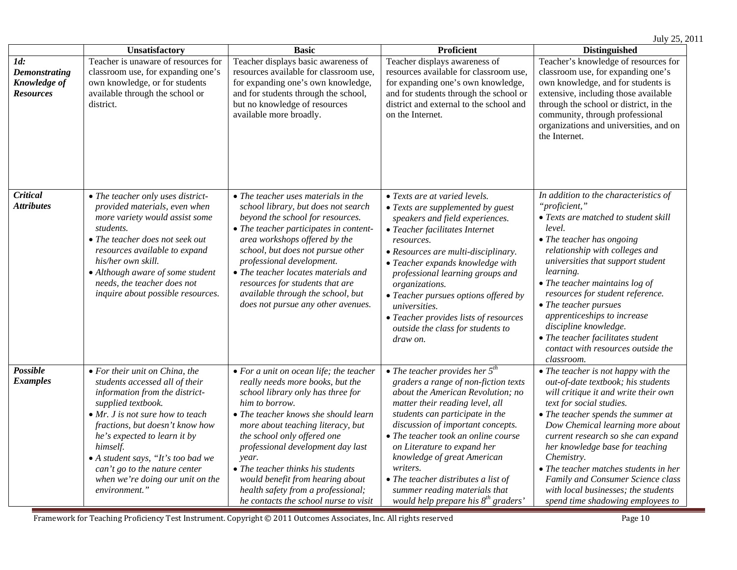**Unsatisfactory Basic Proficient Distinguished**  *1d: Demonstrating Knowledge of Resources* Teacher is unaware of resources for classroom use, for expanding one's own knowledge, or for students available through the school or district. Teacher displays basic awareness of resources available for classroom use, for expanding one's own knowledge, and for students through the school, but no knowledge of resources available more broadly. Teacher displays awareness of resources available for classroom use, for expanding one's own knowledge, and for students through the school or district and external to the school and on the Internet. Teacher's knowledge of resources for classroom use, for expanding one's own knowledge, and for students is extensive, including those available through the school or district, in the community, through professional organizations and universities, and on the Internet. *Critical Attributes The teacher only uses districtprovided materials, even when more variety would assist some students. The teacher does not seek out resources available to expand his/her own skill. Although aware of some student needs, the teacher does not inquire about possible resources. The teacher uses materials in the school library, but does not search beyond the school for resources. The teacher participates in contentarea workshops offered by the school, but does not pursue other professional development. The teacher locates materials and resources for students that are available through the school, but does not pursue any other avenues. Texts are at varied levels. Texts are supplemented by guest speakers and field experiences. Teacher facilitates Internet resources. Resources are multi-disciplinary. Teacher expands knowledge with professional learning groups and organizations. Teacher pursues options offered by universities. Teacher provides lists of resources outside the class for students to draw on. In addition to the characteristics of "proficient," Texts are matched to student skill level. The teacher has ongoing relationship with colleges and universities that support student learning. The teacher maintains log of resources for student reference. The teacher pursues apprenticeships to increase discipline knowledge. The teacher facilitates student contact with resources outside the classroom. Possible Examples For their unit on China, the students accessed all of their information from the districtsupplied textbook. Mr. J is not sure how to teach fractions, but doesn't know how he's expected to learn it by himself. A student says, "It's too bad we can't go to the nature center when we're doing our unit on the environment." For a unit on ocean life; the teacher really needs more books, but the school library only has three for him to borrow. The teacher knows she should learn more about teaching literacy, but the school only offered one professional development day last year. The teacher thinks his students would benefit from hearing about health safety from a professional; he contacts the school nurse to visit The teacher provides her 5th graders a range of non-fiction texts about the American Revolution; no matter their reading level, all students can participate in the discussion of important concepts. The teacher took an online course on Literature to expand her knowledge of great American writers. The teacher distributes a list of summer reading materials that would help prepare his 8th graders' The teacher is not happy with the out-of-date textbook; his students will critique it and write their own text for social studies. The teacher spends the summer at Dow Chemical learning more about current research so she can expand her knowledge base for teaching Chemistry. The teacher matches students in her Family and Consumer Science class with local businesses; the students spend time shadowing employees to* 

Framework for Teaching Proficiency Test Instrument. Copyright  $\odot$  2011 Outcomes Associates, Inc. All rights reserved Page 10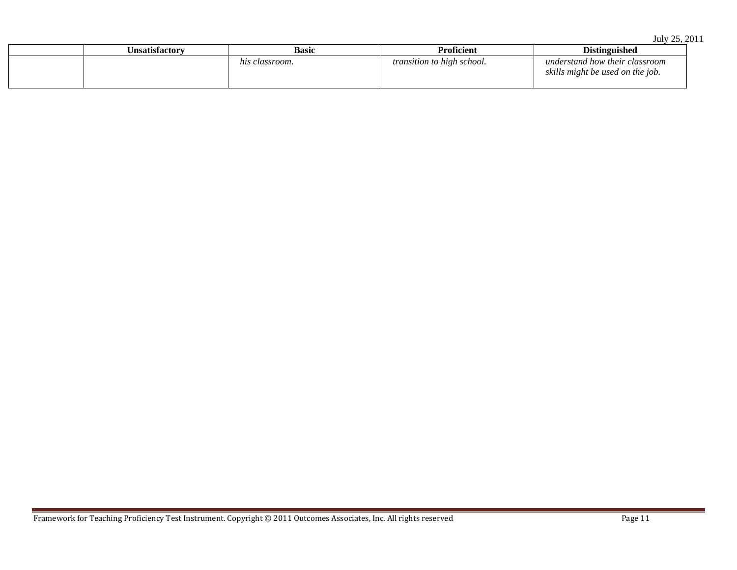| Jnsatisfactorv | <b>Basic</b>   | Proficient                        | <b>Distinguished</b>                                               |
|----------------|----------------|-----------------------------------|--------------------------------------------------------------------|
|                | his classroom. | <i>transition to high school.</i> | understand how their classroom<br>skills might be used on the job. |
|                |                |                                   |                                                                    |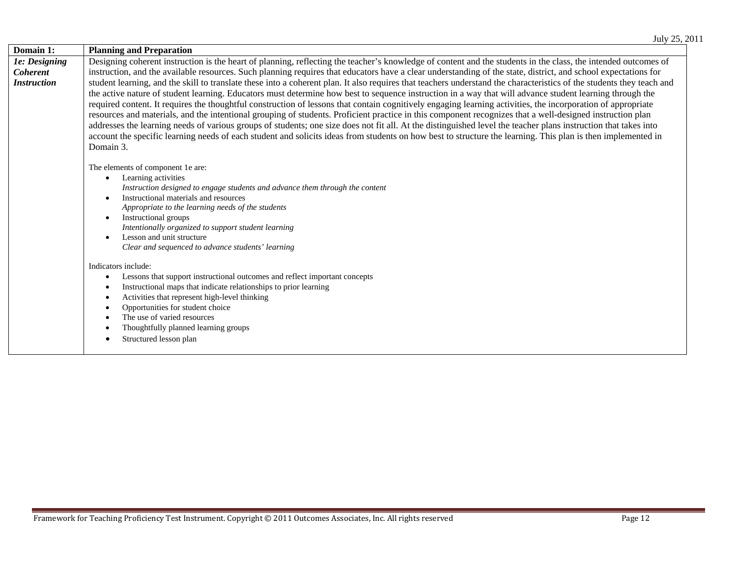| Domain 1:          | <b>Planning and Preparation</b>                                                                                                                                                                                                                                                                                                                                                                                                                                                                                                                                                                                                                                                                                                                                                                                                                                                                                                                                                                                |
|--------------------|----------------------------------------------------------------------------------------------------------------------------------------------------------------------------------------------------------------------------------------------------------------------------------------------------------------------------------------------------------------------------------------------------------------------------------------------------------------------------------------------------------------------------------------------------------------------------------------------------------------------------------------------------------------------------------------------------------------------------------------------------------------------------------------------------------------------------------------------------------------------------------------------------------------------------------------------------------------------------------------------------------------|
| 1e: Designing      | Designing coherent instruction is the heart of planning, reflecting the teacher's knowledge of content and the students in the class, the intended outcomes of                                                                                                                                                                                                                                                                                                                                                                                                                                                                                                                                                                                                                                                                                                                                                                                                                                                 |
| <b>Coherent</b>    | instruction, and the available resources. Such planning requires that educators have a clear understanding of the state, district, and school expectations for                                                                                                                                                                                                                                                                                                                                                                                                                                                                                                                                                                                                                                                                                                                                                                                                                                                 |
| <b>Instruction</b> | student learning, and the skill to translate these into a coherent plan. It also requires that teachers understand the characteristics of the students they teach and<br>the active nature of student learning. Educators must determine how best to sequence instruction in a way that will advance student learning through the<br>required content. It requires the thoughtful construction of lessons that contain cognitively engaging learning activities, the incorporation of appropriate<br>resources and materials, and the intentional grouping of students. Proficient practice in this component recognizes that a well-designed instruction plan<br>addresses the learning needs of various groups of students; one size does not fit all. At the distinguished level the teacher plans instruction that takes into<br>account the specific learning needs of each student and solicits ideas from students on how best to structure the learning. This plan is then implemented in<br>Domain 3. |
|                    | The elements of component 1e are:                                                                                                                                                                                                                                                                                                                                                                                                                                                                                                                                                                                                                                                                                                                                                                                                                                                                                                                                                                              |
|                    | Learning activities<br>Instruction designed to engage students and advance them through the content<br>Instructional materials and resources<br>Appropriate to the learning needs of the students<br>Instructional groups<br>$\bullet$<br>Intentionally organized to support student learning<br>Lesson and unit structure<br>Clear and sequenced to advance students' learning                                                                                                                                                                                                                                                                                                                                                                                                                                                                                                                                                                                                                                |
|                    | Indicators include:                                                                                                                                                                                                                                                                                                                                                                                                                                                                                                                                                                                                                                                                                                                                                                                                                                                                                                                                                                                            |
|                    | Lessons that support instructional outcomes and reflect important concepts<br>Instructional maps that indicate relationships to prior learning<br>Activities that represent high-level thinking<br>Opportunities for student choice<br>The use of varied resources<br>Thoughtfully planned learning groups<br>Structured lesson plan                                                                                                                                                                                                                                                                                                                                                                                                                                                                                                                                                                                                                                                                           |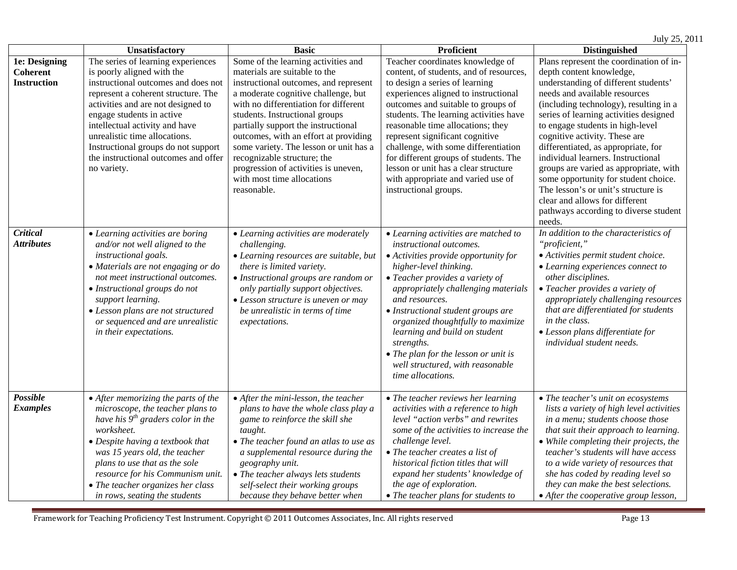|                                                        | Unsatisfactory                                                                                                                                                                                                                                                                                                                                                                     | <b>Basic</b>                                                                                                                                                                                                                                                                                                                                                                                                                                                                  | Proficient                                                                                                                                                                                                                                                                                                                                                                                                                                                                                            | <b>Distinguished</b>                                                                                                                                                                                                                                                                                                                                                                                                                                                                                                                                                                             |
|--------------------------------------------------------|------------------------------------------------------------------------------------------------------------------------------------------------------------------------------------------------------------------------------------------------------------------------------------------------------------------------------------------------------------------------------------|-------------------------------------------------------------------------------------------------------------------------------------------------------------------------------------------------------------------------------------------------------------------------------------------------------------------------------------------------------------------------------------------------------------------------------------------------------------------------------|-------------------------------------------------------------------------------------------------------------------------------------------------------------------------------------------------------------------------------------------------------------------------------------------------------------------------------------------------------------------------------------------------------------------------------------------------------------------------------------------------------|--------------------------------------------------------------------------------------------------------------------------------------------------------------------------------------------------------------------------------------------------------------------------------------------------------------------------------------------------------------------------------------------------------------------------------------------------------------------------------------------------------------------------------------------------------------------------------------------------|
| 1e: Designing<br><b>Coherent</b><br><b>Instruction</b> | The series of learning experiences<br>is poorly aligned with the<br>instructional outcomes and does not<br>represent a coherent structure. The<br>activities and are not designed to<br>engage students in active<br>intellectual activity and have<br>unrealistic time allocations.<br>Instructional groups do not support<br>the instructional outcomes and offer<br>no variety. | Some of the learning activities and<br>materials are suitable to the<br>instructional outcomes, and represent<br>a moderate cognitive challenge, but<br>with no differentiation for different<br>students. Instructional groups<br>partially support the instructional<br>outcomes, with an effort at providing<br>some variety. The lesson or unit has a<br>recognizable structure; the<br>progression of activities is uneven,<br>with most time allocations<br>reasonable. | Teacher coordinates knowledge of<br>content, of students, and of resources,<br>to design a series of learning<br>experiences aligned to instructional<br>outcomes and suitable to groups of<br>students. The learning activities have<br>reasonable time allocations; they<br>represent significant cognitive<br>challenge, with some differentiation<br>for different groups of students. The<br>lesson or unit has a clear structure<br>with appropriate and varied use of<br>instructional groups. | Plans represent the coordination of in-<br>depth content knowledge,<br>understanding of different students'<br>needs and available resources<br>(including technology), resulting in a<br>series of learning activities designed<br>to engage students in high-level<br>cognitive activity. These are<br>differentiated, as appropriate, for<br>individual learners. Instructional<br>groups are varied as appropriate, with<br>some opportunity for student choice.<br>The lesson's or unit's structure is<br>clear and allows for different<br>pathways according to diverse student<br>needs. |
| Critical<br><b>Attributes</b>                          | • Learning activities are boring<br>and/or not well aligned to the<br>instructional goals.<br>• Materials are not engaging or do<br>not meet instructional outcomes.<br>• Instructional groups do not<br>support learning.<br>• Lesson plans are not structured<br>or sequenced and are unrealistic<br>in their expectations.                                                      | • Learning activities are moderately<br>challenging.<br>• Learning resources are suitable, but<br>there is limited variety.<br>• Instructional groups are random or<br>only partially support objectives.<br>• Lesson structure is uneven or may<br>be unrealistic in terms of time<br>expectations.                                                                                                                                                                          | • Learning activities are matched to<br>instructional outcomes.<br>• Activities provide opportunity for<br>higher-level thinking.<br>• Teacher provides a variety of<br>appropriately challenging materials<br>and resources.<br>• Instructional student groups are<br>organized thoughtfully to maximize<br>learning and build on student<br>strengths.<br>• The plan for the lesson or unit is<br>well structured, with reasonable<br>time allocations.                                             | In addition to the characteristics of<br>"proficient,"<br>· Activities permit student choice.<br>• Learning experiences connect to<br>other disciplines.<br>• Teacher provides a variety of<br>appropriately challenging resources<br>that are differentiated for students<br>in the class.<br>• Lesson plans differentiate for<br>individual student needs.                                                                                                                                                                                                                                     |
| <b>Possible</b><br><b>Examples</b>                     | • After memorizing the parts of the<br>microscope, the teacher plans to<br>have his $9th$ graders color in the<br>worksheet.<br>• Despite having a textbook that<br>was 15 years old, the teacher<br>plans to use that as the sole<br>resource for his Communism unit.<br>• The teacher organizes her class<br>in rows, seating the students                                       | • After the mini-lesson, the teacher<br>plans to have the whole class play a<br>game to reinforce the skill she<br>taught.<br>• The teacher found an atlas to use as<br>a supplemental resource during the<br>geography unit.<br>• The teacher always lets students<br>self-select their working groups<br>because they behave better when                                                                                                                                    | • The teacher reviews her learning<br>activities with a reference to high<br>level "action verbs" and rewrites<br>some of the activities to increase the<br>challenge level.<br>$\bullet$ The teacher creates a list of<br>historical fiction titles that will<br>expand her students' knowledge of<br>the age of exploration.<br>• The teacher plans for students to                                                                                                                                 | • The teacher's unit on ecosystems<br>lists a variety of high level activities<br>in a menu; students choose those<br>that suit their approach to learning.<br>• While completing their projects, the<br>teacher's students will have access<br>to a wide variety of resources that<br>she has coded by reading level so<br>they can make the best selections.<br>• After the cooperative group lesson,                                                                                                                                                                                          |

Framework for Teaching Proficiency Test Instrument. Copyright © 2011 Outcomes Associates, Inc. All rights reserved Page 13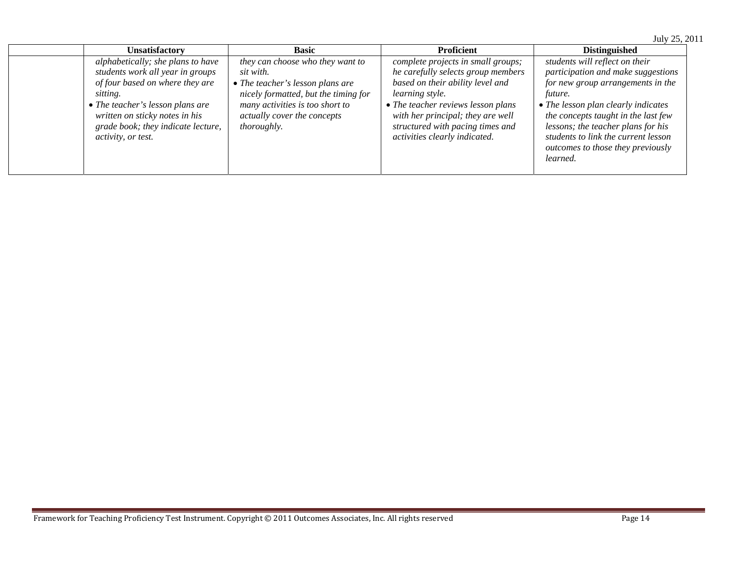| Unsatisfactorv                                                                                                                                                                                                                                         | <b>Basic</b>                                                                                                                                                                                               | <b>Proficient</b>                                                                                                                                                                                                                                                                      | <b>Distinguished</b>                                                                                                                                                                                                                                                                                                                    |
|--------------------------------------------------------------------------------------------------------------------------------------------------------------------------------------------------------------------------------------------------------|------------------------------------------------------------------------------------------------------------------------------------------------------------------------------------------------------------|----------------------------------------------------------------------------------------------------------------------------------------------------------------------------------------------------------------------------------------------------------------------------------------|-----------------------------------------------------------------------------------------------------------------------------------------------------------------------------------------------------------------------------------------------------------------------------------------------------------------------------------------|
| alphabetically; she plans to have<br>students work all year in groups<br>of four based on where they are<br>sitting.<br>• The teacher's lesson plans are<br>written on sticky notes in his<br>grade book; they indicate lecture,<br>activity, or test. | they can choose who they want to<br>sit with.<br>• The teacher's lesson plans are<br>nicely formatted, but the timing for<br>many activities is too short to<br>actually cover the concepts<br>thoroughly. | complete projects in small groups;<br>he carefully selects group members<br>based on their ability level and<br><i>learning style.</i><br>• The teacher reviews lesson plans<br>with her principal; they are well<br>structured with pacing times and<br>activities clearly indicated. | students will reflect on their<br>participation and make suggestions<br>for new group arrangements in the<br><i>future.</i><br>• The lesson plan clearly indicates<br>the concepts taught in the last few<br>lessons; the teacher plans for his<br>students to link the current lesson<br>outcomes to those they previously<br>learned. |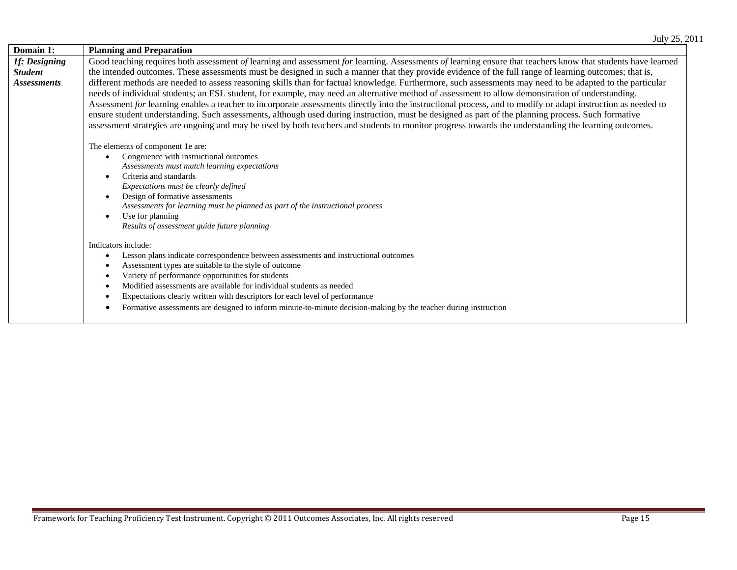| Domain 1:                 | <b>Planning and Preparation</b>                                                                                                                                                                                                                                                                                                                                                                                                                                                                                                                                                                                                                                                                                                                                                               |
|---------------------------|-----------------------------------------------------------------------------------------------------------------------------------------------------------------------------------------------------------------------------------------------------------------------------------------------------------------------------------------------------------------------------------------------------------------------------------------------------------------------------------------------------------------------------------------------------------------------------------------------------------------------------------------------------------------------------------------------------------------------------------------------------------------------------------------------|
| 1f: Designing             | Good teaching requires both assessment of learning and assessment for learning. Assessments of learning ensure that teachers know that students have learned                                                                                                                                                                                                                                                                                                                                                                                                                                                                                                                                                                                                                                  |
| <b>Student</b>            | the intended outcomes. These assessments must be designed in such a manner that they provide evidence of the full range of learning outcomes; that is,                                                                                                                                                                                                                                                                                                                                                                                                                                                                                                                                                                                                                                        |
| <i><b>Assessments</b></i> | different methods are needed to assess reasoning skills than for factual knowledge. Furthermore, such assessments may need to be adapted to the particular<br>needs of individual students; an ESL student, for example, may need an alternative method of assessment to allow demonstration of understanding.<br>Assessment for learning enables a teacher to incorporate assessments directly into the instructional process, and to modify or adapt instruction as needed to<br>ensure student understanding. Such assessments, although used during instruction, must be designed as part of the planning process. Such formative<br>assessment strategies are ongoing and may be used by both teachers and students to monitor progress towards the understanding the learning outcomes. |
|                           | The elements of component 1e are:                                                                                                                                                                                                                                                                                                                                                                                                                                                                                                                                                                                                                                                                                                                                                             |
|                           | Congruence with instructional outcomes<br>Assessments must match learning expectations<br>Criteria and standards<br>Expectations must be clearly defined<br>Design of formative assessments<br>Assessments for learning must be planned as part of the instructional process<br>Use for planning<br>Results of assessment guide future planning                                                                                                                                                                                                                                                                                                                                                                                                                                               |
|                           | Indicators include:<br>Lesson plans indicate correspondence between assessments and instructional outcomes<br>Assessment types are suitable to the style of outcome<br>Variety of performance opportunities for students<br>Modified assessments are available for individual students as needed<br>Expectations clearly written with descriptors for each level of performance<br>Formative assessments are designed to inform minute-to-minute decision-making by the teacher during instruction                                                                                                                                                                                                                                                                                            |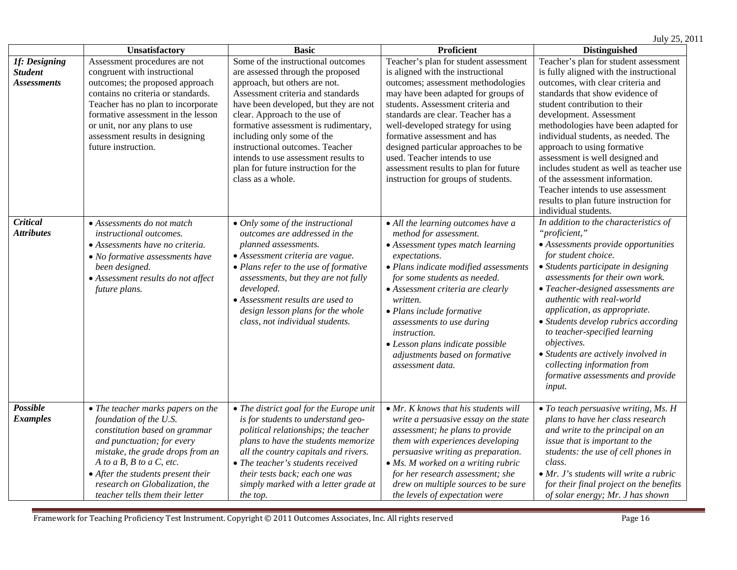**Unsatisfactory Basic Proficient Distinguished**  *1f: Designing Student Assessments* Assessment procedures are not congruent with instructional outcomes; the proposed approach contains no criteria or standards. Teacher has no plan to incorporate formative assessment in the lesson or unit, nor any plans to use assessment results in designing future instruction. Some of the instructional outcomes are assessed through the proposed approach, but others are not. Assessment criteria and standards have been developed, but they are not clear. Approach to the use of formative assessment is rudimentary, including only some of the instructional outcomes. Teacher intends to use assessment results to plan for future instruction for the class as a whole. Teacher's plan for student assessment is aligned with the instructional outcomes; assessment methodologies may have been adapted for groups of students. Assessment criteria and standards are clear. Teacher has a well-developed strategy for using formative assessment and has designed particular approaches to be used. Teacher intends to use assessment results to plan for future instruction for groups of students. Teacher's plan for student assessment is fully aligned with the instructional outcomes, with clear criteria and standards that show evidence of student contribution to their development. Assessment methodologies have been adapted for individual students, as needed. The approach to using formative assessment is well designed and includes student as well as teacher use of the assessment information. Teacher intends to use assessment results to plan future instruction for individual students. *Critical Attributes Assessments do not match instructional outcomes. Assessments have no criteria. No formative assessments have been designed. Assessment results do not affect future plans. Only some of the instructional outcomes are addressed in the planned assessments. Assessment criteria are vague. Plans refer to the use of formative assessments, but they are not fully developed. Assessment results are used to design lesson plans for the whole class, not individual students. All the learning outcomes have a method for assessment. Assessment types match learning expectations. Plans indicate modified assessments for some students as needed. Assessment criteria are clearly written. Plans include formative assessments to use during instruction. Lesson plans indicate possible adjustments based on formative assessment data. In addition to the characteristics of "proficient," Assessments provide opportunities for student choice. Students participate in designing assessments for their own work. Teacher-designed assessments are authentic with real-world application, as appropriate. Students develop rubrics according to teacher-specified learning objectives. Students are actively involved in collecting information from formative assessments and provide input. Possible Examples The teacher marks papers on the foundation of the U.S. constitution based on grammar and punctuation; for every mistake, the grade drops from an A to a B, B to a C, etc. After the students present their research on Globalization, the The district goal for the Europe unit is for students to understand geopolitical relationships; the teacher plans to have the students memorize all the country capitals and rivers. The teacher's students received their tests back; each one was simply marked with a letter grade at the top. Mr. K knows that his students will write a persuasive essay on the state assessment; he plans to provide them with experiences developing persuasive writing as preparation. Ms. M worked on a writing rubric for her research assessment; she drew on multiple sources to be sure the levels of expectation were To teach persuasive writing, Ms. H plans to have her class research and write to the principal on an issue that is important to the students: the use of cell phones in class. Mr. J's students will write a rubric for their final project on the benefits of solar energy; Mr. J has shown* 

Framework for Teaching Proficiency Test Instrument. Copyright  $\odot$  2011 Outcomes Associates, Inc. All rights reserved

*teacher tells them their letter*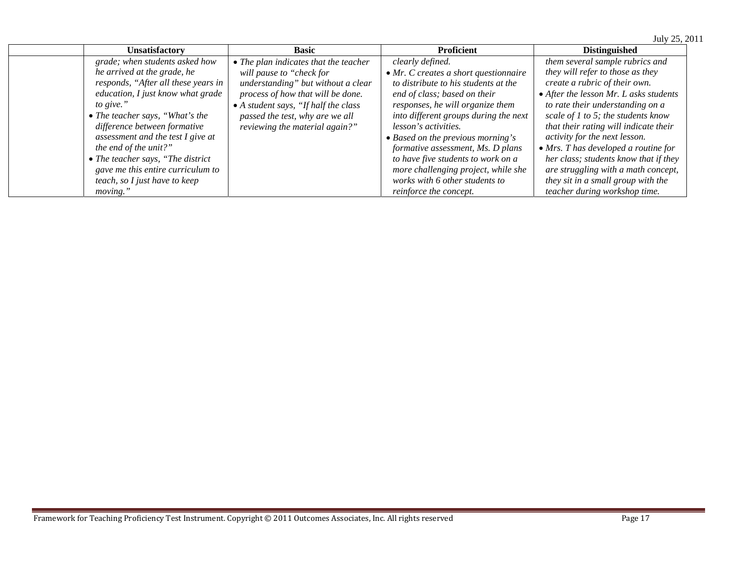| <b>Unsatisfactory</b>               | <b>Basic</b>                                  | Proficient                                    | <b>Distinguished</b>                         |
|-------------------------------------|-----------------------------------------------|-----------------------------------------------|----------------------------------------------|
| grade; when students asked how      | $\bullet$ The plan indicates that the teacher | clearly defined.                              | them several sample rubrics and              |
| he arrived at the grade, he         | will pause to "check for                      | $\bullet$ Mr. C creates a short questionnaire | they will refer to those as they             |
| responds, "After all these years in | understanding" but without a clear            | to distribute to his students at the          | create a rubric of their own.                |
| education, I just know what grade   | process of how that will be done.             | end of class; based on their                  | • After the lesson Mr. L asks students       |
| to give."                           | • A student says, "If half the class"         | responses, he will organize them              | to rate their understanding on a             |
| • The teacher says, "What's the     | passed the test, why are we all               | into different groups during the next         | scale of 1 to 5; the students know           |
| difference between formative        | reviewing the material again?"                | <i>lesson's activities.</i>                   | that their rating will indicate their        |
| assessment and the test I give at   |                                               | • Based on the previous morning's             | activity for the next lesson.                |
| the end of the unit?"               |                                               | formative assessment, Ms. D plans             | $\bullet$ Mrs. T has developed a routine for |
| • The teacher says, "The district"  |                                               | to have five students to work on a            | her class; students know that if they        |
| gave me this entire curriculum to   |                                               | more challenging project, while she           | are struggling with a math concept,          |
| teach, so I just have to keep       |                                               | works with 6 other students to                | they sit in a small group with the           |
| moving.'                            |                                               | <i>reinforce the concept.</i>                 | teacher during workshop time.                |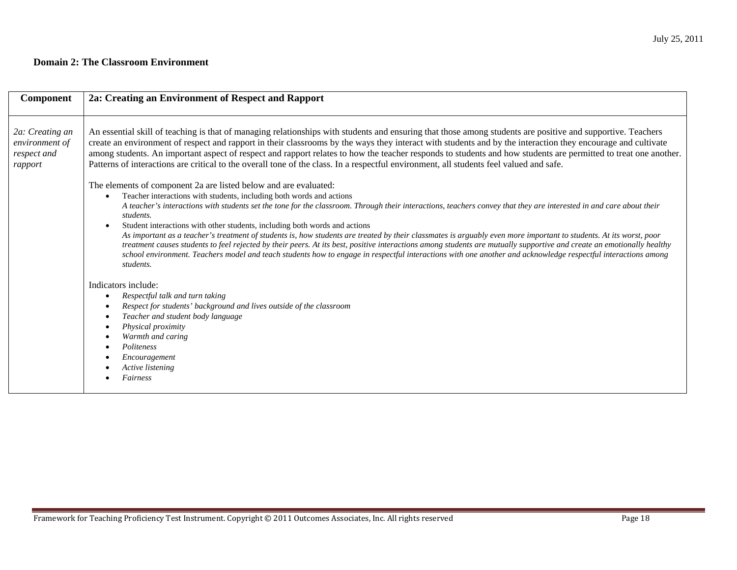| Component                                                   | 2a: Creating an Environment of Respect and Rapport                                                                                                                                                                                                                                                                                                                                                                                                                                                                                                                                                                                                                                                                                                                                                                                                                                                                                                                 |
|-------------------------------------------------------------|--------------------------------------------------------------------------------------------------------------------------------------------------------------------------------------------------------------------------------------------------------------------------------------------------------------------------------------------------------------------------------------------------------------------------------------------------------------------------------------------------------------------------------------------------------------------------------------------------------------------------------------------------------------------------------------------------------------------------------------------------------------------------------------------------------------------------------------------------------------------------------------------------------------------------------------------------------------------|
| 2a: Creating an<br>environment of<br>respect and<br>rapport | An essential skill of teaching is that of managing relationships with students and ensuring that those among students are positive and supportive. Teachers<br>create an environment of respect and rapport in their classrooms by the ways they interact with students and by the interaction they encourage and cultivate<br>among students. An important aspect of respect and rapport relates to how the teacher responds to students and how students are permitted to treat one another.<br>Patterns of interactions are critical to the overall tone of the class. In a respectful environment, all students feel valued and safe.                                                                                                                                                                                                                                                                                                                          |
|                                                             | The elements of component 2a are listed below and are evaluated:<br>Teacher interactions with students, including both words and actions<br>$\bullet$<br>A teacher's interactions with students set the tone for the classroom. Through their interactions, teachers convey that they are interested in and care about their<br>students.<br>Student interactions with other students, including both words and actions<br>$\bullet$<br>As important as a teacher's treatment of students is, how students are treated by their classmates is arguably even more important to students. At its worst, poor<br>treatment causes students to feel rejected by their peers. At its best, positive interactions among students are mutually supportive and create an emotionally healthy<br>school environment. Teachers model and teach students how to engage in respectful interactions with one another and acknowledge respectful interactions among<br>students. |
|                                                             | Indicators include:<br>Respectful talk and turn taking<br>٠<br>Respect for students' background and lives outside of the classroom<br>Teacher and student body language<br>٠<br>Physical proximity<br>٠<br>Warmth and caring<br>Politeness<br>Encouragement<br>Active listening<br><b>Fairness</b>                                                                                                                                                                                                                                                                                                                                                                                                                                                                                                                                                                                                                                                                 |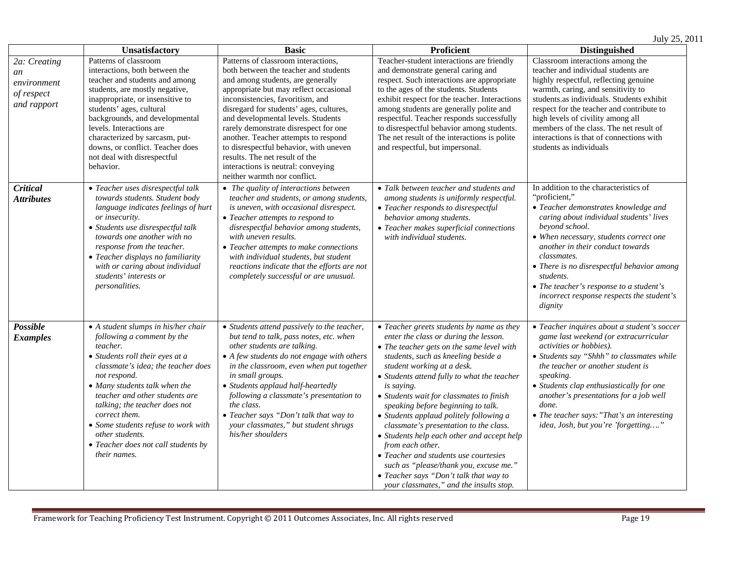**Unsatisfactory Basic Proficient Distinguished**  *2a: Creating an environment of respect and rapport*  Patterns of classroom interactions, both between the teacher and students and among students, are mostly negative, inappropriate, or insensitive to students' ages, cultural backgrounds, and developmental levels. Interactions are characterized by sarcasm, putdowns, or conflict. Teacher does not deal with disrespectful behavior. Patterns of classroom interactions, both between the teacher and students and among students, are generally appropriate but may reflect occasional inconsistencies, favoritism, and disregard for students' ages, cultures, and developmental levels. Students rarely demonstrate disrespect for one another. Teacher attempts to respond to disrespectful behavior, with uneven results. The net result of the interactions is neutral: conveying neither warmth nor conflict. Teacher-student interactions are friendly and demonstrate general caring and respect. Such interactions are appropriate to the ages of the students. Students exhibit respect for the teacher. Interactions among students are generally polite and respectful. Teacher responds successfully to disrespectful behavior among students. The net result of the interactions is polite and respectful, but impersonal. Classroom interactions among the teacher and individual students are highly respectful, reflecting genuine warmth, caring, and sensitivity to students.as individuals. Students exhibit respect for the teacher and contribute to high levels of civility among all members of the class. The net result of interactions is that of connections with students as individuals *Critical Attributes Teacher uses disrespectful talk towards students. Student body language indicates feelings of hurt or insecurity. Students use disrespectful talk towards one another with no response from the teacher. Teacher displays no familiarity with or caring about individual students' interests or personalities. The quality of interactions between teacher and students, or among students, is uneven, with occasional disrespect. Teacher attempts to respond to disrespectful behavior among students, with uneven results. Teacher attempts to make connections with individual students, but student reactions indicate that the efforts are not completely successful or are unusual. Talk between teacher and students and among students is uniformly respectful. Teacher responds to disrespectful behavior among students. Teacher makes superficial connections with individual students.* In addition to the characteristics of "proficient," *Teacher demonstrates knowledge and caring about individual students' lives beyond school. When necessary, students correct one another in their conduct towards classmates. There is no disrespectful behavior among students. The teacher's response to a student's incorrect response respects the student's dignity Possible Examples A student slumps in his/her chair following a comment by the teacher. Students roll their eyes at a classmate's idea; the teacher does not respond. Many students talk when the teacher and other students are talking; the teacher does not correct them. Some students refuse to work with other students. Teacher does not call students by their names. Students attend passively to the teacher, but tend to talk, pass notes, etc. when other students are talking. A few students do not engage with others in the classroom, even when put together in small groups. Students applaud half-heartedly following a classmate's presentation to the class. Teacher says "Don't talk that way to your classmates," but student shrugs his/her shoulders Teacher greets students by name as they enter the class or during the lesson. The teacher gets on the same level with students, such as kneeling beside a student working at a desk. Students attend fully to what the teacher is saying. Students wait for classmates to finish speaking before beginning to talk. Students applaud politely following a classmate's presentation to the class. Students help each other and accept help from each other. Teacher and students use courtesies such as "please/thank you, excuse me." Teacher says "Don't talk that way to your classmates," and the insults stop. Teacher inquires about a student's soccer game last weekend (or extracurricular activities or hobbies). Students say "Shhh" to classmates while the teacher or another student is speaking. Students clap enthusiastically for one another's presentations for a job well done. The teacher says:"That's an interesting idea, Josh, but you're 'forgetting…."*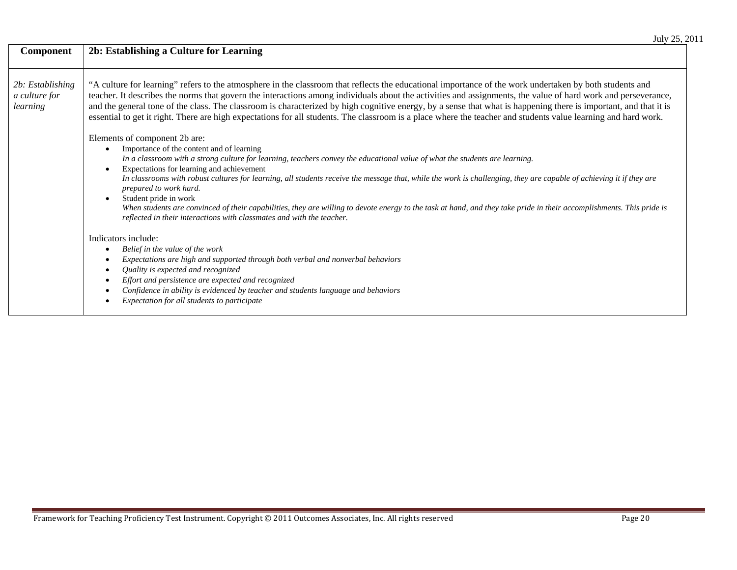|                                                      | July 25, 2011                                                                                                                                                                                                                                                                                                                                                                                                                                                                                                                                                                                                                                                                                                                                             |
|------------------------------------------------------|-----------------------------------------------------------------------------------------------------------------------------------------------------------------------------------------------------------------------------------------------------------------------------------------------------------------------------------------------------------------------------------------------------------------------------------------------------------------------------------------------------------------------------------------------------------------------------------------------------------------------------------------------------------------------------------------------------------------------------------------------------------|
| <b>Component</b>                                     | 2b: Establishing a Culture for Learning                                                                                                                                                                                                                                                                                                                                                                                                                                                                                                                                                                                                                                                                                                                   |
| 2b: Establishing<br><i>a</i> culture for<br>learning | "A culture for learning" refers to the atmosphere in the classroom that reflects the educational importance of the work undertaken by both students and<br>teacher. It describes the norms that govern the interactions among individuals about the activities and assignments, the value of hard work and perseverance,<br>and the general tone of the class. The classroom is characterized by high cognitive energy, by a sense that what is happening there is important, and that it is<br>essential to get it right. There are high expectations for all students. The classroom is a place where the teacher and students value learning and hard work.<br>Elements of component 2b are:<br>Importance of the content and of learning<br>$\bullet$ |
|                                                      | In a classroom with a strong culture for learning, teachers convey the educational value of what the students are learning.<br>Expectations for learning and achievement<br>$\bullet$<br>In classrooms with robust cultures for learning, all students receive the message that, while the work is challenging, they are capable of achieving it if they are<br>prepared to work hard.<br>Student pride in work<br>$\bullet$<br>When students are convinced of their capabilities, they are willing to devote energy to the task at hand, and they take pride in their accomplishments. This pride is<br>reflected in their interactions with classmates and with the teacher.                                                                            |
|                                                      | Indicators include:<br>Belief in the value of the work<br>Expectations are high and supported through both verbal and nonverbal behaviors<br>Quality is expected and recognized<br>Effort and persistence are expected and recognized<br>Confidence in ability is evidenced by teacher and students language and behaviors<br>Expectation for all students to participate                                                                                                                                                                                                                                                                                                                                                                                 |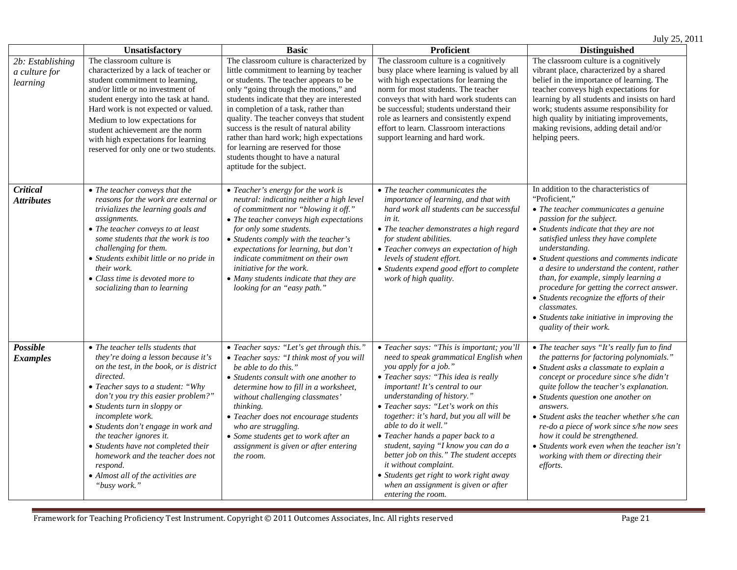**Unsatisfactory Basic Proficient Distinguished**  *2b: Establishing a culture for learning*  The classroom culture is characterized by a lack of teacher or student commitment to learning, and/or little or no investment of student energy into the task at hand. Hard work is not expected or valued. Medium to low expectations for student achievement are the norm with high expectations for learning reserved for only one or two students. The classroom culture is characterized by little commitment to learning by teacher or students. The teacher appears to be only "going through the motions," and students indicate that they are interested in completion of a task, rather than quality. The teacher conveys that student success is the result of natural ability rather than hard work; high expectations for learning are reserved for those students thought to have a natural aptitude for the subject. The classroom culture is a cognitively busy place where learning is valued by all with high expectations for learning the norm for most students. The teacher conveys that with hard work students can be successful; students understand their role as learners and consistently expend effort to learn. Classroom interactions support learning and hard work. The classroom culture is a cognitively vibrant place, characterized by a shared belief in the importance of learning. The teacher conveys high expectations for learning by all students and insists on hard work; students assume responsibility for high quality by initiating improvements, making revisions, adding detail and/or helping peers. *Critical Attributes The teacher conveys that the reasons for the work are external or trivializes the learning goals and assignments. The teacher conveys to at least some students that the work is too challenging for them. Students exhibit little or no pride in their work. Class time is devoted more to socializing than to learning Teacher's energy for the work is neutral: indicating neither a high level of commitment nor "blowing it off." The teacher conveys high expectations for only some students. Students comply with the teacher's expectations for learning, but don't indicate commitment on their own initiative for the work. Many students indicate that they are looking for an "easy path." The teacher communicates the importance of learning, and that with hard work all students can be successful in it. The teacher demonstrates a high regard for student abilities. Teacher conveys an expectation of high levels of student effort. Students expend good effort to complete work of high quality.*  In addition to the characteristics of "Proficient," *The teacher communicates a genuine passion for the subject. Students indicate that they are not satisfied unless they have complete understanding. Student questions and comments indicate a desire to understand the content, rather than, for example, simply learning a procedure for getting the correct answer. Students recognize the efforts of their classmates. Students take initiative in improving the quality of their work. Possible Examples The teacher tells students that they're doing a lesson because it's on the test, in the book, or is district directed. Teacher says to a student: "Why don't you try this easier problem?" Students turn in sloppy or incomplete work. Students don't engage in work and the teacher ignores it. Students have not completed their homework and the teacher does not respond. Almost all of the activities are "busy work." Teacher says: "Let's get through this." Teacher says: "I think most of you will be able to do this." Students consult with one another to determine how to fill in a worksheet, without challenging classmates' thinking. Teacher does not encourage students who are struggling. Some students get to work after an assignment is given or after entering the room. Teacher says: "This is important; you'll need to speak grammatical English when you apply for a job." Teacher says: "This idea is really important! It's central to our understanding of history." Teacher says: "Let's work on this together: it's hard, but you all will be able to do it well." Teacher hands a paper back to a student, saying "I know you can do a better job on this." The student accepts it without complaint. Students get right to work right away when an assignment is given or after entering the room. The teacher says "It's really fun to find the patterns for factoring polynomials." Student asks a classmate to explain a concept or procedure since s/he didn't quite follow the teacher's explanation. Students question one another on answers. Student asks the teacher whether s/he can re-do a piece of work since s/he now sees how it could be strengthened. Students work even when the teacher isn't working with them or directing their efforts.* 

Framework for Teaching Proficiency Test Instrument. Copyright  $\odot$  2011 Outcomes Associates, Inc. All rights reserved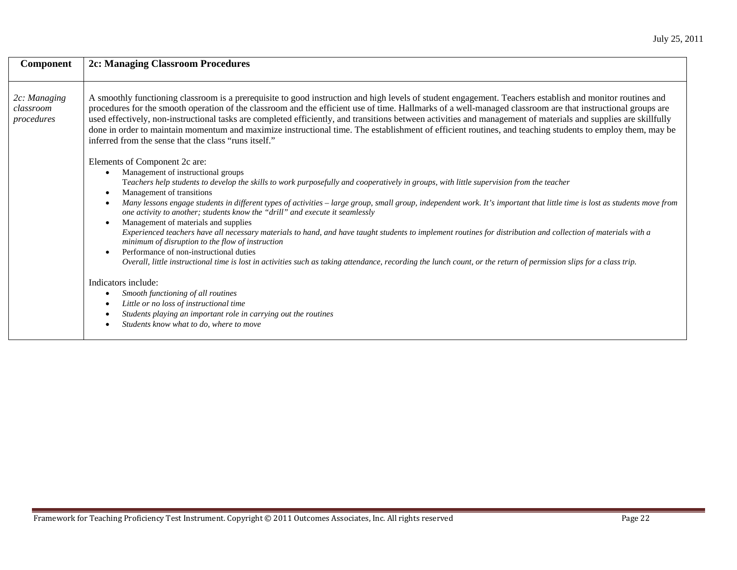| Component                               | <b>2c: Managing Classroom Procedures</b>                                                                                                                                                                                                                                                                                                                                                                                                                                                                                                                                                                                                                                                                                                                                                                                                                                                                                                                                                                                                                                                                                                                                                                                                                                                                                                                                                                                                                                                                                                                                                                                                                                                                                                                                                                                                                                                                       |  |  |  |  |
|-----------------------------------------|----------------------------------------------------------------------------------------------------------------------------------------------------------------------------------------------------------------------------------------------------------------------------------------------------------------------------------------------------------------------------------------------------------------------------------------------------------------------------------------------------------------------------------------------------------------------------------------------------------------------------------------------------------------------------------------------------------------------------------------------------------------------------------------------------------------------------------------------------------------------------------------------------------------------------------------------------------------------------------------------------------------------------------------------------------------------------------------------------------------------------------------------------------------------------------------------------------------------------------------------------------------------------------------------------------------------------------------------------------------------------------------------------------------------------------------------------------------------------------------------------------------------------------------------------------------------------------------------------------------------------------------------------------------------------------------------------------------------------------------------------------------------------------------------------------------------------------------------------------------------------------------------------------------|--|--|--|--|
| 2c: Managing<br>classroom<br>procedures | A smoothly functioning classroom is a prerequisite to good instruction and high levels of student engagement. Teachers establish and monitor routines and<br>procedures for the smooth operation of the classroom and the efficient use of time. Hallmarks of a well-managed classroom are that instructional groups are<br>used effectively, non-instructional tasks are completed efficiently, and transitions between activities and management of materials and supplies are skillfully<br>done in order to maintain momentum and maximize instructional time. The establishment of efficient routines, and teaching students to employ them, may be<br>inferred from the sense that the class "runs itself."<br>Elements of Component 2c are:<br>Management of instructional groups<br>$\bullet$<br>Teachers help students to develop the skills to work purposefully and cooperatively in groups, with little supervision from the teacher<br>Management of transitions<br>$\bullet$<br>Many lessons engage students in different types of activities - large group, small group, independent work. It's important that little time is lost as students move from<br>$\bullet$<br>one activity to another; students know the "drill" and execute it seamlessly<br>Management of materials and supplies<br>$\bullet$<br>Experienced teachers have all necessary materials to hand, and have taught students to implement routines for distribution and collection of materials with a<br>minimum of disruption to the flow of instruction<br>Performance of non-instructional duties<br>$\bullet$<br>Overall, little instructional time is lost in activities such as taking attendance, recording the lunch count, or the return of permission slips for a class trip.<br>Indicators include:<br>Smooth functioning of all routines<br>$\bullet$<br>Little or no loss of instructional time<br>$\bullet$ |  |  |  |  |
|                                         | Students playing an important role in carrying out the routines<br>Students know what to do, where to move                                                                                                                                                                                                                                                                                                                                                                                                                                                                                                                                                                                                                                                                                                                                                                                                                                                                                                                                                                                                                                                                                                                                                                                                                                                                                                                                                                                                                                                                                                                                                                                                                                                                                                                                                                                                     |  |  |  |  |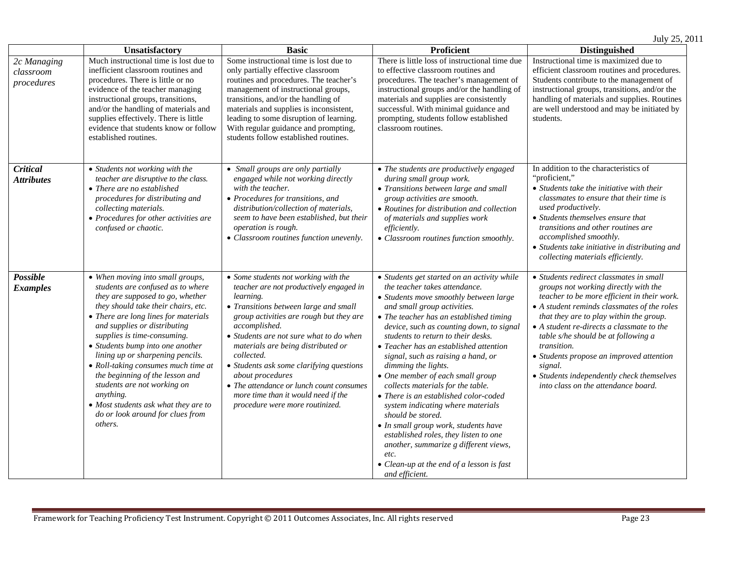|                                        | <b>Unsatisfactory</b>                                                                                                                                                                                                                                                                                                                                                                                                                                                                                                                               | <b>Basic</b>                                                                                                                                                                                                                                                                                                                                                                                                                                                                           | <b>Proficient</b>                                                                                                                                                                                                                                                                                                                                                                                                                                                                                                                                                                                                                                                                                                                                                      | <b>Distinguished</b>                                                                                                                                                                                                                                                                                                                                                                                                                                                   |
|----------------------------------------|-----------------------------------------------------------------------------------------------------------------------------------------------------------------------------------------------------------------------------------------------------------------------------------------------------------------------------------------------------------------------------------------------------------------------------------------------------------------------------------------------------------------------------------------------------|----------------------------------------------------------------------------------------------------------------------------------------------------------------------------------------------------------------------------------------------------------------------------------------------------------------------------------------------------------------------------------------------------------------------------------------------------------------------------------------|------------------------------------------------------------------------------------------------------------------------------------------------------------------------------------------------------------------------------------------------------------------------------------------------------------------------------------------------------------------------------------------------------------------------------------------------------------------------------------------------------------------------------------------------------------------------------------------------------------------------------------------------------------------------------------------------------------------------------------------------------------------------|------------------------------------------------------------------------------------------------------------------------------------------------------------------------------------------------------------------------------------------------------------------------------------------------------------------------------------------------------------------------------------------------------------------------------------------------------------------------|
| 2c Managing<br>classroom<br>procedures | Much instructional time is lost due to<br>inefficient classroom routines and<br>procedures. There is little or no<br>evidence of the teacher managing<br>instructional groups, transitions,<br>and/or the handling of materials and<br>supplies effectively. There is little<br>evidence that students know or follow<br>established routines.                                                                                                                                                                                                      | Some instructional time is lost due to<br>only partially effective classroom<br>routines and procedures. The teacher's<br>management of instructional groups,<br>transitions, and/or the handling of<br>materials and supplies is inconsistent,<br>leading to some disruption of learning.<br>With regular guidance and prompting,<br>students follow established routines.                                                                                                            | There is little loss of instructional time due<br>to effective classroom routines and<br>procedures. The teacher's management of<br>instructional groups and/or the handling of<br>materials and supplies are consistently<br>successful. With minimal guidance and<br>prompting, students follow established<br>classroom routines.                                                                                                                                                                                                                                                                                                                                                                                                                                   | Instructional time is maximized due to<br>efficient classroom routines and procedures.<br>Students contribute to the management of<br>instructional groups, transitions, and/or the<br>handling of materials and supplies. Routines<br>are well understood and may be initiated by<br>students.                                                                                                                                                                        |
| Critical<br><b>Attributes</b>          | • Students not working with the<br>teacher are disruptive to the class.<br>• There are no established<br>procedures for distributing and<br>collecting materials.<br>• Procedures for other activities are<br>confused or chaotic.                                                                                                                                                                                                                                                                                                                  | • Small groups are only partially<br>engaged while not working directly<br>with the teacher.<br>• Procedures for transitions, and<br>distribution/collection of materials,<br>seem to have been established, but their<br>operation is rough.<br>• Classroom routines function unevenly.                                                                                                                                                                                               | • The students are productively engaged<br>during small group work.<br>• Transitions between large and small<br>group activities are smooth.<br>• Routines for distribution and collection<br>of materials and supplies work<br>efficiently.<br>• Classroom routines function smoothly.                                                                                                                                                                                                                                                                                                                                                                                                                                                                                | In addition to the characteristics of<br>"proficient,"<br>• Students take the initiative with their<br>classmates to ensure that their time is<br>used productively.<br>• Students themselves ensure that<br>transitions and other routines are<br>accomplished smoothly.<br>• Students take initiative in distributing and<br>collecting materials efficiently.                                                                                                       |
| <b>Possible</b><br><b>Examples</b>     | • When moving into small groups,<br>students are confused as to where<br>they are supposed to go, whether<br>they should take their chairs, etc.<br>• There are long lines for materials<br>and supplies or distributing<br>supplies is time-consuming.<br>• Students bump into one another<br>lining up or sharpening pencils.<br>• Roll-taking consumes much time at<br>the beginning of the lesson and<br>students are not working on<br><i>anything.</i><br>• Most students ask what they are to<br>do or look around for clues from<br>others. | • Some students not working with the<br>teacher are not productively engaged in<br>learning.<br>• Transitions between large and small<br>group activities are rough but they are<br>accomplished.<br>• Students are not sure what to do when<br>materials are being distributed or<br>collected.<br>• Students ask some clarifying questions<br>about procedures<br>• The attendance or lunch count consumes<br>more time than it would need if the<br>procedure were more routinized. | • Students get started on an activity while<br>the teacher takes attendance.<br>• Students move smoothly between large<br>and small group activities.<br>• The teacher has an established timing<br>device, such as counting down, to signal<br>students to return to their desks.<br>• Teacher has an established attention<br>signal, such as raising a hand, or<br>dimming the lights.<br>• One member of each small group<br>collects materials for the table.<br>• There is an established color-coded<br>system indicating where materials<br>should be stored.<br>• In small group work, students have<br>established roles, they listen to one<br>another, summarize g different views,<br>etc.<br>• Clean-up at the end of a lesson is fast<br>and efficient. | • Students redirect classmates in small<br>groups not working directly with the<br>teacher to be more efficient in their work.<br>• A student reminds classmates of the roles<br>that they are to play within the group.<br>• A student re-directs a classmate to the<br>table s/he should be at following a<br>transition.<br>• Students propose an improved attention<br>signal.<br>• Students independently check themselves<br>into class on the attendance board. |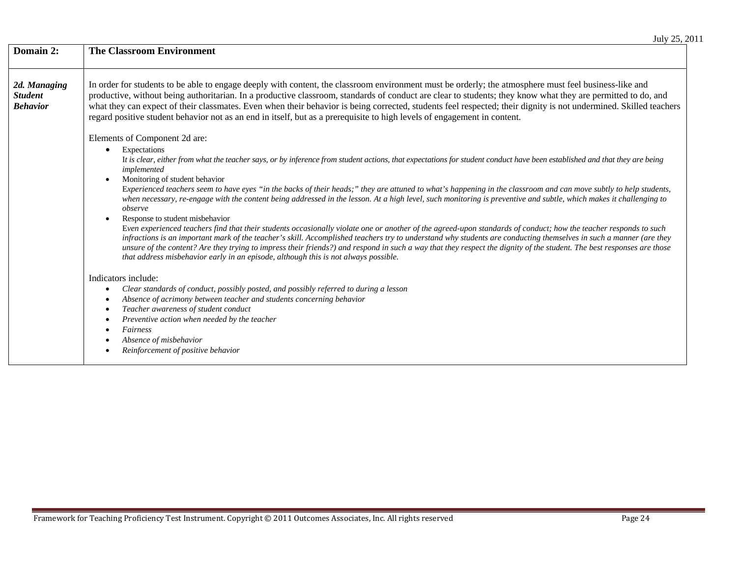| Domain 2:                                  | <b>The Classroom Environment</b>                                                                                                                                                                                                                                                                                                                                                                                                                                                                                                                                                                                                                                                                                                                                                                                                                                                                                                                                                                                                                                                                                                                                                                                                                                                               |  |  |  |
|--------------------------------------------|------------------------------------------------------------------------------------------------------------------------------------------------------------------------------------------------------------------------------------------------------------------------------------------------------------------------------------------------------------------------------------------------------------------------------------------------------------------------------------------------------------------------------------------------------------------------------------------------------------------------------------------------------------------------------------------------------------------------------------------------------------------------------------------------------------------------------------------------------------------------------------------------------------------------------------------------------------------------------------------------------------------------------------------------------------------------------------------------------------------------------------------------------------------------------------------------------------------------------------------------------------------------------------------------|--|--|--|
| 2d. Managing<br>Student<br><b>Behavior</b> | In order for students to be able to engage deeply with content, the classroom environment must be orderly; the atmosphere must feel business-like and<br>productive, without being authoritarian. In a productive classroom, standards of conduct are clear to students; they know what they are permitted to do, and<br>what they can expect of their classmates. Even when their behavior is being corrected, students feel respected; their dignity is not undermined. Skilled teachers<br>regard positive student behavior not as an end in itself, but as a prerequisite to high levels of engagement in content.                                                                                                                                                                                                                                                                                                                                                                                                                                                                                                                                                                                                                                                                         |  |  |  |
|                                            | Elements of Component 2d are:<br>Expectations<br>٠<br>It is clear, either from what the teacher says, or by inference from student actions, that expectations for student conduct have been established and that they are being<br>implemented<br>Monitoring of student behavior<br>٠<br>Experienced teachers seem to have eyes "in the backs of their heads;" they are attuned to what's happening in the classroom and can move subtly to help students,<br>when necessary, re-engage with the content being addressed in the lesson. At a high level, such monitoring is preventive and subtle, which makes it challenging to<br>observe<br>Response to student misbehavior<br>٠<br>Even experienced teachers find that their students occasionally violate one or another of the agreed-upon standards of conduct; how the teacher responds to such<br>infractions is an important mark of the teacher's skill. Accomplished teachers try to understand why students are conducting themselves in such a manner (are they<br>unsure of the content? Are they trying to impress their friends?) and respond in such a way that they respect the dignity of the student. The best responses are those<br>that address misbehavior early in an episode, although this is not always possible. |  |  |  |
|                                            | Indicators include:<br>Clear standards of conduct, possibly posted, and possibly referred to during a lesson<br>Absence of acrimony between teacher and students concerning behavior<br>Teacher awareness of student conduct<br>Preventive action when needed by the teacher<br>Fairness<br>Absence of misbehavior<br>Reinforcement of positive behavior                                                                                                                                                                                                                                                                                                                                                                                                                                                                                                                                                                                                                                                                                                                                                                                                                                                                                                                                       |  |  |  |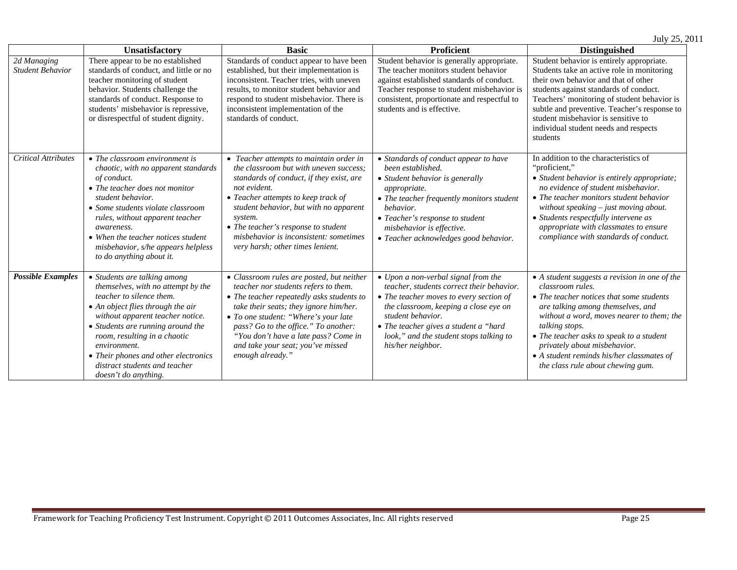|                                        | Unsatisfactory                                                                                                                                                                                                                                                                                                                                                               | <b>Basic</b>                                                                                                                                                                                                                                                                                                                                                   | Proficient                                                                                                                                                                                                                                                                                         | <b>Distinguished</b>                                                                                                                                                                                                                                                                                                                                                            |
|----------------------------------------|------------------------------------------------------------------------------------------------------------------------------------------------------------------------------------------------------------------------------------------------------------------------------------------------------------------------------------------------------------------------------|----------------------------------------------------------------------------------------------------------------------------------------------------------------------------------------------------------------------------------------------------------------------------------------------------------------------------------------------------------------|----------------------------------------------------------------------------------------------------------------------------------------------------------------------------------------------------------------------------------------------------------------------------------------------------|---------------------------------------------------------------------------------------------------------------------------------------------------------------------------------------------------------------------------------------------------------------------------------------------------------------------------------------------------------------------------------|
| 2d Managing<br><b>Student Behavior</b> | There appear to be no established<br>standards of conduct, and little or no<br>teacher monitoring of student<br>behavior. Students challenge the<br>standards of conduct. Response to<br>students' misbehavior is repressive,<br>or disrespectful of student dignity.                                                                                                        | Standards of conduct appear to have been<br>established, but their implementation is<br>inconsistent. Teacher tries, with uneven<br>results, to monitor student behavior and<br>respond to student misbehavior. There is<br>inconsistent implementation of the<br>standards of conduct.                                                                        | Student behavior is generally appropriate.<br>The teacher monitors student behavior<br>against established standards of conduct.<br>Teacher response to student misbehavior is<br>consistent, proportionate and respectful to<br>students and is effective.                                        | Student behavior is entirely appropriate.<br>Students take an active role in monitoring<br>their own behavior and that of other<br>students against standards of conduct.<br>Teachers' monitoring of student behavior is<br>subtle and preventive. Teacher's response to<br>student misbehavior is sensitive to<br>individual student needs and respects<br>students            |
| <b>Critical Attributes</b>             | • The classroom environment is<br>chaotic, with no apparent standards<br>of conduct.<br>• The teacher does not monitor<br>student behavior.<br>• Some students violate classroom<br>rules, without apparent teacher<br>awareness.<br>• When the teacher notices student<br>misbehavior, s/he appears helpless<br>to do anything about it.                                    | • Teacher attempts to maintain order in<br>the classroom but with uneven success:<br>standards of conduct, if they exist, are<br>not evident.<br>• Teacher attempts to keep track of<br>student behavior, but with no apparent<br>system.<br>• The teacher's response to student<br>misbehavior is inconsistent: sometimes<br>very harsh; other times lenient. | • Standards of conduct appear to have<br>been established.<br>• Student behavior is generally<br><i>appropriate.</i><br>• The teacher frequently monitors student<br>behavior.<br>• Teacher's response to student<br>misbehavior is effective.<br>• Teacher acknowledges good behavior.            | In addition to the characteristics of<br>"proficient,"<br>• Student behavior is entirely appropriate;<br>no evidence of student misbehavior.<br>• The teacher monitors student behavior<br>without speaking $-$ just moving about.<br>• Students respectfully intervene as<br>appropriate with classmates to ensure<br>compliance with standards of conduct.                    |
| <b>Possible Examples</b>               | • Students are talking among<br>themselves, with no attempt by the<br>teacher to silence them.<br>$\bullet$ An object flies through the air<br>without apparent teacher notice.<br>• Students are running around the<br>room, resulting in a chaotic<br>environment.<br>• Their phones and other electronics<br>distract students and teacher<br><i>doesn't do anything.</i> | • Classroom rules are posted, but neither<br>teacher nor students refers to them.<br>• The teacher repeatedly asks students to<br>take their seats; they ignore him/her.<br>• To one student: "Where's your late<br>pass? Go to the office." To another:<br>"You don't have a late pass? Come in<br>and take your seat; you've missed<br>enough already."      | • Upon a non-verbal signal from the<br>teacher, students correct their behavior.<br>• The teacher moves to every section of<br>the classroom, keeping a close eye on<br>student behavior.<br>• The teacher gives a student a "hard<br>look," and the student stops talking to<br>his/her neighbor. | • A student suggests a revision in one of the<br>classroom rules.<br>• The teacher notices that some students<br>are talking among themselves, and<br>without a word, moves nearer to them; the<br>talking stops.<br>• The teacher asks to speak to a student<br>privately about misbehavior.<br>• A student reminds his/her classmates of<br>the class rule about chewing gum. |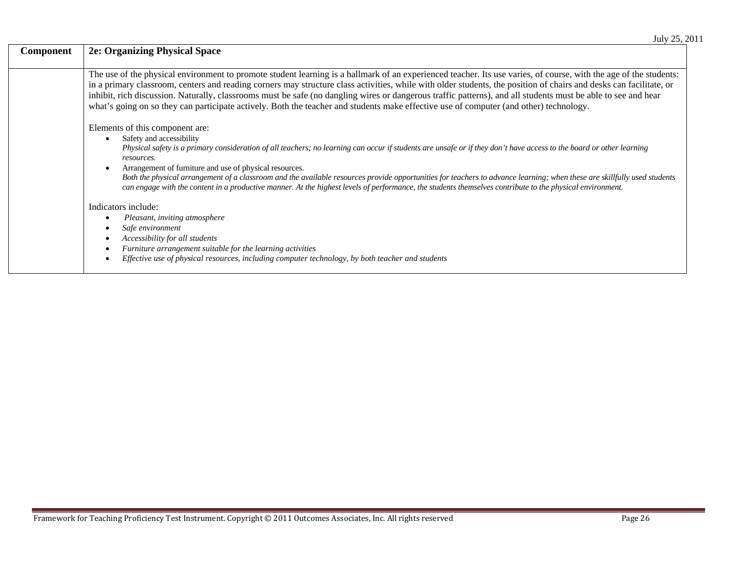| Component | <b>2e: Organizing Physical Space</b>                                                                                                                                                                                                                                                                                                                                                                                                                                                                                                                                                                                                                               |
|-----------|--------------------------------------------------------------------------------------------------------------------------------------------------------------------------------------------------------------------------------------------------------------------------------------------------------------------------------------------------------------------------------------------------------------------------------------------------------------------------------------------------------------------------------------------------------------------------------------------------------------------------------------------------------------------|
|           |                                                                                                                                                                                                                                                                                                                                                                                                                                                                                                                                                                                                                                                                    |
|           | The use of the physical environment to promote student learning is a hallmark of an experienced teacher. Its use varies, of course, with the age of the students:<br>in a primary classroom, centers and reading corners may structure class activities, while with older students, the position of chairs and desks can facilitate, or<br>inhibit, rich discussion. Naturally, classrooms must be safe (no dangling wires or dangerous traffic patterns), and all students must be able to see and hear<br>what's going on so they can participate actively. Both the teacher and students make effective use of computer (and other) technology.                 |
|           | Elements of this component are:<br>Safety and accessibility<br>$\bullet$<br>Physical safety is a primary consideration of all teachers; no learning can occur if students are unsafe or if they don't have access to the board or other learning<br>resources.<br>Arrangement of furniture and use of physical resources.<br>Both the physical arrangement of a classroom and the available resources provide opportunities for teachers to advance learning; when these are skillfully used students<br>can engage with the content in a productive manner. At the highest levels of performance, the students themselves contribute to the physical environment. |
|           | Indicators include:<br>Pleasant, inviting atmosphere<br>Safe environment<br>Accessibility for all students<br>Furniture arrangement suitable for the learning activities<br>Effective use of physical resources, including computer technology, by both teacher and students                                                                                                                                                                                                                                                                                                                                                                                       |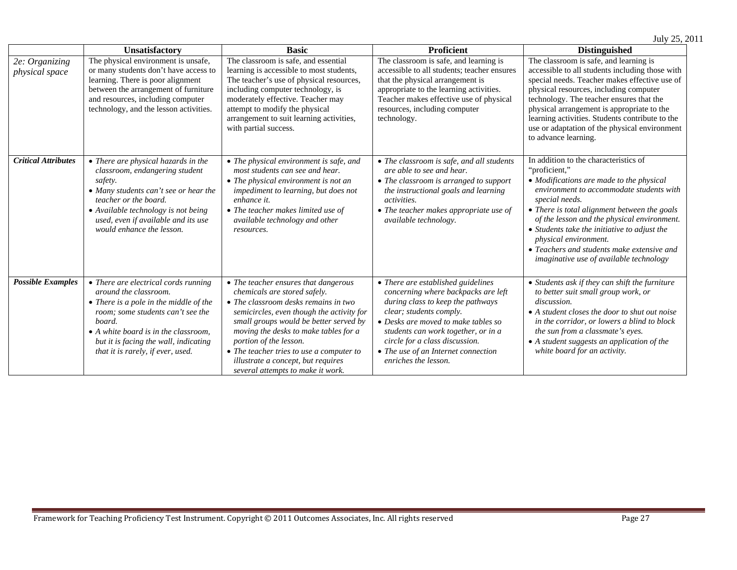|                                  | Unsatisfactory                                                                                                                                                                                                                                                               | <b>Basic</b>                                                                                                                                                                                                                                                                                                                                                                                  | Proficient                                                                                                                                                                                                                                                                                                               | <b>Distinguished</b>                                                                                                                                                                                                                                                                                                                                                                                                              |
|----------------------------------|------------------------------------------------------------------------------------------------------------------------------------------------------------------------------------------------------------------------------------------------------------------------------|-----------------------------------------------------------------------------------------------------------------------------------------------------------------------------------------------------------------------------------------------------------------------------------------------------------------------------------------------------------------------------------------------|--------------------------------------------------------------------------------------------------------------------------------------------------------------------------------------------------------------------------------------------------------------------------------------------------------------------------|-----------------------------------------------------------------------------------------------------------------------------------------------------------------------------------------------------------------------------------------------------------------------------------------------------------------------------------------------------------------------------------------------------------------------------------|
| 2e: Organizing<br>physical space | The physical environment is unsafe,<br>or many students don't have access to<br>learning. There is poor alignment<br>between the arrangement of furniture<br>and resources, including computer<br>technology, and the lesson activities.                                     | The classroom is safe, and essential<br>learning is accessible to most students,<br>The teacher's use of physical resources,<br>including computer technology, is<br>moderately effective. Teacher may<br>attempt to modify the physical<br>arrangement to suit learning activities,<br>with partial success.                                                                                 | The classroom is safe, and learning is<br>accessible to all students; teacher ensures<br>that the physical arrangement is<br>appropriate to the learning activities.<br>Teacher makes effective use of physical<br>resources, including computer<br>technology.                                                          | The classroom is safe, and learning is<br>accessible to all students including those with<br>special needs. Teacher makes effective use of<br>physical resources, including computer<br>technology. The teacher ensures that the<br>physical arrangement is appropriate to the<br>learning activities. Students contribute to the<br>use or adaptation of the physical environment<br>to advance learning.                        |
| <b>Critical Attributes</b>       | • There are physical hazards in the<br>classroom, endangering student<br>safety.<br>• Many students can't see or hear the<br>teacher or the board.<br>• Available technology is not being<br>used, even if available and its use<br>would enhance the lesson.                | • The physical environment is safe, and<br>most students can see and hear.<br>$\bullet$ The physical environment is not an<br>impediment to learning, but does not<br>enhance it.<br>• The teacher makes limited use of<br>available technology and other<br>resources.                                                                                                                       | • The classroom is safe, and all students<br>are able to see and hear.<br>• The classroom is arranged to support<br>the instructional goals and learning<br><i>activities.</i><br>$\bullet$ The teacher makes appropriate use of<br>available technology.                                                                | In addition to the characteristics of<br>"proficient,"<br>• Modifications are made to the physical<br>environment to accommodate students with<br>special needs.<br>• There is total alignment between the goals<br>of the lesson and the physical environment.<br>• Students take the initiative to adjust the<br>physical environment.<br>• Teachers and students make extensive and<br>imaginative use of available technology |
| <b>Possible Examples</b>         | • There are electrical cords running<br>around the classroom.<br>• There is a pole in the middle of the<br>room; some students can't see the<br>board.<br>• A white board is in the classroom.<br>but it is facing the wall, indicating<br>that it is rarely, if ever, used. | • The teacher ensures that dangerous<br>chemicals are stored safely.<br>• The classroom desks remains in two<br>semicircles, even though the activity for<br>small groups would be better served by<br>moving the desks to make tables for a<br>portion of the lesson.<br>• The teacher tries to use a computer to<br>illustrate a concept, but requires<br>several attempts to make it work. | • There are established guidelines<br>concerning where backpacks are left<br>during class to keep the pathways<br>clear; students comply.<br>• Desks are moved to make tables so<br>students can work together, or in a<br>circle for a class discussion.<br>• The use of an Internet connection<br>enriches the lesson. | • Students ask if they can shift the furniture<br>to better suit small group work, or<br>discussion.<br>• A student closes the door to shut out noise<br>in the corridor, or lowers a blind to block<br>the sun from a classmate's eyes.<br>• A student suggests an application of the<br>white board for an activity.                                                                                                            |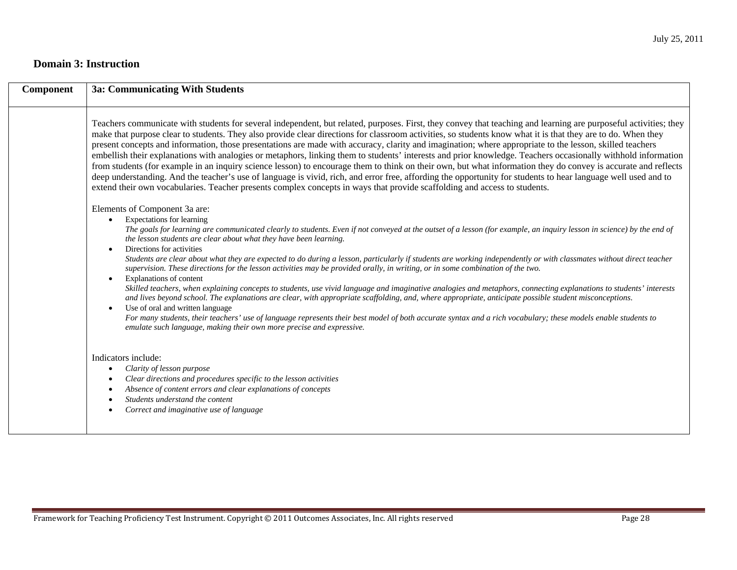#### **Domain 3: Instruction**

| <b>Component</b> | <b>3a: Communicating With Students</b>                                                                                                                                                                                                                                                                                                                                                                                                                                                                                                                                                                                                                                                                                                                                                                                                                                                                                                                                                                                                                                                                                                                                                                                                                                                                                                            |
|------------------|---------------------------------------------------------------------------------------------------------------------------------------------------------------------------------------------------------------------------------------------------------------------------------------------------------------------------------------------------------------------------------------------------------------------------------------------------------------------------------------------------------------------------------------------------------------------------------------------------------------------------------------------------------------------------------------------------------------------------------------------------------------------------------------------------------------------------------------------------------------------------------------------------------------------------------------------------------------------------------------------------------------------------------------------------------------------------------------------------------------------------------------------------------------------------------------------------------------------------------------------------------------------------------------------------------------------------------------------------|
|                  | Teachers communicate with students for several independent, but related, purposes. First, they convey that teaching and learning are purposeful activities; they<br>make that purpose clear to students. They also provide clear directions for classroom activities, so students know what it is that they are to do. When they<br>present concepts and information, those presentations are made with accuracy, clarity and imagination; where appropriate to the lesson, skilled teachers<br>embellish their explanations with analogies or metaphors, linking them to students' interests and prior knowledge. Teachers occasionally withhold information<br>from students (for example in an inquiry science lesson) to encourage them to think on their own, but what information they do convey is accurate and reflects<br>deep understanding. And the teacher's use of language is vivid, rich, and error free, affording the opportunity for students to hear language well used and to<br>extend their own vocabularies. Teacher presents complex concepts in ways that provide scaffolding and access to students.                                                                                                                                                                                                                    |
|                  | Elements of Component 3a are:<br><b>Expectations</b> for learning<br>$\bullet$<br>The goals for learning are communicated clearly to students. Even if not conveyed at the outset of a lesson (for example, an inquiry lesson in science) by the end of<br>the lesson students are clear about what they have been learning.<br>Directions for activities<br>$\bullet$<br>Students are clear about what they are expected to do during a lesson, particularly if students are working independently or with classmates without direct teacher<br>supervision. These directions for the lesson activities may be provided orally, in writing, or in some combination of the two.<br>Explanations of content<br>$\bullet$<br>Skilled teachers, when explaining concepts to students, use vivid language and imaginative analogies and metaphors, connecting explanations to students' interests<br>and lives beyond school. The explanations are clear, with appropriate scaffolding, and, where appropriate, anticipate possible student misconceptions.<br>Use of oral and written language<br>$\bullet$<br>For many students, their teachers' use of language represents their best model of both accurate syntax and a rich vocabulary; these models enable students to<br>emulate such language, making their own more precise and expressive. |
|                  | Indicators include:<br>Clarity of lesson purpose<br>$\bullet$<br>Clear directions and procedures specific to the lesson activities<br>٠<br>Absence of content errors and clear explanations of concepts<br>Students understand the content<br>Correct and imaginative use of language                                                                                                                                                                                                                                                                                                                                                                                                                                                                                                                                                                                                                                                                                                                                                                                                                                                                                                                                                                                                                                                             |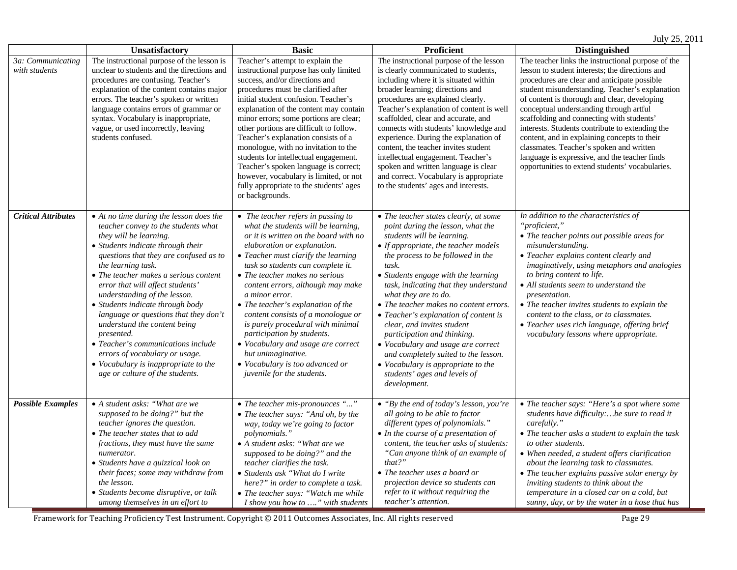|                                    | Unsatisfactory                                                                                                                                                                                                                                                                                                                                                                                                                                                                                                                                                                                                   | <b>Basic</b>                                                                                                                                                                                                                                                                                                                                                                                                                                                                                                                                                                                       | Proficient                                                                                                                                                                                                                                                                                                                                                                                                                                                                                                                                                                                                                 | <b>Distinguished</b>                                                                                                                                                                                                                                                                                                                                                                                                                                                                                                                                                                                |
|------------------------------------|------------------------------------------------------------------------------------------------------------------------------------------------------------------------------------------------------------------------------------------------------------------------------------------------------------------------------------------------------------------------------------------------------------------------------------------------------------------------------------------------------------------------------------------------------------------------------------------------------------------|----------------------------------------------------------------------------------------------------------------------------------------------------------------------------------------------------------------------------------------------------------------------------------------------------------------------------------------------------------------------------------------------------------------------------------------------------------------------------------------------------------------------------------------------------------------------------------------------------|----------------------------------------------------------------------------------------------------------------------------------------------------------------------------------------------------------------------------------------------------------------------------------------------------------------------------------------------------------------------------------------------------------------------------------------------------------------------------------------------------------------------------------------------------------------------------------------------------------------------------|-----------------------------------------------------------------------------------------------------------------------------------------------------------------------------------------------------------------------------------------------------------------------------------------------------------------------------------------------------------------------------------------------------------------------------------------------------------------------------------------------------------------------------------------------------------------------------------------------------|
| 3a: Communicating<br>with students | The instructional purpose of the lesson is<br>unclear to students and the directions and<br>procedures are confusing. Teacher's<br>explanation of the content contains major<br>errors. The teacher's spoken or written<br>language contains errors of grammar or<br>syntax. Vocabulary is inappropriate,<br>vague, or used incorrectly, leaving<br>students confused.                                                                                                                                                                                                                                           | Teacher's attempt to explain the<br>instructional purpose has only limited<br>success, and/or directions and<br>procedures must be clarified after<br>initial student confusion. Teacher's<br>explanation of the content may contain<br>minor errors; some portions are clear;<br>other portions are difficult to follow.<br>Teacher's explanation consists of a<br>monologue, with no invitation to the<br>students for intellectual engagement.<br>Teacher's spoken language is correct;<br>however, vocabulary is limited, or not<br>fully appropriate to the students' ages<br>or backgrounds. | The instructional purpose of the lesson<br>is clearly communicated to students,<br>including where it is situated within<br>broader learning; directions and<br>procedures are explained clearly.<br>Teacher's explanation of content is well<br>scaffolded, clear and accurate, and<br>connects with students' knowledge and<br>experience. During the explanation of<br>content, the teacher invites student<br>intellectual engagement. Teacher's<br>spoken and written language is clear<br>and correct. Vocabulary is appropriate<br>to the students' ages and interests.                                             | The teacher links the instructional purpose of the<br>lesson to student interests; the directions and<br>procedures are clear and anticipate possible<br>student misunderstanding. Teacher's explanation<br>of content is thorough and clear, developing<br>conceptual understanding through artful<br>scaffolding and connecting with students'<br>interests. Students contribute to extending the<br>content, and in explaining concepts to their<br>classmates. Teacher's spoken and written<br>language is expressive, and the teacher finds<br>opportunities to extend students' vocabularies. |
| <b>Critical Attributes</b>         | $\bullet$ At no time during the lesson does the<br>teacher convey to the students what<br>they will be learning.<br>• Students indicate through their<br>questions that they are confused as to<br>the learning task.<br>• The teacher makes a serious content<br>error that will affect students'<br>understanding of the lesson.<br>• Students indicate through body<br>language or questions that they don't<br>understand the content being<br>presented.<br>• Teacher's communications include<br>errors of vocabulary or usage.<br>• Vocabulary is inappropriate to the<br>age or culture of the students. | • The teacher refers in passing to<br>what the students will be learning,<br>or it is written on the board with no<br>elaboration or explanation.<br>• Teacher must clarify the learning<br>task so students can complete it.<br>• The teacher makes no serious<br>content errors, although may make<br>a minor error.<br>• The teacher's explanation of the<br>content consists of a monologue or<br>is purely procedural with minimal<br>participation by students.<br>• Vocabulary and usage are correct<br>but unimaginative.<br>• Vocabulary is too advanced or<br>juvenile for the students. | • The teacher states clearly, at some<br>point during the lesson, what the<br>students will be learning.<br>• If appropriate, the teacher models<br>the process to be followed in the<br>task.<br>• Students engage with the learning<br>task, indicating that they understand<br>what they are to do.<br>• The teacher makes no content errors.<br>• Teacher's explanation of content is<br>clear, and invites student<br>participation and thinking.<br>• Vocabulary and usage are correct<br>and completely suited to the lesson.<br>• Vocabulary is appropriate to the<br>students' ages and levels of<br>development. | In addition to the characteristics of<br>"proficient,"<br>• The teacher points out possible areas for<br>misunderstanding.<br>• Teacher explains content clearly and<br>imaginatively, using metaphors and analogies<br>to bring content to life.<br>• All students seem to understand the<br>presentation.<br>• The teacher invites students to explain the<br>content to the class, or to classmates.<br>• Teacher uses rich language, offering brief<br>vocabulary lessons where appropriate.                                                                                                    |
| <b>Possible Examples</b>           | • A student asks: "What are we<br>supposed to be doing?" but the<br>teacher ignores the question.<br>• The teacher states that to add<br>fractions, they must have the same<br>numerator.<br>• Students have a quizzical look on<br>their faces; some may withdraw from<br>the lesson.<br>• Students become disruptive, or talk<br>among themselves in an effort to                                                                                                                                                                                                                                              | • The teacher mis-pronounces ""<br>• The teacher says: "And oh, by the<br>way, today we're going to factor<br>polynomials."<br>• A student asks: "What are we<br>supposed to be doing?" and the<br>teacher clarifies the task.<br>• Students ask "What do I write<br>here?" in order to complete a task.<br>• The teacher says: "Watch me while<br>I show you how to " with students                                                                                                                                                                                                               | • "By the end of today's lesson, you're<br>all going to be able to factor<br>different types of polynomials."<br>$\bullet$ In the course of a presentation of<br>content, the teacher asks of students:<br>"Can anyone think of an example of<br>$that?$ "<br>• The teacher uses a board or<br>projection device so students can<br>refer to it without requiring the<br>teacher's attention.                                                                                                                                                                                                                              | • The teacher says: "Here's a spot where some<br>students have difficulty:be sure to read it<br>carefully."<br>• The teacher asks a student to explain the task<br>to other students.<br>• When needed, a student offers clarification<br>about the learning task to classmates.<br>• The teacher explains passive solar energy by<br>inviting students to think about the<br>temperature in a closed car on a cold, but<br>sunny, day, or by the water in a hose that has                                                                                                                          |

Framework for Teaching Proficiency Test Instrument. Copyright © 2011 Outcomes Associates, Inc. All rights reserved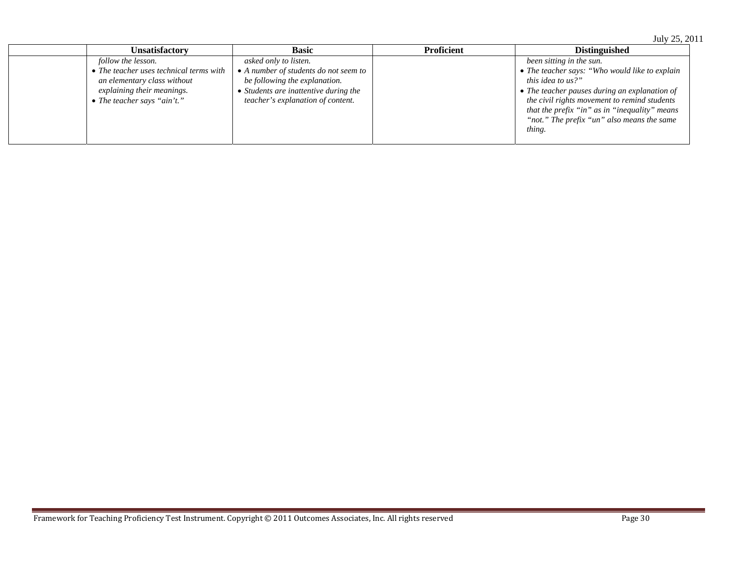| Unsatisfactorv                                                                                                             | <b>Basic</b>                                                                                                                             | <b>Proficient</b> | <b>Distinguished</b>                                                                                                                                  |
|----------------------------------------------------------------------------------------------------------------------------|------------------------------------------------------------------------------------------------------------------------------------------|-------------------|-------------------------------------------------------------------------------------------------------------------------------------------------------|
| follow the lesson.<br>• The teacher uses technical terms with<br>an elementary class without<br>explaining their meanings. | asked only to listen.<br>• A number of students do not seem to<br>be following the explanation.<br>• Students are inattentive during the |                   | been sitting in the sun.<br>• The teacher says: "Who would like to explain<br>this idea to us?"<br>• The teacher pauses during an explanation of      |
| • The teacher says "ain't."                                                                                                | teacher's explanation of content.                                                                                                        |                   | the civil rights movement to remind students<br>that the prefix "in" as in "inequality" means<br>"not." The prefix "un" also means the same<br>thing. |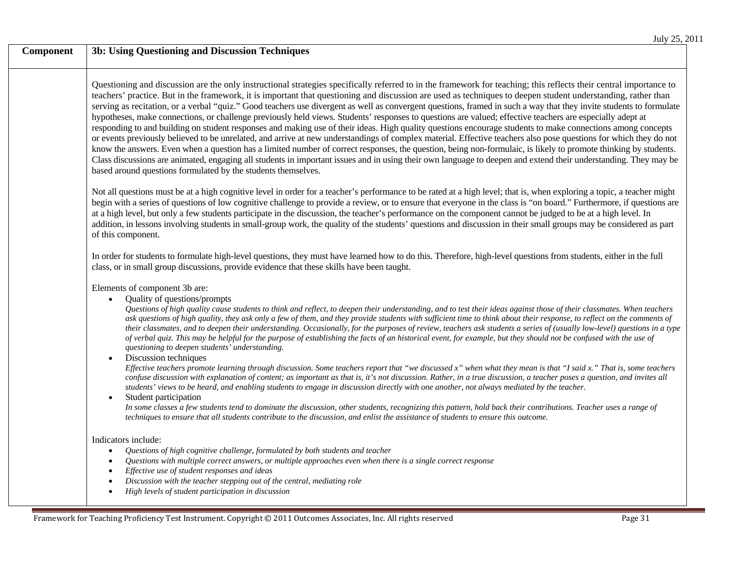| <b>Component</b> | 3b: Using Questioning and Discussion Techniques                                                                                                                                                                                                                                                                                                                                                                                                                                                                                                                                                                                                                                                                                                                                                                                                                                                                                                                                                                                                                                                                                                                                                                                                                                                                                                                                                                                                                                                                                                                                                                                                                                                           |  |  |  |
|------------------|-----------------------------------------------------------------------------------------------------------------------------------------------------------------------------------------------------------------------------------------------------------------------------------------------------------------------------------------------------------------------------------------------------------------------------------------------------------------------------------------------------------------------------------------------------------------------------------------------------------------------------------------------------------------------------------------------------------------------------------------------------------------------------------------------------------------------------------------------------------------------------------------------------------------------------------------------------------------------------------------------------------------------------------------------------------------------------------------------------------------------------------------------------------------------------------------------------------------------------------------------------------------------------------------------------------------------------------------------------------------------------------------------------------------------------------------------------------------------------------------------------------------------------------------------------------------------------------------------------------------------------------------------------------------------------------------------------------|--|--|--|
|                  | Questioning and discussion are the only instructional strategies specifically referred to in the framework for teaching; this reflects their central importance to<br>teachers' practice. But in the framework, it is important that questioning and discussion are used as techniques to deepen student understanding, rather than<br>serving as recitation, or a verbal "quiz." Good teachers use divergent as well as convergent questions, framed in such a way that they invite students to formulate<br>hypotheses, make connections, or challenge previously held views. Students' responses to questions are valued; effective teachers are especially adept at<br>responding to and building on student responses and making use of their ideas. High quality questions encourage students to make connections among concepts<br>or events previously believed to be unrelated, and arrive at new understandings of complex material. Effective teachers also pose questions for which they do not<br>know the answers. Even when a question has a limited number of correct responses, the question, being non-formulaic, is likely to promote thinking by students.<br>Class discussions are animated, engaging all students in important issues and in using their own language to deepen and extend their understanding. They may be<br>based around questions formulated by the students themselves.                                                                                                                                                                                                                                                                                        |  |  |  |
|                  | Not all questions must be at a high cognitive level in order for a teacher's performance to be rated at a high level; that is, when exploring a topic, a teacher might<br>begin with a series of questions of low cognitive challenge to provide a review, or to ensure that everyone in the class is "on board." Furthermore, if questions are<br>at a high level, but only a few students participate in the discussion, the teacher's performance on the component cannot be judged to be at a high level. In<br>addition, in lessons involving students in small-group work, the quality of the students' questions and discussion in their small groups may be considered as part<br>of this component.                                                                                                                                                                                                                                                                                                                                                                                                                                                                                                                                                                                                                                                                                                                                                                                                                                                                                                                                                                                              |  |  |  |
|                  | In order for students to formulate high-level questions, they must have learned how to do this. Therefore, high-level questions from students, either in the full<br>class, or in small group discussions, provide evidence that these skills have been taught.                                                                                                                                                                                                                                                                                                                                                                                                                                                                                                                                                                                                                                                                                                                                                                                                                                                                                                                                                                                                                                                                                                                                                                                                                                                                                                                                                                                                                                           |  |  |  |
|                  | Elements of component 3b are:<br>Quality of questions/prompts<br>Questions of high quality cause students to think and reflect, to deepen their understanding, and to test their ideas against those of their classmates. When teachers<br>ask questions of high quality, they ask only a few of them, and they provide students with sufficient time to think about their response, to reflect on the comments of<br>their classmates, and to deepen their understanding. Occasionally, for the purposes of review, teachers ask students a series of (usually low-level) questions in a type<br>of verbal quiz. This may be helpful for the purpose of establishing the facts of an historical event, for example, but they should not be confused with the use of<br>questioning to deepen students' understanding.<br>Discussion techniques<br>$\bullet$<br>Effective teachers promote learning through discussion. Some teachers report that "we discussed x" when what they mean is that "I said x." That is, some teachers<br>confuse discussion with explanation of content; as important as that is, it's not discussion. Rather, in a true discussion, a teacher poses a question, and invites all<br>students' views to be heard, and enabling students to engage in discussion directly with one another, not always mediated by the teacher.<br>Student participation<br>$\bullet$<br>In some classes a few students tend to dominate the discussion, other students, recognizing this pattern, hold back their contributions. Teacher uses a range of<br>techniques to ensure that all students contribute to the discussion, and enlist the assistance of students to ensure this outcome. |  |  |  |
|                  | Indicators include:<br>Questions of high cognitive challenge, formulated by both students and teacher<br>$\bullet$<br>Questions with multiple correct answers, or multiple approaches even when there is a single correct response<br>Effective use of student responses and ideas<br>Discussion with the teacher stepping out of the central, mediating role<br>High levels of student participation in discussion<br>$\bullet$                                                                                                                                                                                                                                                                                                                                                                                                                                                                                                                                                                                                                                                                                                                                                                                                                                                                                                                                                                                                                                                                                                                                                                                                                                                                          |  |  |  |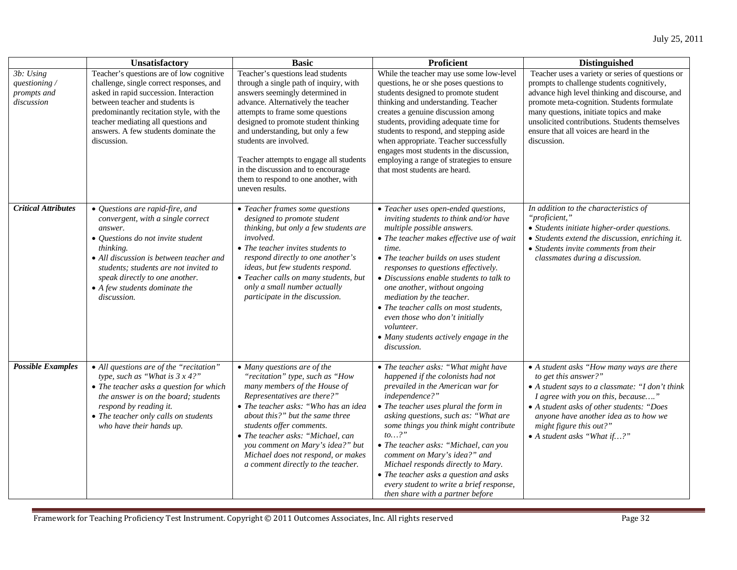|                                                                  | <b>Unsatisfactory</b>                                                                                                                                                                                                                                                                                           | <b>Basic</b>                                                                                                                                                                                                                                                                                                                                                                                                                                | Proficient                                                                                                                                                                                                                                                                                                                                                                                                                                                                                                          | <b>Distinguished</b>                                                                                                                                                                                                                                                                                                                                   |
|------------------------------------------------------------------|-----------------------------------------------------------------------------------------------------------------------------------------------------------------------------------------------------------------------------------------------------------------------------------------------------------------|---------------------------------------------------------------------------------------------------------------------------------------------------------------------------------------------------------------------------------------------------------------------------------------------------------------------------------------------------------------------------------------------------------------------------------------------|---------------------------------------------------------------------------------------------------------------------------------------------------------------------------------------------------------------------------------------------------------------------------------------------------------------------------------------------------------------------------------------------------------------------------------------------------------------------------------------------------------------------|--------------------------------------------------------------------------------------------------------------------------------------------------------------------------------------------------------------------------------------------------------------------------------------------------------------------------------------------------------|
| 3b: Using<br>questioning $\sqrt{ }$<br>prompts and<br>discussion | Teacher's questions are of low cognitive<br>challenge, single correct responses, and<br>asked in rapid succession. Interaction<br>between teacher and students is<br>predominantly recitation style, with the<br>teacher mediating all questions and<br>answers. A few students dominate the<br>discussion.     | Teacher's questions lead students<br>through a single path of inquiry, with<br>answers seemingly determined in<br>advance. Alternatively the teacher<br>attempts to frame some questions<br>designed to promote student thinking<br>and understanding, but only a few<br>students are involved.<br>Teacher attempts to engage all students<br>in the discussion and to encourage<br>them to respond to one another, with<br>uneven results. | While the teacher may use some low-level<br>questions, he or she poses questions to<br>students designed to promote student<br>thinking and understanding. Teacher<br>creates a genuine discussion among<br>students, providing adequate time for<br>students to respond, and stepping aside<br>when appropriate. Teacher successfully<br>engages most students in the discussion,<br>employing a range of strategies to ensure<br>that most students are heard.                                                    | Teacher uses a variety or series of questions or<br>prompts to challenge students cognitively,<br>advance high level thinking and discourse, and<br>promote meta-cognition. Students formulate<br>many questions, initiate topics and make<br>unsolicited contributions. Students themselves<br>ensure that all voices are heard in the<br>discussion. |
| <b>Critical Attributes</b>                                       | • Questions are rapid-fire, and<br>convergent, with a single correct<br>answer.<br>• Questions do not invite student<br>thinking.<br>• All discussion is between teacher and<br>students; students are not invited to<br>speak directly to one another.<br>$\bullet$ A few students dominate the<br>discussion. | • Teacher frames some questions<br>designed to promote student<br>thinking, but only a few students are<br>involved.<br>• The teacher invites students to<br>respond directly to one another's<br>ideas, but few students respond.<br>• Teacher calls on many students, but<br>only a small number actually<br>participate in the discussion.                                                                                               | • Teacher uses open-ended questions,<br>inviting students to think and/or have<br>multiple possible answers.<br>• The teacher makes effective use of wait<br>time.<br>• The teacher builds on uses student<br>responses to questions effectively.<br>• Discussions enable students to talk to<br>one another, without ongoing<br>mediation by the teacher.<br>• The teacher calls on most students,<br>even those who don't initially<br><i>volunteer.</i><br>• Many students actively engage in the<br>discussion. | In addition to the characteristics of<br>"proficient,"<br>• Students initiate higher-order questions.<br>• Students extend the discussion, enriching it.<br>• Students invite comments from their<br>classmates during a discussion.                                                                                                                   |
| <b>Possible Examples</b>                                         | • All questions are of the "recitation"<br>type, such as "What is $3x4?"$<br>• The teacher asks a question for which<br>the answer is on the board; students<br>respond by reading it.<br>• The teacher only calls on students<br>who have their hands up.                                                      | • Many questions are of the<br>"recitation" type, such as "How<br>many members of the House of<br>Representatives are there?"<br>• The teacher asks: "Who has an idea<br>about this?" but the same three<br>students offer comments.<br>• The teacher asks: "Michael, can<br>you comment on Mary's idea?" but<br>Michael does not respond, or makes<br>a comment directly to the teacher.                                                   | • The teacher asks: "What might have<br>happened if the colonists had not<br>prevailed in the American war for<br>independence?"<br>• The teacher uses plural the form in<br>asking questions, such as: "What are<br>some things you think might contribute<br>$to?$ "<br>• The teacher asks: "Michael, can you<br>comment on Mary's idea?" and<br>Michael responds directly to Mary.<br>• The teacher asks a question and asks<br>every student to write a brief response,<br>then share with a partner before     | • A student asks "How many ways are there<br>to get this answer?"<br>• A student says to a classmate: "I don't think<br>I agree with you on this, because"<br>• A student asks of other students: "Does<br>anyone have another idea as to how we<br>might figure this out?"<br>• A student asks "What if?"                                             |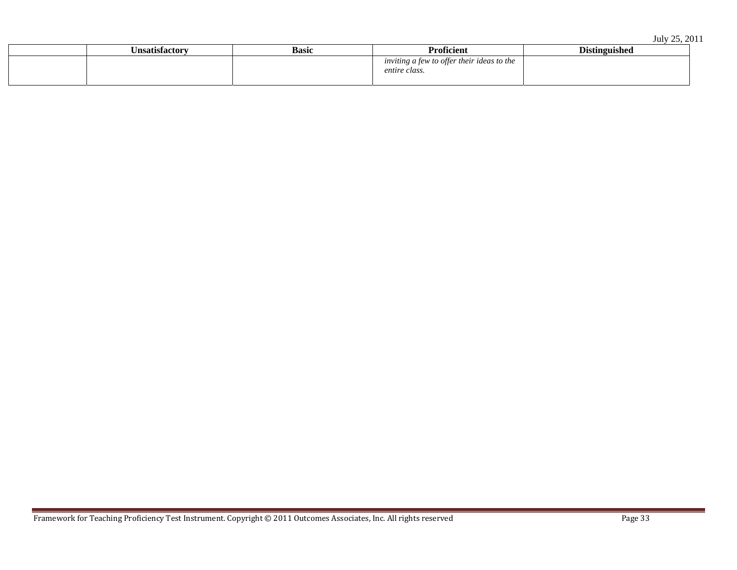| Unsatisfactorv | <b>Basic</b> | .<br>Proficient                                             | --<br>Distinguished |
|----------------|--------------|-------------------------------------------------------------|---------------------|
|                |              | inviting a few to offer their ideas to the<br>entire class. |                     |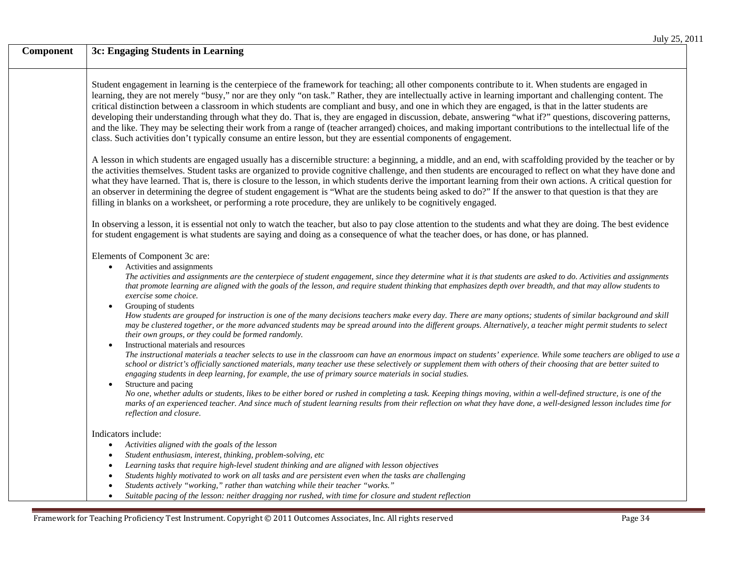| Component | 3c: Engaging Students in Learning                                                                                                                                                                                                                                                                                                                                                                                                                                                                                                                                                                                                                                                                                                                                                                                                                                                                                                     |
|-----------|---------------------------------------------------------------------------------------------------------------------------------------------------------------------------------------------------------------------------------------------------------------------------------------------------------------------------------------------------------------------------------------------------------------------------------------------------------------------------------------------------------------------------------------------------------------------------------------------------------------------------------------------------------------------------------------------------------------------------------------------------------------------------------------------------------------------------------------------------------------------------------------------------------------------------------------|
|           | Student engagement in learning is the centerpiece of the framework for teaching; all other components contribute to it. When students are engaged in<br>learning, they are not merely "busy," nor are they only "on task." Rather, they are intellectually active in learning important and challenging content. The<br>critical distinction between a classroom in which students are compliant and busy, and one in which they are engaged, is that in the latter students are<br>developing their understanding through what they do. That is, they are engaged in discussion, debate, answering "what if?" questions, discovering patterns,<br>and the like. They may be selecting their work from a range of (teacher arranged) choices, and making important contributions to the intellectual life of the<br>class. Such activities don't typically consume an entire lesson, but they are essential components of engagement. |
|           | A lesson in which students are engaged usually has a discernible structure: a beginning, a middle, and an end, with scaffolding provided by the teacher or by<br>the activities themselves. Student tasks are organized to provide cognitive challenge, and then students are encouraged to reflect on what they have done and<br>what they have learned. That is, there is closure to the lesson, in which students derive the important learning from their own actions. A critical question for<br>an observer in determining the degree of student engagement is "What are the students being asked to do?" If the answer to that question is that they are<br>filling in blanks on a worksheet, or performing a rote procedure, they are unlikely to be cognitively engaged.                                                                                                                                                     |
|           | In observing a lesson, it is essential not only to watch the teacher, but also to pay close attention to the students and what they are doing. The best evidence<br>for student engagement is what students are saying and doing as a consequence of what the teacher does, or has done, or has planned.                                                                                                                                                                                                                                                                                                                                                                                                                                                                                                                                                                                                                              |
|           | Elements of Component 3c are:<br>Activities and assignments<br>The activities and assignments are the centerpiece of student engagement, since they determine what it is that students are asked to do. Activities and assignments<br>that promote learning are aligned with the goals of the lesson, and require student thinking that emphasizes depth over breadth, and that may allow students to<br>exercise some choice.<br>Grouping of students<br>$\bullet$                                                                                                                                                                                                                                                                                                                                                                                                                                                                   |
|           | How students are grouped for instruction is one of the many decisions teachers make every day. There are many options; students of similar background and skill<br>may be clustered together, or the more advanced students may be spread around into the different groups. Alternatively, a teacher might permit students to select<br>their own groups, or they could be formed randomly.<br>Instructional materials and resources                                                                                                                                                                                                                                                                                                                                                                                                                                                                                                  |
|           | $\bullet$<br>The instructional materials a teacher selects to use in the classroom can have an enormous impact on students' experience. While some teachers are obliged to use a<br>school or district's officially sanctioned materials, many teacher use these selectively or supplement them with others of their choosing that are better suited to<br>engaging students in deep learning, for example, the use of primary source materials in social studies.<br>Structure and pacing<br>$\bullet$                                                                                                                                                                                                                                                                                                                                                                                                                               |
|           | No one, whether adults or students, likes to be either bored or rushed in completing a task. Keeping things moving, within a well-defined structure, is one of the<br>marks of an experienced teacher. And since much of student learning results from their reflection on what they have done, a well-designed lesson includes time for<br>reflection and closure.                                                                                                                                                                                                                                                                                                                                                                                                                                                                                                                                                                   |
|           | Indicators include:                                                                                                                                                                                                                                                                                                                                                                                                                                                                                                                                                                                                                                                                                                                                                                                                                                                                                                                   |
|           | Activities aligned with the goals of the lesson<br>$\bullet$                                                                                                                                                                                                                                                                                                                                                                                                                                                                                                                                                                                                                                                                                                                                                                                                                                                                          |
|           | Student enthusiasm, interest, thinking, problem-solving, etc<br>Learning tasks that require high-level student thinking and are aligned with lesson objectives                                                                                                                                                                                                                                                                                                                                                                                                                                                                                                                                                                                                                                                                                                                                                                        |
|           | Students highly motivated to work on all tasks and are persistent even when the tasks are challenging<br>$\bullet$                                                                                                                                                                                                                                                                                                                                                                                                                                                                                                                                                                                                                                                                                                                                                                                                                    |
|           | Students actively "working," rather than watching while their teacher "works."                                                                                                                                                                                                                                                                                                                                                                                                                                                                                                                                                                                                                                                                                                                                                                                                                                                        |
|           | Suitable pacing of the lesson: neither dragging nor rushed, with time for closure and student reflection                                                                                                                                                                                                                                                                                                                                                                                                                                                                                                                                                                                                                                                                                                                                                                                                                              |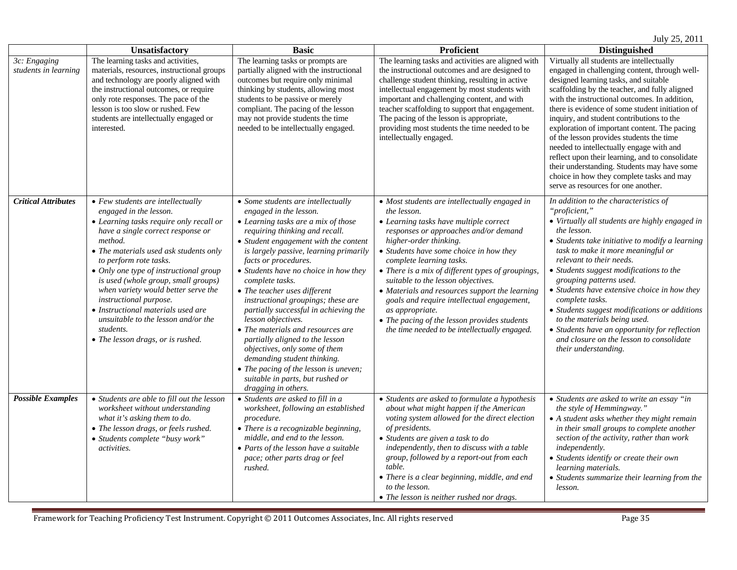|                                      | Unsatisfactory                                                                                                                                                                                                                                                                                                                                                                                                                                                                                                      | <b>Basic</b>                                                                                                                                                                                                                                                                                                                                                                                                                                                                                                                                                                                                                                                                                  | <b>Proficient</b>                                                                                                                                                                                                                                                                                                                                                                                                                                                                                                                                               | <b>Distinguished</b>                                                                                                                                                                                                                                                                                                                                                                                                                                                                                                                                                                                                                                                |
|--------------------------------------|---------------------------------------------------------------------------------------------------------------------------------------------------------------------------------------------------------------------------------------------------------------------------------------------------------------------------------------------------------------------------------------------------------------------------------------------------------------------------------------------------------------------|-----------------------------------------------------------------------------------------------------------------------------------------------------------------------------------------------------------------------------------------------------------------------------------------------------------------------------------------------------------------------------------------------------------------------------------------------------------------------------------------------------------------------------------------------------------------------------------------------------------------------------------------------------------------------------------------------|-----------------------------------------------------------------------------------------------------------------------------------------------------------------------------------------------------------------------------------------------------------------------------------------------------------------------------------------------------------------------------------------------------------------------------------------------------------------------------------------------------------------------------------------------------------------|---------------------------------------------------------------------------------------------------------------------------------------------------------------------------------------------------------------------------------------------------------------------------------------------------------------------------------------------------------------------------------------------------------------------------------------------------------------------------------------------------------------------------------------------------------------------------------------------------------------------------------------------------------------------|
| 3c: Engaging<br>students in learning | The learning tasks and activities,<br>materials, resources, instructional groups<br>and technology are poorly aligned with<br>the instructional outcomes, or require<br>only rote responses. The pace of the<br>lesson is too slow or rushed. Few<br>students are intellectually engaged or<br>interested.                                                                                                                                                                                                          | The learning tasks or prompts are<br>partially aligned with the instructional<br>outcomes but require only minimal<br>thinking by students, allowing most<br>students to be passive or merely<br>compliant. The pacing of the lesson<br>may not provide students the time<br>needed to be intellectually engaged.                                                                                                                                                                                                                                                                                                                                                                             | The learning tasks and activities are aligned with<br>the instructional outcomes and are designed to<br>challenge student thinking, resulting in active<br>intellectual engagement by most students with<br>important and challenging content, and with<br>teacher scaffolding to support that engagement.<br>The pacing of the lesson is appropriate,<br>providing most students the time needed to be<br>intellectually engaged.                                                                                                                              | Virtually all students are intellectually<br>engaged in challenging content, through well-<br>designed learning tasks, and suitable<br>scaffolding by the teacher, and fully aligned<br>with the instructional outcomes. In addition,<br>there is evidence of some student initiation of<br>inquiry, and student contributions to the<br>exploration of important content. The pacing<br>of the lesson provides students the time<br>needed to intellectually engage with and<br>reflect upon their learning, and to consolidate<br>their understanding. Students may have some<br>choice in how they complete tasks and may<br>serve as resources for one another. |
| <b>Critical Attributes</b>           | $\bullet$ Few students are intellectually<br>engaged in the lesson.<br>• Learning tasks require only recall or<br>have a single correct response or<br>method.<br>• The materials used ask students only<br>to perform rote tasks.<br>• Only one type of instructional group<br>is used (whole group, small groups)<br>when variety would better serve the<br>instructional purpose.<br>• Instructional materials used are<br>unsuitable to the lesson and/or the<br>students.<br>• The lesson drags, or is rushed. | • Some students are intellectually<br>engaged in the lesson.<br>• Learning tasks are a mix of those<br>requiring thinking and recall.<br>• Student engagement with the content<br>is largely passive, learning primarily<br>facts or procedures.<br>• Students have no choice in how they<br>complete tasks.<br>• The teacher uses different<br>instructional groupings; these are<br>partially successful in achieving the<br>lesson objectives.<br>• The materials and resources are<br>partially aligned to the lesson<br>objectives, only some of them<br>demanding student thinking.<br>• The pacing of the lesson is uneven;<br>suitable in parts, but rushed or<br>dragging in others. | • Most students are intellectually engaged in<br>the lesson.<br>• Learning tasks have multiple correct<br>responses or approaches and/or demand<br>higher-order thinking.<br>• Students have some choice in how they<br>complete learning tasks.<br>• There is a mix of different types of groupings,<br>suitable to the lesson objectives.<br>• Materials and resources support the learning<br>goals and require intellectual engagement,<br>as appropriate.<br>• The pacing of the lesson provides students<br>the time needed to be intellectually engaged. | In addition to the characteristics of<br>"proficient,"<br>• Virtually all students are highly engaged in<br>the lesson.<br>• Students take initiative to modify a learning<br>task to make it more meaningful or<br>relevant to their needs.<br>• Students suggest modifications to the<br>grouping patterns used.<br>• Students have extensive choice in how they<br>complete tasks.<br>• Students suggest modifications or additions<br>to the materials being used.<br>• Students have an opportunity for reflection<br>and closure on the lesson to consolidate<br>their understanding.                                                                         |
| <b>Possible Examples</b>             | • Students are able to fill out the lesson<br>worksheet without understanding<br>what it's asking them to do.<br>• The lesson drags, or feels rushed.<br>• Students complete "busy work"<br>activities.                                                                                                                                                                                                                                                                                                             | • Students are asked to fill in a<br>worksheet, following an established<br>procedure.<br>• There is a recognizable beginning,<br>middle, and end to the lesson.<br>• Parts of the lesson have a suitable<br>pace; other parts drag or feel<br>rushed.                                                                                                                                                                                                                                                                                                                                                                                                                                        | • Students are asked to formulate a hypothesis<br>about what might happen if the American<br>voting system allowed for the direct election<br>of presidents.<br>• Students are given a task to do<br>independently, then to discuss with a table<br>group, followed by a report-out from each<br>table.<br>• There is a clear beginning, middle, and end<br>to the lesson.<br>• The lesson is neither rushed nor drags.                                                                                                                                         | • Students are asked to write an essay "in<br>the style of Hemmingway."<br>• A student asks whether they might remain<br>in their small groups to complete another<br>section of the activity, rather than work<br>independently.<br>• Students identify or create their own<br>learning materials.<br>• Students summarize their learning from the<br>lesson.                                                                                                                                                                                                                                                                                                      |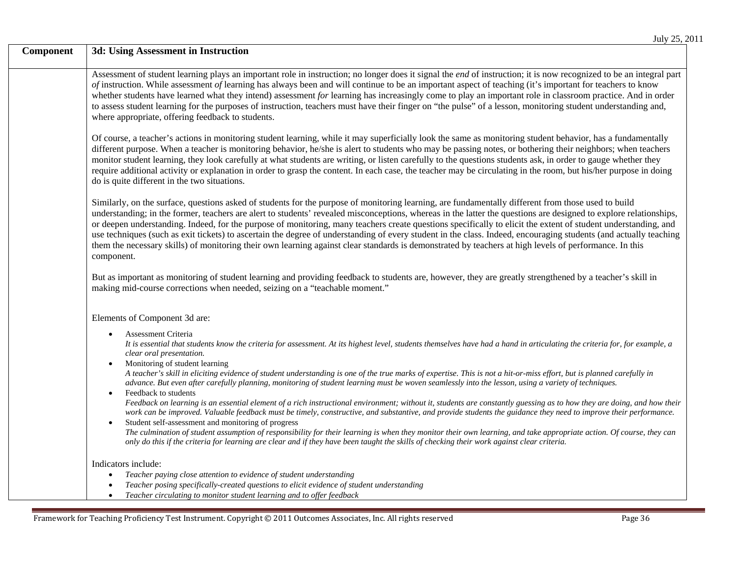|           | July 25, 2011                                                                                                                                                                                                                                                                                                                                                                                                                                                                                                                                                                                                                                                                                                                                                                                                                           |
|-----------|-----------------------------------------------------------------------------------------------------------------------------------------------------------------------------------------------------------------------------------------------------------------------------------------------------------------------------------------------------------------------------------------------------------------------------------------------------------------------------------------------------------------------------------------------------------------------------------------------------------------------------------------------------------------------------------------------------------------------------------------------------------------------------------------------------------------------------------------|
| Component | 3d: Using Assessment in Instruction                                                                                                                                                                                                                                                                                                                                                                                                                                                                                                                                                                                                                                                                                                                                                                                                     |
|           | Assessment of student learning plays an important role in instruction; no longer does it signal the end of instruction; it is now recognized to be an integral part<br>of instruction. While assessment of learning has always been and will continue to be an important aspect of teaching (it's important for teachers to know<br>whether students have learned what they intend) assessment for learning has increasingly come to play an important role in classroom practice. And in order<br>to assess student learning for the purposes of instruction, teachers must have their finger on "the pulse" of a lesson, monitoring student understanding and,<br>where appropriate, offering feedback to students.                                                                                                                   |
|           | Of course, a teacher's actions in monitoring student learning, while it may superficially look the same as monitoring student behavior, has a fundamentally<br>different purpose. When a teacher is monitoring behavior, he/she is alert to students who may be passing notes, or bothering their neighbors; when teachers<br>monitor student learning, they look carefully at what students are writing, or listen carefully to the questions students ask, in order to gauge whether they<br>require additional activity or explanation in order to grasp the content. In each case, the teacher may be circulating in the room, but his/her purpose in doing<br>do is quite different in the two situations.                                                                                                                         |
|           | Similarly, on the surface, questions asked of students for the purpose of monitoring learning, are fundamentally different from those used to build<br>understanding; in the former, teachers are alert to students' revealed misconceptions, whereas in the latter the questions are designed to explore relationships,<br>or deepen understanding. Indeed, for the purpose of monitoring, many teachers create questions specifically to elicit the extent of student understanding, and<br>use techniques (such as exit tickets) to ascertain the degree of understanding of every student in the class. Indeed, encouraging students (and actually teaching<br>them the necessary skills) of monitoring their own learning against clear standards is demonstrated by teachers at high levels of performance. In this<br>component. |
|           | But as important as monitoring of student learning and providing feedback to students are, however, they are greatly strengthened by a teacher's skill in<br>making mid-course corrections when needed, seizing on a "teachable moment."                                                                                                                                                                                                                                                                                                                                                                                                                                                                                                                                                                                                |
|           | Elements of Component 3d are:                                                                                                                                                                                                                                                                                                                                                                                                                                                                                                                                                                                                                                                                                                                                                                                                           |
|           | Assessment Criteria<br>$\bullet$<br>It is essential that students know the criteria for assessment. At its highest level, students themselves have had a hand in articulating the criteria for, for example, a<br>clear oral presentation.<br>Monitoring of student learning<br>$\bullet$                                                                                                                                                                                                                                                                                                                                                                                                                                                                                                                                               |
|           | A teacher's skill in eliciting evidence of student understanding is one of the true marks of expertise. This is not a hit-or-miss effort, but is planned carefully in<br>advance. But even after carefully planning, monitoring of student learning must be woven seamlessly into the lesson, using a variety of techniques.<br>Feedback to students<br>$\bullet$                                                                                                                                                                                                                                                                                                                                                                                                                                                                       |
|           | Feedback on learning is an essential element of a rich instructional environment; without it, students are constantly guessing as to how they are doing, and how their<br>work can be improved. Valuable feedback must be timely, constructive, and substantive, and provide students the guidance they need to improve their performance.<br>Student self-assessment and monitoring of progress<br>$\bullet$                                                                                                                                                                                                                                                                                                                                                                                                                           |
|           | The culmination of student assumption of responsibility for their learning is when they monitor their own learning, and take appropriate action. Of course, they can<br>only do this if the criteria for learning are clear and if they have been taught the skills of checking their work against clear criteria.                                                                                                                                                                                                                                                                                                                                                                                                                                                                                                                      |
|           | Indicators include:                                                                                                                                                                                                                                                                                                                                                                                                                                                                                                                                                                                                                                                                                                                                                                                                                     |
|           | Teacher paying close attention to evidence of student understanding                                                                                                                                                                                                                                                                                                                                                                                                                                                                                                                                                                                                                                                                                                                                                                     |
|           | Teacher posing specifically-created questions to elicit evidence of student understanding<br>$\bullet$<br>Teacher circulating to monitor student learning and to offer feedback<br>$\bullet$                                                                                                                                                                                                                                                                                                                                                                                                                                                                                                                                                                                                                                            |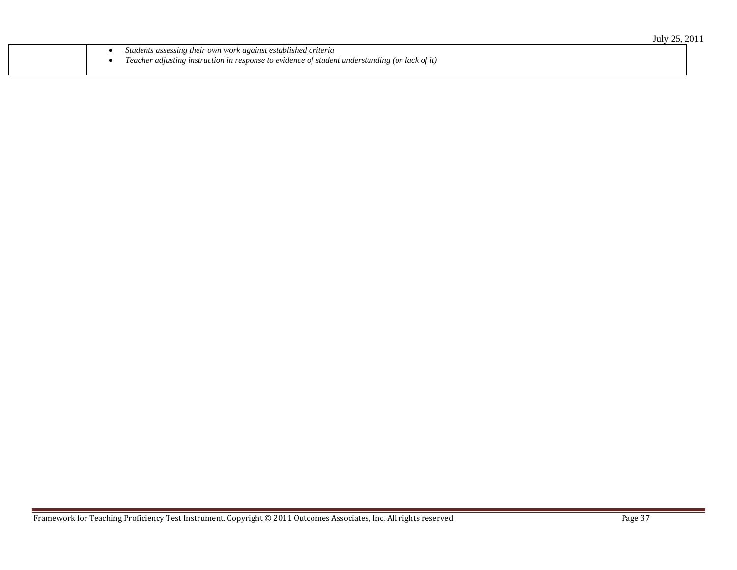| Students assessing their own work against established criteria                                 |
|------------------------------------------------------------------------------------------------|
| Teacher adjusting instruction in response to evidence of student understanding (or lack of it) |
|                                                                                                |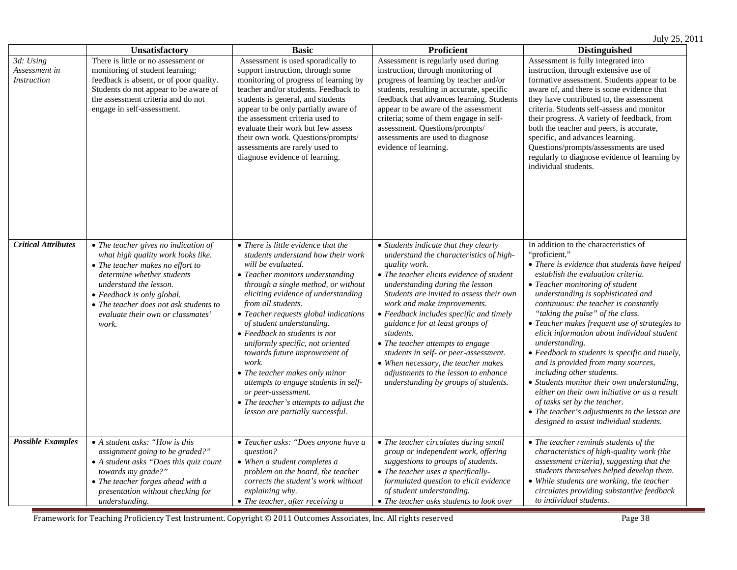|                                                  | <b>Unsatisfactory</b>                                                                                                                                                                                                                                                                        | <b>Basic</b>                                                                                                                                                                                                                                                                                                                                                                                                                                                                                                                                                                                                | Proficient                                                                                                                                                                                                                                                                                                                                                                                                                                                                                                                                                  | <b>Distinguished</b>                                                                                                                                                                                                                                                                                                                                                                                                                                                                                                                                                                                                                                                                                                                                                   |
|--------------------------------------------------|----------------------------------------------------------------------------------------------------------------------------------------------------------------------------------------------------------------------------------------------------------------------------------------------|-------------------------------------------------------------------------------------------------------------------------------------------------------------------------------------------------------------------------------------------------------------------------------------------------------------------------------------------------------------------------------------------------------------------------------------------------------------------------------------------------------------------------------------------------------------------------------------------------------------|-------------------------------------------------------------------------------------------------------------------------------------------------------------------------------------------------------------------------------------------------------------------------------------------------------------------------------------------------------------------------------------------------------------------------------------------------------------------------------------------------------------------------------------------------------------|------------------------------------------------------------------------------------------------------------------------------------------------------------------------------------------------------------------------------------------------------------------------------------------------------------------------------------------------------------------------------------------------------------------------------------------------------------------------------------------------------------------------------------------------------------------------------------------------------------------------------------------------------------------------------------------------------------------------------------------------------------------------|
| 3d: Using<br>Assessment in<br><b>Instruction</b> | There is little or no assessment or<br>monitoring of student learning;<br>feedback is absent, or of poor quality.<br>Students do not appear to be aware of<br>the assessment criteria and do not<br>engage in self-assessment.                                                               | Assessment is used sporadically to<br>support instruction, through some<br>monitoring of progress of learning by<br>teacher and/or students. Feedback to<br>students is general, and students<br>appear to be only partially aware of<br>the assessment criteria used to<br>evaluate their work but few assess<br>their own work. Questions/prompts/<br>assessments are rarely used to<br>diagnose evidence of learning.                                                                                                                                                                                    | Assessment is regularly used during<br>instruction, through monitoring of<br>progress of learning by teacher and/or<br>students, resulting in accurate, specific<br>feedback that advances learning. Students<br>appear to be aware of the assessment<br>criteria; some of them engage in self-<br>assessment. Questions/prompts/<br>assessments are used to diagnose<br>evidence of learning.                                                                                                                                                              | Assessment is fully integrated into<br>instruction, through extensive use of<br>formative assessment. Students appear to be<br>aware of, and there is some evidence that<br>they have contributed to, the assessment<br>criteria. Students self-assess and monitor<br>their progress. A variety of feedback, from<br>both the teacher and peers, is accurate,<br>specific, and advances learning.<br>Questions/prompts/assessments are used<br>regularly to diagnose evidence of learning by<br>individual students.                                                                                                                                                                                                                                                   |
| <b>Critical Attributes</b>                       | • The teacher gives no indication of<br>what high quality work looks like.<br>• The teacher makes no effort to<br>determine whether students<br>understand the lesson.<br>• Feedback is only global.<br>• The teacher does not ask students to<br>evaluate their own or classmates'<br>work. | • There is little evidence that the<br>students understand how their work<br>will be evaluated.<br>• Teacher monitors understanding<br>through a single method, or without<br>eliciting evidence of understanding<br>from all students.<br>• Teacher requests global indications<br>of student understanding.<br>• Feedback to students is not<br>uniformly specific, not oriented<br>towards future improvement of<br>work.<br>• The teacher makes only minor<br>attempts to engage students in self-<br>or peer-assessment.<br>• The teacher's attempts to adjust the<br>lesson are partially successful. | • Students indicate that they clearly<br>understand the characteristics of high-<br>quality work.<br>• The teacher elicits evidence of student<br>understanding during the lesson<br>Students are invited to assess their own<br>work and make improvements.<br>• Feedback includes specific and timely<br>guidance for at least groups of<br>students.<br>• The teacher attempts to engage<br>students in self- or peer-assessment.<br>• When necessary, the teacher makes<br>adjustments to the lesson to enhance<br>understanding by groups of students. | In addition to the characteristics of<br>"proficient,"<br>• There is evidence that students have helped<br>establish the evaluation criteria.<br>• Teacher monitoring of student<br>understanding is sophisticated and<br>continuous: the teacher is constantly<br>"taking the pulse" of the class.<br>• Teacher makes frequent use of strategies to<br>elicit information about individual student<br>understanding.<br>• Feedback to students is specific and timely,<br>and is provided from many sources,<br>including other students.<br>• Students monitor their own understanding,<br>either on their own initiative or as a result<br>of tasks set by the teacher.<br>• The teacher's adjustments to the lesson are<br>designed to assist individual students. |
| <b>Possible Examples</b>                         | • A student asks: "How is this<br>assignment going to be graded?"<br>• A student asks "Does this quiz count<br>towards my grade?"<br>$\bullet$ The teacher forges ahead with a<br>presentation without checking for<br>understanding.                                                        | • Teacher asks: "Does anyone have a<br>question?<br>• When a student completes a<br>problem on the board, the teacher<br>corrects the student's work without<br>explaining why.<br>• The teacher, after receiving a                                                                                                                                                                                                                                                                                                                                                                                         | • The teacher circulates during small<br>group or independent work, offering<br>suggestions to groups of students.<br>• The teacher uses a specifically-<br>formulated question to elicit evidence<br>of student understanding.<br>• The teacher asks students to look over                                                                                                                                                                                                                                                                                 | • The teacher reminds students of the<br>characteristics of high-quality work (the<br>assessment criteria), suggesting that the<br>students themselves helped develop them.<br>• While students are working, the teacher<br>circulates providing substantive feedback<br>to individual students.                                                                                                                                                                                                                                                                                                                                                                                                                                                                       |

Framework for Teaching Proficiency Test Instrument. Copyright © 2011 Outcomes Associates, Inc. All rights reserved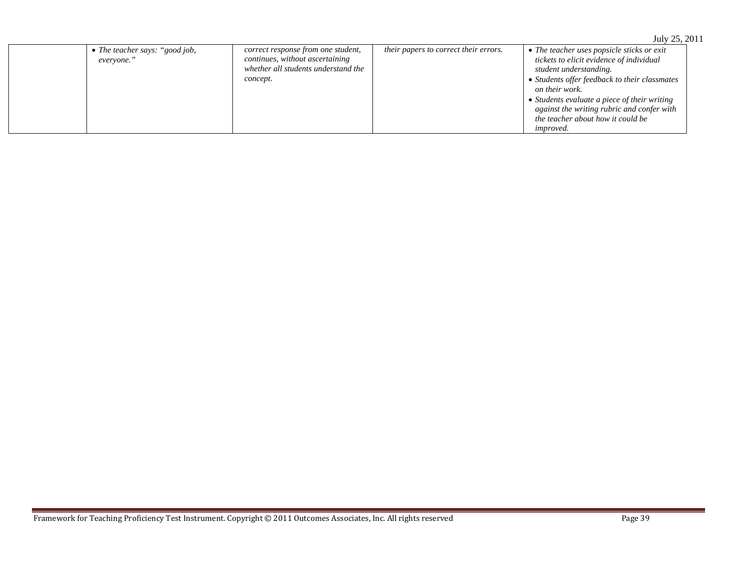|                                              |                                                                                                                          |                                       | July 25, 2011                                                                                                                                                                                                                                                                                                                              |
|----------------------------------------------|--------------------------------------------------------------------------------------------------------------------------|---------------------------------------|--------------------------------------------------------------------------------------------------------------------------------------------------------------------------------------------------------------------------------------------------------------------------------------------------------------------------------------------|
| • The teacher says: "good job,<br>everyone." | correct response from one student,<br>continues, without ascertaining<br>whether all students understand the<br>concept. | their papers to correct their errors. | • The teacher uses popsicle sticks or exit<br>tickets to elicit evidence of individual<br>student understanding.<br>• Students offer feedback to their classmates<br>on their work.<br>• Students evaluate a piece of their writing<br>against the writing rubric and confer with<br>the teacher about how it could be<br><i>improved.</i> |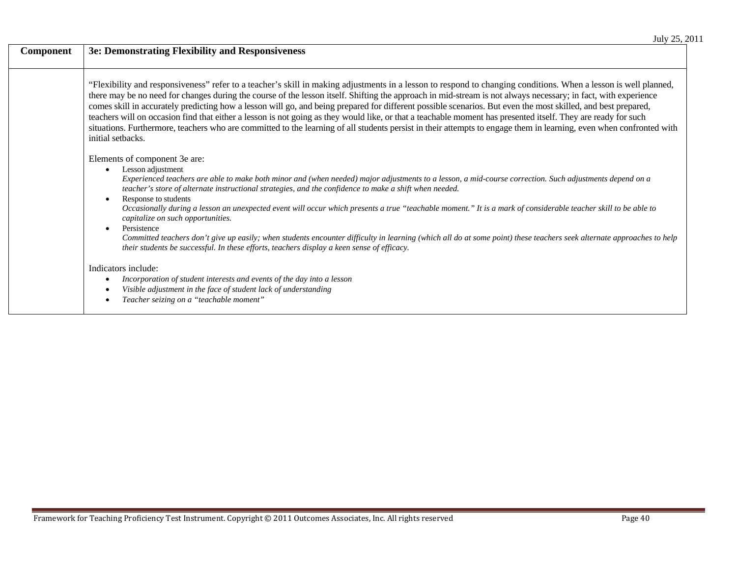|                  | July 25, 2011                                                                                                                                                                                                                                                                                                                                                                                                                                                                                                                                                                                                                                                                                                                                                                                                                                                   |
|------------------|-----------------------------------------------------------------------------------------------------------------------------------------------------------------------------------------------------------------------------------------------------------------------------------------------------------------------------------------------------------------------------------------------------------------------------------------------------------------------------------------------------------------------------------------------------------------------------------------------------------------------------------------------------------------------------------------------------------------------------------------------------------------------------------------------------------------------------------------------------------------|
| <b>Component</b> | 3e: Demonstrating Flexibility and Responsiveness                                                                                                                                                                                                                                                                                                                                                                                                                                                                                                                                                                                                                                                                                                                                                                                                                |
|                  | "Flexibility and responsiveness" refer to a teacher's skill in making adjustments in a lesson to respond to changing conditions. When a lesson is well planned,<br>there may be no need for changes during the course of the lesson itself. Shifting the approach in mid-stream is not always necessary; in fact, with experience<br>comes skill in accurately predicting how a lesson will go, and being prepared for different possible scenarios. But even the most skilled, and best prepared,<br>teachers will on occasion find that either a lesson is not going as they would like, or that a teachable moment has presented itself. They are ready for such<br>situations. Furthermore, teachers who are committed to the learning of all students persist in their attempts to engage them in learning, even when confronted with<br>initial setbacks. |
|                  | Elements of component 3e are:<br>Lesson adjustment<br>$\bullet$<br>Experienced teachers are able to make both minor and (when needed) major adjustments to a lesson, a mid-course correction. Such adjustments depend on a<br>teacher's store of alternate instructional strategies, and the confidence to make a shift when needed.<br>Response to students<br>Occasionally during a lesson an unexpected event will occur which presents a true "teachable moment." It is a mark of considerable teacher skill to be able to<br>capitalize on such opportunities.<br>Persistence<br>Committed teachers don't give up easily; when students encounter difficulty in learning (which all do at some point) these teachers seek alternate approaches to help<br>their students be successful. In these efforts, teachers display a keen sense of efficacy.       |
|                  | Indicators include:<br>Incorporation of student interests and events of the day into a lesson<br>Visible adjustment in the face of student lack of understanding<br>Teacher seizing on a "teachable moment"                                                                                                                                                                                                                                                                                                                                                                                                                                                                                                                                                                                                                                                     |

 $\mathbb{L}$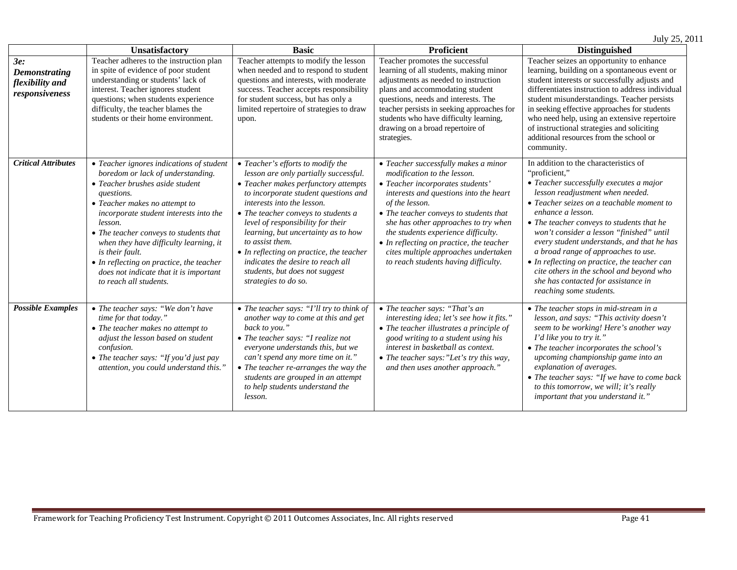|                                                                  | <b>Unsatisfactory</b>                                                                                                                                                                                                                                                                                                                                                                                                                               | <b>Basic</b>                                                                                                                                                                                                                                                                                                                                                                                                                                                              | Proficient                                                                                                                                                                                                                                                                                                                                                                                                               | <b>Distinguished</b>                                                                                                                                                                                                                                                                                                                                                                                                                                                                                                                                |
|------------------------------------------------------------------|-----------------------------------------------------------------------------------------------------------------------------------------------------------------------------------------------------------------------------------------------------------------------------------------------------------------------------------------------------------------------------------------------------------------------------------------------------|---------------------------------------------------------------------------------------------------------------------------------------------------------------------------------------------------------------------------------------------------------------------------------------------------------------------------------------------------------------------------------------------------------------------------------------------------------------------------|--------------------------------------------------------------------------------------------------------------------------------------------------------------------------------------------------------------------------------------------------------------------------------------------------------------------------------------------------------------------------------------------------------------------------|-----------------------------------------------------------------------------------------------------------------------------------------------------------------------------------------------------------------------------------------------------------------------------------------------------------------------------------------------------------------------------------------------------------------------------------------------------------------------------------------------------------------------------------------------------|
| 3e:<br><b>Demonstrating</b><br>flexibility and<br>responsiveness | Teacher adheres to the instruction plan<br>in spite of evidence of poor student<br>understanding or students' lack of<br>interest. Teacher ignores student<br>questions; when students experience<br>difficulty, the teacher blames the<br>students or their home environment.                                                                                                                                                                      | Teacher attempts to modify the lesson<br>when needed and to respond to student<br>questions and interests, with moderate<br>success. Teacher accepts responsibility<br>for student success, but has only a<br>limited repertoire of strategies to draw<br>upon.                                                                                                                                                                                                           | Teacher promotes the successful<br>learning of all students, making minor<br>adjustments as needed to instruction<br>plans and accommodating student<br>questions, needs and interests. The<br>teacher persists in seeking approaches for<br>students who have difficulty learning,<br>drawing on a broad repertoire of<br>strategies.                                                                                   | Teacher seizes an opportunity to enhance<br>learning, building on a spontaneous event or<br>student interests or successfully adjusts and<br>differentiates instruction to address individual<br>student misunderstandings. Teacher persists<br>in seeking effective approaches for students<br>who need help, using an extensive repertoire<br>of instructional strategies and soliciting<br>additional resources from the school or<br>community.                                                                                                 |
| <b>Critical Attributes</b>                                       | • Teacher ignores indications of student<br>boredom or lack of understanding.<br>• Teacher brushes aside student<br>questions.<br>• Teacher makes no attempt to<br>incorporate student interests into the<br>lesson.<br>• The teacher conveys to students that<br>when they have difficulty learning, it<br>is their fault.<br>$\bullet$ In reflecting on practice, the teacher<br>does not indicate that it is important<br>to reach all students. | • Teacher's efforts to modify the<br>lesson are only partially successful.<br>• Teacher makes perfunctory attempts<br>to incorporate student questions and<br>interests into the lesson.<br>• The teacher conveys to students a<br>level of responsibility for their<br>learning, but uncertainty as to how<br>to assist them.<br>• In reflecting on practice, the teacher<br>indicates the desire to reach all<br>students, but does not suggest<br>strategies to do so. | • Teacher successfully makes a minor<br>modification to the lesson.<br>• Teacher incorporates students'<br>interests and questions into the heart<br>of the lesson.<br>• The teacher conveys to students that<br>she has other approaches to try when<br>the students experience difficulty.<br>• In reflecting on practice, the teacher<br>cites multiple approaches undertaken<br>to reach students having difficulty. | In addition to the characteristics of<br>"proficient,"<br>• Teacher successfully executes a major<br>lesson readjustment when needed.<br>• Teacher seizes on a teachable moment to<br>enhance a lesson.<br>• The teacher conveys to students that he<br>won't consider a lesson "finished" until<br>every student understands, and that he has<br>a broad range of approaches to use.<br>• In reflecting on practice, the teacher can<br>cite others in the school and beyond who<br>she has contacted for assistance in<br>reaching some students. |
| <b>Possible Examples</b>                                         | • The teacher says: "We don't have<br>time for that today."<br>• The teacher makes no attempt to<br>adjust the lesson based on student<br>confusion.<br>• The teacher says: "If you'd just pay<br>attention, you could understand this."                                                                                                                                                                                                            | • The teacher says: "I'll try to think of<br>another way to come at this and get<br>back to you."<br>• The teacher says: "I realize not<br>everyone understands this, but we<br>can't spend any more time on it."<br>• The teacher re-arranges the way the<br>students are grouped in an attempt<br>to help students understand the<br>lesson.                                                                                                                            | • The teacher says: "That's an<br>interesting idea; let's see how it fits."<br>• The teacher illustrates a principle of<br>good writing to a student using his<br>interest in basketball as context.<br>• The teacher says: "Let's try this way,<br>and then uses another approach."                                                                                                                                     | • The teacher stops in mid-stream in a<br>lesson, and says: "This activity doesn't<br>seem to be working! Here's another way<br>I'd like you to try it."<br>• The teacher incorporates the school's<br>upcoming championship game into an<br>explanation of averages.<br>• The teacher says: "If we have to come back<br>to this tomorrow, we will; it's really<br>important that you understand it."                                                                                                                                               |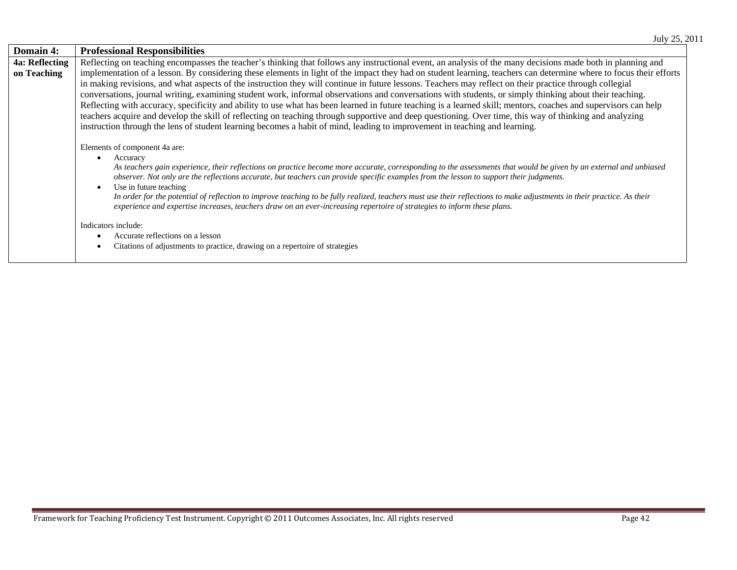| Domain 4:                     | <b>Professional Responsibilities</b>                                                                                                                                                                                                                                                                                                                                                                                                                                                                                                                                                                                                                                                                                                                                                                                                                                                                                                                                                                                                                                                                                |
|-------------------------------|---------------------------------------------------------------------------------------------------------------------------------------------------------------------------------------------------------------------------------------------------------------------------------------------------------------------------------------------------------------------------------------------------------------------------------------------------------------------------------------------------------------------------------------------------------------------------------------------------------------------------------------------------------------------------------------------------------------------------------------------------------------------------------------------------------------------------------------------------------------------------------------------------------------------------------------------------------------------------------------------------------------------------------------------------------------------------------------------------------------------|
| 4a: Reflecting<br>on Teaching | Reflecting on teaching encompasses the teacher's thinking that follows any instructional event, an analysis of the many decisions made both in planning and<br>implementation of a lesson. By considering these elements in light of the impact they had on student learning, teachers can determine where to focus their efforts<br>in making revisions, and what aspects of the instruction they will continue in future lessons. Teachers may reflect on their practice through collegial<br>conversations, journal writing, examining student work, informal observations and conversations with students, or simply thinking about their teaching.<br>Reflecting with accuracy, specificity and ability to use what has been learned in future teaching is a learned skill; mentors, coaches and supervisors can help<br>teachers acquire and develop the skill of reflecting on teaching through supportive and deep questioning. Over time, this way of thinking and analyzing<br>instruction through the lens of student learning becomes a habit of mind, leading to improvement in teaching and learning. |
|                               | Elements of component 4a are:<br>Accuracy<br>As teachers gain experience, their reflections on practice become more accurate, corresponding to the assessments that would be given by an external and unbiased<br>observer. Not only are the reflections accurate, but teachers can provide specific examples from the lesson to support their judgments.<br>Use in future teaching<br>In order for the potential of reflection to improve teaching to be fully realized, teachers must use their reflections to make adjustments in their practice. As their<br>experience and expertise increases, teachers draw on an ever-increasing repertoire of strategies to inform these plans.                                                                                                                                                                                                                                                                                                                                                                                                                            |
|                               | Indicators include:<br>Accurate reflections on a lesson<br>Citations of adjustments to practice, drawing on a repertoire of strategies                                                                                                                                                                                                                                                                                                                                                                                                                                                                                                                                                                                                                                                                                                                                                                                                                                                                                                                                                                              |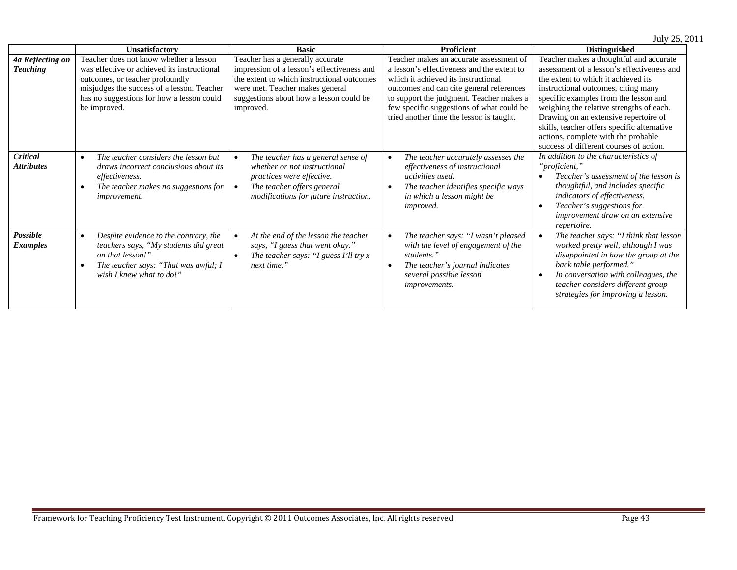|                                     |                                                                                                                                                                                                                                     |                                                                                                                                                                                                                         |                                                                                                                                                                                                                                                                                                               | July 25, 2011                                                                                                                                                                                                                                                                                                                                                                                                                      |
|-------------------------------------|-------------------------------------------------------------------------------------------------------------------------------------------------------------------------------------------------------------------------------------|-------------------------------------------------------------------------------------------------------------------------------------------------------------------------------------------------------------------------|---------------------------------------------------------------------------------------------------------------------------------------------------------------------------------------------------------------------------------------------------------------------------------------------------------------|------------------------------------------------------------------------------------------------------------------------------------------------------------------------------------------------------------------------------------------------------------------------------------------------------------------------------------------------------------------------------------------------------------------------------------|
|                                     | Unsatisfactory                                                                                                                                                                                                                      | <b>Basic</b>                                                                                                                                                                                                            | <b>Proficient</b>                                                                                                                                                                                                                                                                                             | <b>Distinguished</b>                                                                                                                                                                                                                                                                                                                                                                                                               |
| 4a Reflecting on<br><b>Teaching</b> | Teacher does not know whether a lesson<br>was effective or achieved its instructional<br>outcomes, or teacher profoundly<br>misjudges the success of a lesson. Teacher<br>has no suggestions for how a lesson could<br>be improved. | Teacher has a generally accurate<br>impression of a lesson's effectiveness and<br>the extent to which instructional outcomes<br>were met. Teacher makes general<br>suggestions about how a lesson could be<br>improved. | Teacher makes an accurate assessment of<br>a lesson's effectiveness and the extent to<br>which it achieved its instructional<br>outcomes and can cite general references<br>to support the judgment. Teacher makes a<br>few specific suggestions of what could be<br>tried another time the lesson is taught. | Teacher makes a thoughtful and accurate<br>assessment of a lesson's effectiveness and<br>the extent to which it achieved its<br>instructional outcomes, citing many<br>specific examples from the lesson and<br>weighing the relative strengths of each.<br>Drawing on an extensive repertoire of<br>skills, teacher offers specific alternative<br>actions, complete with the probable<br>success of different courses of action. |
| Critical<br><b>Attributes</b>       | The teacher considers the lesson but<br>draws incorrect conclusions about its<br>effectiveness.<br>The teacher makes no suggestions for<br><i>improvement.</i>                                                                      | The teacher has a general sense of<br>$\bullet$<br>whether or not instructional<br>practices were effective.<br>The teacher offers general<br>$\bullet$<br>modifications for future instruction.                        | The teacher accurately assesses the<br>effectiveness of instructional<br><i>activities used.</i><br>The teacher identifies specific ways<br>in which a lesson might be<br><i>improved.</i>                                                                                                                    | In addition to the characteristics of<br>" <i>proficient</i> ,"<br>Teacher's assessment of the lesson is<br>thoughtful, and includes specific<br>indicators of effectiveness.<br>Teacher's suggestions for<br>improvement draw on an extensive<br>repertoire.                                                                                                                                                                      |
| <b>Possible</b><br><i>Examples</i>  | Despite evidence to the contrary, the<br>teachers says, "My students did great<br>on that lesson!"<br>The teacher says: "That was awful; I<br>wish I knew what to do!"                                                              | At the end of the lesson the teacher<br>$\bullet$<br>says, "I guess that went okay."<br>The teacher says: "I guess I'll try $x$<br>$\bullet$<br>next time."                                                             | The teacher says: "I wasn't pleased<br>with the level of engagement of the<br>students."<br>The teacher's journal indicates<br>several possible lesson<br><i>improvements.</i>                                                                                                                                | The teacher says: "I think that lesson<br>worked pretty well, although I was<br>disappointed in how the group at the<br>back table performed."<br>In conversation with colleagues, the<br>teacher considers different group<br>strategies for improving a lesson.                                                                                                                                                                  |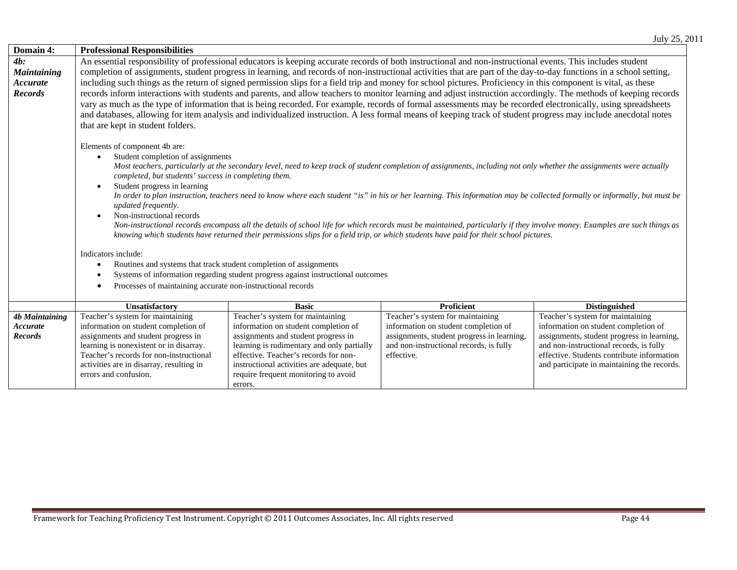| Domain 4:                                               | <b>Professional Responsibilities</b>                                                                                                                                                                                                                                                                                                                                                                                                                                                                                                                                                                                                                                                                                                                                                                                                                                                                                                                                                                                                              |                                                                                                                                                                                                                                                      |                                                                                                                                                                                 |                                                                                                                                                                                                                                                                |  |  |  |  |
|---------------------------------------------------------|---------------------------------------------------------------------------------------------------------------------------------------------------------------------------------------------------------------------------------------------------------------------------------------------------------------------------------------------------------------------------------------------------------------------------------------------------------------------------------------------------------------------------------------------------------------------------------------------------------------------------------------------------------------------------------------------------------------------------------------------------------------------------------------------------------------------------------------------------------------------------------------------------------------------------------------------------------------------------------------------------------------------------------------------------|------------------------------------------------------------------------------------------------------------------------------------------------------------------------------------------------------------------------------------------------------|---------------------------------------------------------------------------------------------------------------------------------------------------------------------------------|----------------------------------------------------------------------------------------------------------------------------------------------------------------------------------------------------------------------------------------------------------------|--|--|--|--|
| 4b:<br><b>Maintaining</b><br>Accurate<br><b>Records</b> | An essential responsibility of professional educators is keeping accurate records of both instructional and non-instructional events. This includes student<br>completion of assignments, student progress in learning, and records of non-instructional activities that are part of the day-to-day functions in a school setting,<br>including such things as the return of signed permission slips for a field trip and money for school pictures. Proficiency in this component is vital, as these<br>records inform interactions with students and parents, and allow teachers to monitor learning and adjust instruction accordingly. The methods of keeping records<br>vary as much as the type of information that is being recorded. For example, records of formal assessments may be recorded electronically, using spreadsheets<br>and databases, allowing for item analysis and individualized instruction. A less formal means of keeping track of student progress may include anecdotal notes<br>that are kept in student folders. |                                                                                                                                                                                                                                                      |                                                                                                                                                                                 |                                                                                                                                                                                                                                                                |  |  |  |  |
|                                                         | Elements of component 4b are:<br>Student completion of assignments<br>Most teachers, particularly at the secondary level, need to keep track of student completion of assignments, including not only whether the assignments were actually<br>completed, but students' success in completing them.<br>Student progress in learning<br>In order to plan instruction, teachers need to know where each student "is" in his or her learning. This information may be collected formally or informally, but must be<br>updated frequently.<br>Non-instructional records<br>Non-instructional records encompass all the details of school life for which records must be maintained, particularly if they involve money. Examples are such things as<br>knowing which students have returned their permissions slips for a field trip, or which students have paid for their school pictures.                                                                                                                                                         |                                                                                                                                                                                                                                                      |                                                                                                                                                                                 |                                                                                                                                                                                                                                                                |  |  |  |  |
|                                                         | Indicators include:<br>Routines and systems that track student completion of assignments<br>Systems of information regarding student progress against instructional outcomes<br>Processes of maintaining accurate non-instructional records                                                                                                                                                                                                                                                                                                                                                                                                                                                                                                                                                                                                                                                                                                                                                                                                       |                                                                                                                                                                                                                                                      |                                                                                                                                                                                 |                                                                                                                                                                                                                                                                |  |  |  |  |
|                                                         | Unsatisfactory                                                                                                                                                                                                                                                                                                                                                                                                                                                                                                                                                                                                                                                                                                                                                                                                                                                                                                                                                                                                                                    | <b>Basic</b>                                                                                                                                                                                                                                         | Proficient                                                                                                                                                                      | <b>Distinguished</b>                                                                                                                                                                                                                                           |  |  |  |  |
| <b>4b Maintaining</b><br>Accurate<br><b>Records</b>     | Teacher's system for maintaining<br>information on student completion of<br>assignments and student progress in<br>learning is nonexistent or in disarray.<br>Teacher's records for non-instructional<br>activities are in disarray, resulting in                                                                                                                                                                                                                                                                                                                                                                                                                                                                                                                                                                                                                                                                                                                                                                                                 | Teacher's system for maintaining<br>information on student completion of<br>assignments and student progress in<br>learning is rudimentary and only partially<br>effective. Teacher's records for non-<br>instructional activities are adequate, but | Teacher's system for maintaining<br>information on student completion of<br>assignments, student progress in learning,<br>and non-instructional records, is fully<br>effective. | Teacher's system for maintaining<br>information on student completion of<br>assignments, student progress in learning,<br>and non-instructional records, is fully<br>effective. Students contribute information<br>and participate in maintaining the records. |  |  |  |  |
|                                                         | errors and confusion.                                                                                                                                                                                                                                                                                                                                                                                                                                                                                                                                                                                                                                                                                                                                                                                                                                                                                                                                                                                                                             | require frequent monitoring to avoid<br>errors.                                                                                                                                                                                                      |                                                                                                                                                                                 |                                                                                                                                                                                                                                                                |  |  |  |  |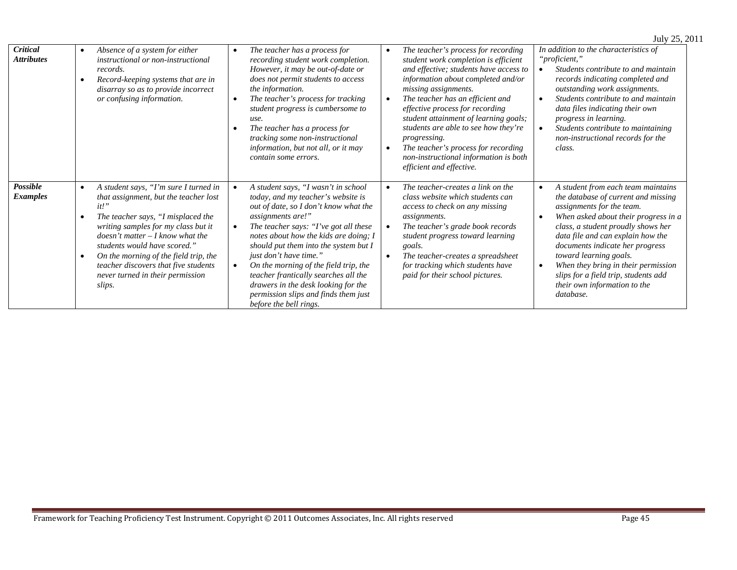|                               |                                                                                                                                                                                                                                                                                                                                                                        |                                                                                                                                                                                                                                                                                                                                                                                                                                                                                                                               |                                                                                                                                                                                                                                                                                                                                                                                                                                                                                | July 25, 2011                                                                                                                                                                                                                                                                                                                                                                                                      |
|-------------------------------|------------------------------------------------------------------------------------------------------------------------------------------------------------------------------------------------------------------------------------------------------------------------------------------------------------------------------------------------------------------------|-------------------------------------------------------------------------------------------------------------------------------------------------------------------------------------------------------------------------------------------------------------------------------------------------------------------------------------------------------------------------------------------------------------------------------------------------------------------------------------------------------------------------------|--------------------------------------------------------------------------------------------------------------------------------------------------------------------------------------------------------------------------------------------------------------------------------------------------------------------------------------------------------------------------------------------------------------------------------------------------------------------------------|--------------------------------------------------------------------------------------------------------------------------------------------------------------------------------------------------------------------------------------------------------------------------------------------------------------------------------------------------------------------------------------------------------------------|
| Critical<br><b>Attributes</b> | Absence of a system for either<br>instructional or non-instructional<br>records.<br>Record-keeping systems that are in<br>disarray so as to provide incorrect<br>or confusing information.                                                                                                                                                                             | The teacher has a process for<br>$\bullet$<br>recording student work completion.<br>However, it may be out-of-date or<br>does not permit students to access<br>the information.<br>The teacher's process for tracking<br>$\bullet$<br>student progress is cumbersome to<br>use.<br>The teacher has a process for<br>tracking some non-instructional<br>information, but not all, or it may<br>contain some errors.                                                                                                            | The teacher's process for recording<br>student work completion is efficient<br>and effective; students have access to<br>information about completed and/or<br>missing assignments.<br>The teacher has an efficient and<br>effective process for recording<br>student attainment of learning goals;<br>students are able to see how they're<br><i>progressing.</i><br>The teacher's process for recording<br>non-instructional information is both<br>efficient and effective. | In addition to the characteristics of<br>"proficient,"<br>Students contribute to and maintain<br>records indicating completed and<br>outstanding work assignments.<br>Students contribute to and maintain<br>data files indicating their own<br>progress in learning.<br>Students contribute to maintaining<br>non-instructional records for the<br>class.                                                         |
| Possible<br><b>Examples</b>   | A student says, "I'm sure I turned in<br>that assignment, but the teacher lost<br>it'<br>The teacher says, "I misplaced the<br>writing samples for my class but it<br>$does n't matter-I know what the$<br>students would have scored."<br>On the morning of the field trip, the<br>teacher discovers that five students<br>never turned in their permission<br>slips. | A student says, "I wasn't in school<br>$\bullet$<br>today, and my teacher's website is<br>out of date, so I don't know what the<br>assignments are!"<br>The teacher says: "I've got all these<br>$\bullet$<br>notes about how the kids are doing; I<br>should put them into the system but I<br>just don't have time."<br>On the morning of the field trip, the<br>$\bullet$<br>teacher frantically searches all the<br>drawers in the desk looking for the<br>permission slips and finds them just<br>before the bell rings. | The teacher-creates a link on the<br>class website which students can<br>access to check on any missing<br><i>assignments.</i><br>The teacher's grade book records<br>student progress toward learning<br>goals.<br>The teacher-creates a spreadsheet<br>for tracking which students have<br>paid for their school pictures.                                                                                                                                                   | A student from each team maintains<br>the database of current and missing<br>assignments for the team.<br>When asked about their progress in a<br>class, a student proudly shows her<br>data file and can explain how the<br>documents indicate her progress<br>toward learning goals.<br>When they bring in their permission<br>slips for a field trip, students add<br>their own information to the<br>database. |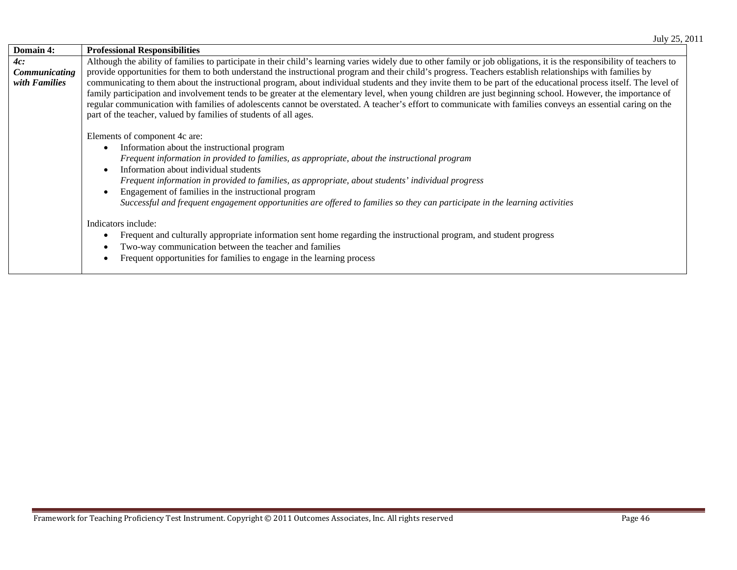| Domain 4:            | <b>Professional Responsibilities</b>                                                                                                                                    |
|----------------------|-------------------------------------------------------------------------------------------------------------------------------------------------------------------------|
| 4c:                  | Although the ability of families to participate in their child's learning varies widely due to other family or job obligations, it is the responsibility of teachers to |
| <b>Communicating</b> | provide opportunities for them to both understand the instructional program and their child's progress. Teachers establish relationships with families by               |
| with Families        | communicating to them about the instructional program, about individual students and they invite them to be part of the educational process itself. The level of        |
|                      | family participation and involvement tends to be greater at the elementary level, when young children are just beginning school. However, the importance of             |
|                      | regular communication with families of adolescents cannot be overstated. A teacher's effort to communicate with families conveys an essential caring on the             |
|                      | part of the teacher, valued by families of students of all ages.                                                                                                        |
|                      |                                                                                                                                                                         |
|                      |                                                                                                                                                                         |
|                      | Elements of component 4c are:                                                                                                                                           |
|                      | Information about the instructional program                                                                                                                             |
|                      | Frequent information in provided to families, as appropriate, about the instructional program                                                                           |
|                      | Information about individual students                                                                                                                                   |
|                      | Frequent information in provided to families, as appropriate, about students' individual progress                                                                       |
|                      | Engagement of families in the instructional program                                                                                                                     |
|                      | Successful and frequent engagement opportunities are offered to families so they can participate in the learning activities                                             |
|                      |                                                                                                                                                                         |
|                      | Indicators include:                                                                                                                                                     |
|                      |                                                                                                                                                                         |
|                      | Frequent and culturally appropriate information sent home regarding the instructional program, and student progress                                                     |
|                      | Two-way communication between the teacher and families                                                                                                                  |
|                      | Frequent opportunities for families to engage in the learning process                                                                                                   |
|                      |                                                                                                                                                                         |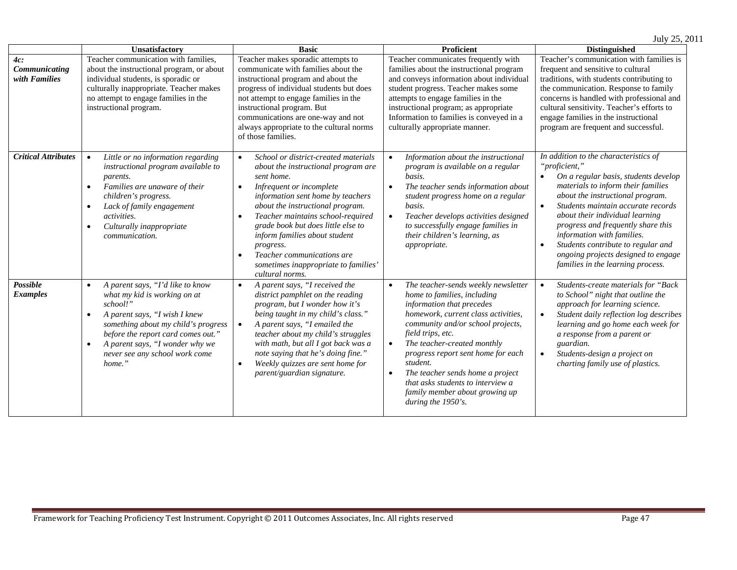|                                       | Unsatisfactory                                                                                                                                                                                                                                                                                                   | <b>Basic</b>                                                                                                                                                                                                                                                                                                                                                                                                                  | Proficient                                                                                                                                                                                                                                                                                                                                                                                                                                                | $\cdots$<br><b>Distinguished</b>                                                                                                                                                                                                                                                                                                                                                                                                                                               |
|---------------------------------------|------------------------------------------------------------------------------------------------------------------------------------------------------------------------------------------------------------------------------------------------------------------------------------------------------------------|-------------------------------------------------------------------------------------------------------------------------------------------------------------------------------------------------------------------------------------------------------------------------------------------------------------------------------------------------------------------------------------------------------------------------------|-----------------------------------------------------------------------------------------------------------------------------------------------------------------------------------------------------------------------------------------------------------------------------------------------------------------------------------------------------------------------------------------------------------------------------------------------------------|--------------------------------------------------------------------------------------------------------------------------------------------------------------------------------------------------------------------------------------------------------------------------------------------------------------------------------------------------------------------------------------------------------------------------------------------------------------------------------|
| 4c:<br>Communicating<br>with Families | Teacher communication with families,<br>about the instructional program, or about<br>individual students, is sporadic or<br>culturally inappropriate. Teacher makes<br>no attempt to engage families in the<br>instructional program.                                                                            | Teacher makes sporadic attempts to<br>communicate with families about the<br>instructional program and about the<br>progress of individual students but does<br>not attempt to engage families in the<br>instructional program. But<br>communications are one-way and not<br>always appropriate to the cultural norms<br>of those families.                                                                                   | Teacher communicates frequently with<br>families about the instructional program<br>and conveys information about individual<br>student progress. Teacher makes some<br>attempts to engage families in the<br>instructional program; as appropriate<br>Information to families is conveyed in a<br>culturally appropriate manner.                                                                                                                         | Teacher's communication with families is<br>frequent and sensitive to cultural<br>traditions, with students contributing to<br>the communication. Response to family<br>concerns is handled with professional and<br>cultural sensitivity. Teacher's efforts to<br>engage families in the instructional<br>program are frequent and successful.                                                                                                                                |
| <b>Critical Attributes</b>            | Little or no information regarding<br>instructional program available to<br>parents.<br>Families are unaware of their<br>$\bullet$<br>children's progress.<br>Lack of family engagement<br>$\bullet$<br>activities.<br>Culturally inappropriate<br>$\bullet$<br>communication.                                   | School or district-created materials<br>about the instructional program are<br>sent home.<br>Infrequent or incomplete<br>$\bullet$<br>information sent home by teachers<br>about the instructional program.<br>Teacher maintains school-required<br>grade book but does little else to<br>inform families about student<br>progress.<br>Teacher communications are<br>sometimes inappropriate to families'<br>cultural norms. | Information about the instructional<br>$\bullet$<br>program is available on a regular<br>basis.<br>The teacher sends information about<br>$\bullet$<br>student progress home on a regular<br>basis.<br>Teacher develops activities designed<br>$\bullet$<br>to successfully engage families in<br>their children's learning, as<br>appropriate.                                                                                                           | In addition to the characteristics of<br>"proficient,"<br>On a regular basis, students develop<br>$\bullet$<br>materials to inform their families<br>about the instructional program.<br>Students maintain accurate records<br>$\bullet$<br>about their individual learning<br>progress and frequently share this<br>information with families.<br>Students contribute to regular and<br>$\bullet$<br>ongoing projects designed to engage<br>families in the learning process. |
| Possible<br><b>Examples</b>           | A parent says, "I'd like to know<br>$\bullet$<br>what my kid is working on at<br>school!"<br>A parent says, "I wish I knew<br>$\bullet$<br>something about my child's progress<br>before the report card comes out."<br>A parent says, "I wonder why we<br>$\bullet$<br>never see any school work come<br>home." | A parent says, "I received the<br>$\bullet$<br>district pamphlet on the reading<br>program, but I wonder how it's<br>being taught in my child's class."<br>A parent says, "I emailed the<br>$\bullet$<br>teacher about my child's struggles<br>with math, but all I got back was a<br>note saying that he's doing fine."<br>Weekly quizzes are sent home for<br>$\bullet$<br>parent/guardian signature.                       | The teacher-sends weekly newsletter<br>$\bullet$<br>home to families, including<br>information that precedes<br>homework, current class activities,<br>community and/or school projects,<br>field trips, etc.<br>The teacher-created monthly<br>$\bullet$<br>progress report sent home for each<br>student.<br>The teacher sends home a project<br>$\bullet$<br>that asks students to interview a<br>family member about growing up<br>during the 1950's. | Students-create materials for "Back<br>to School" night that outline the<br>approach for learning science.<br>Student daily reflection log describes<br>$\bullet$<br>learning and go home each week for<br>a response from a parent or<br>guardian.<br>Students-design a project on<br>$\bullet$<br>charting family use of plastics.                                                                                                                                           |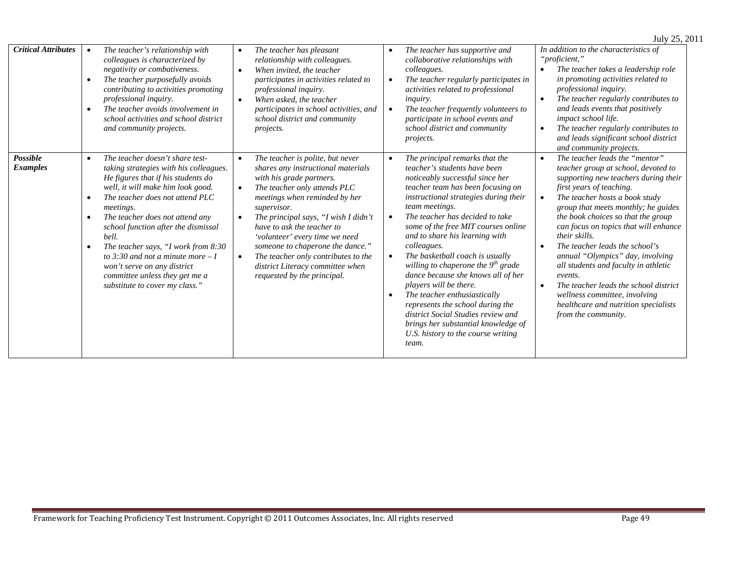|                             |                                                  |                                                                                                                                                                                                                                                                                                                                                                                                                                                                         |                                     |                                                                                                                                                                                                                                                                                                                                                                                                                                          |           |                                                                                                                                                                                                                                                                                                                                                                                                                                                                                                                                                                                                                                                                            |                                                  | July 25, 2011                                                                                                                                                                                                                                                                                                                                                                                                                                                                                                                                                                        |
|-----------------------------|--------------------------------------------------|-------------------------------------------------------------------------------------------------------------------------------------------------------------------------------------------------------------------------------------------------------------------------------------------------------------------------------------------------------------------------------------------------------------------------------------------------------------------------|-------------------------------------|------------------------------------------------------------------------------------------------------------------------------------------------------------------------------------------------------------------------------------------------------------------------------------------------------------------------------------------------------------------------------------------------------------------------------------------|-----------|----------------------------------------------------------------------------------------------------------------------------------------------------------------------------------------------------------------------------------------------------------------------------------------------------------------------------------------------------------------------------------------------------------------------------------------------------------------------------------------------------------------------------------------------------------------------------------------------------------------------------------------------------------------------------|--------------------------------------------------|--------------------------------------------------------------------------------------------------------------------------------------------------------------------------------------------------------------------------------------------------------------------------------------------------------------------------------------------------------------------------------------------------------------------------------------------------------------------------------------------------------------------------------------------------------------------------------------|
| <b>Critical Attributes</b>  | $\bullet$<br>$\bullet$                           | The teacher's relationship with<br>colleagues is characterized by<br>negativity or combativeness.<br>The teacher purposefully avoids<br>contributing to activities promoting<br>professional inquiry.<br>The teacher avoids involvement in<br>school activities and school district<br>and community projects.                                                                                                                                                          | $\bullet$<br>$\bullet$<br>$\bullet$ | The teacher has pleasant<br>relationship with colleagues.<br>When invited, the teacher<br>participates in activities related to<br>professional inquiry.<br>When asked, the teacher<br>participates in school activities, and<br>school district and community<br><i>projects.</i>                                                                                                                                                       | $\bullet$ | The teacher has supportive and<br>collaborative relationships with<br>colleagues.<br>The teacher regularly participates in<br>activities related to professional<br><i>inquiry.</i><br>The teacher frequently volunteers to<br>participate in school events and<br>school district and community<br><i>projects.</i>                                                                                                                                                                                                                                                                                                                                                       | $\bullet$<br>$\bullet$                           | In addition to the characteristics of<br>" <i>proficient</i> ,"<br>The teacher takes a leadership role<br>in promoting activities related to<br>professional inquiry.<br>The teacher regularly contributes to<br>and leads events that positively<br>impact school life.<br>The teacher regularly contributes to<br>and leads significant school district<br>and community projects.                                                                                                                                                                                                 |
| Possible<br><i>Examples</i> | $\bullet$<br>$\bullet$<br>$\bullet$<br>$\bullet$ | The teacher doesn't share test-<br>taking strategies with his colleagues.<br>He figures that if his students do<br>well, it will make him look good.<br>The teacher does not attend PLC<br>meetings.<br>The teacher does not attend any<br>school function after the dismissal<br>bell.<br>The teacher says, "I work from 8:30<br>to 3:30 and not a minute more $-I$<br>won't serve on any district<br>committee unless they get me a<br>substitute to cover my class.' | $\bullet$<br>$\bullet$<br>$\bullet$ | The teacher is polite, but never<br>shares any instructional materials<br>with his grade partners.<br>The teacher only attends PLC<br>meetings when reminded by her<br>supervisor.<br>The principal says, "I wish I didn't<br>have to ask the teacher to<br>'volunteer' every time we need<br>someone to chaperone the dance."<br>The teacher only contributes to the<br>district Literacy committee when<br>requested by the principal. |           | The principal remarks that the<br>teacher's students have been<br>noticeably successful since her<br>teacher team has been focusing on<br>instructional strategies during their<br>team meetings.<br>The teacher has decided to take<br>some of the free MIT courses online<br>and to share his learning with<br>colleagues.<br>The basketball coach is usually<br>willing to chaperone the $9^{th}$ grade<br>dance because she knows all of her<br>players will be there.<br>The teacher enthusiastically<br>represents the school during the<br>district Social Studies review and<br>brings her substantial knowledge of<br>U.S. history to the course writing<br>team. | $\bullet$<br>$\bullet$<br>$\bullet$<br>$\bullet$ | The teacher leads the "mentor"<br>teacher group at school, devoted to<br>supporting new teachers during their<br>first years of teaching.<br>The teacher hosts a book study<br>group that meets monthly; he guides<br>the book choices so that the group<br>can focus on topics that will enhance<br>their skills.<br>The teacher leads the school's<br>annual "Olympics" day, involving<br>all students and faculty in athletic<br>events.<br>The teacher leads the school district<br>wellness committee, involving<br>healthcare and nutrition specialists<br>from the community. |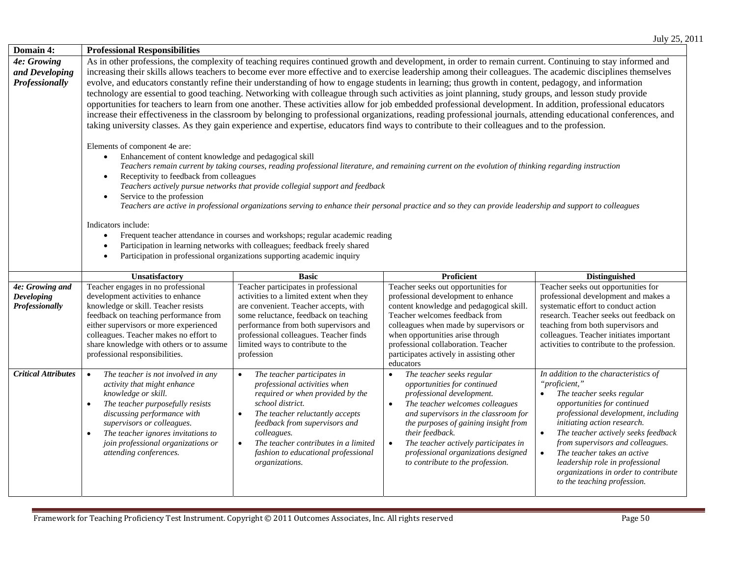| Domain 4:                                              | <b>Professional Responsibilities</b>                                                                                                                                                                                                                                                                                                                                                                                                                                                                                                                                                                                                                                                                                                                                                                                                                                                                                                                                                                                                                                                                                                                              |                                                                                                                                                                                                                                                                                                                                   |                                                                                                                                                                                                                                                                                                                                                                                       |                                                                                                                                                                                                                                                                                                                                                                                                                                                     |  |  |
|--------------------------------------------------------|-------------------------------------------------------------------------------------------------------------------------------------------------------------------------------------------------------------------------------------------------------------------------------------------------------------------------------------------------------------------------------------------------------------------------------------------------------------------------------------------------------------------------------------------------------------------------------------------------------------------------------------------------------------------------------------------------------------------------------------------------------------------------------------------------------------------------------------------------------------------------------------------------------------------------------------------------------------------------------------------------------------------------------------------------------------------------------------------------------------------------------------------------------------------|-----------------------------------------------------------------------------------------------------------------------------------------------------------------------------------------------------------------------------------------------------------------------------------------------------------------------------------|---------------------------------------------------------------------------------------------------------------------------------------------------------------------------------------------------------------------------------------------------------------------------------------------------------------------------------------------------------------------------------------|-----------------------------------------------------------------------------------------------------------------------------------------------------------------------------------------------------------------------------------------------------------------------------------------------------------------------------------------------------------------------------------------------------------------------------------------------------|--|--|
| 4e: Growing<br>and Developing<br>Professionally        | As in other professions, the complexity of teaching requires continued growth and development, in order to remain current. Continuing to stay informed and<br>increasing their skills allows teachers to become ever more effective and to exercise leadership among their colleagues. The academic disciplines themselves<br>evolve, and educators constantly refine their understanding of how to engage students in learning; thus growth in content, pedagogy, and information<br>technology are essential to good teaching. Networking with colleague through such activities as joint planning, study groups, and lesson study provide<br>opportunities for teachers to learn from one another. These activities allow for job embedded professional development. In addition, professional educators<br>increase their effectiveness in the classroom by belonging to professional organizations, reading professional journals, attending educational conferences, and<br>taking university classes. As they gain experience and expertise, educators find ways to contribute to their colleagues and to the profession.<br>Elements of component 4e are: |                                                                                                                                                                                                                                                                                                                                   |                                                                                                                                                                                                                                                                                                                                                                                       |                                                                                                                                                                                                                                                                                                                                                                                                                                                     |  |  |
|                                                        | Enhancement of content knowledge and pedagogical skill<br>$\bullet$<br>Teachers remain current by taking courses, reading professional literature, and remaining current on the evolution of thinking regarding instruction<br>Receptivity to feedback from colleagues<br>Teachers actively pursue networks that provide collegial support and feedback<br>Service to the profession<br>$\bullet$<br>Teachers are active in professional organizations serving to enhance their personal practice and so they can provide leadership and support to colleagues                                                                                                                                                                                                                                                                                                                                                                                                                                                                                                                                                                                                    |                                                                                                                                                                                                                                                                                                                                   |                                                                                                                                                                                                                                                                                                                                                                                       |                                                                                                                                                                                                                                                                                                                                                                                                                                                     |  |  |
|                                                        | Indicators include:<br>Frequent teacher attendance in courses and workshops; regular academic reading<br>$\bullet$<br>Participation in learning networks with colleagues; feedback freely shared<br>Participation in professional organizations supporting academic inquiry                                                                                                                                                                                                                                                                                                                                                                                                                                                                                                                                                                                                                                                                                                                                                                                                                                                                                       |                                                                                                                                                                                                                                                                                                                                   |                                                                                                                                                                                                                                                                                                                                                                                       |                                                                                                                                                                                                                                                                                                                                                                                                                                                     |  |  |
|                                                        | Unsatisfactory                                                                                                                                                                                                                                                                                                                                                                                                                                                                                                                                                                                                                                                                                                                                                                                                                                                                                                                                                                                                                                                                                                                                                    | <b>Basic</b>                                                                                                                                                                                                                                                                                                                      | Proficient                                                                                                                                                                                                                                                                                                                                                                            | <b>Distinguished</b>                                                                                                                                                                                                                                                                                                                                                                                                                                |  |  |
| 4e: Growing and<br><b>Developing</b><br>Professionally | Teacher engages in no professional<br>development activities to enhance<br>knowledge or skill. Teacher resists<br>feedback on teaching performance from<br>either supervisors or more experienced<br>colleagues. Teacher makes no effort to<br>share knowledge with others or to assume<br>professional responsibilities.                                                                                                                                                                                                                                                                                                                                                                                                                                                                                                                                                                                                                                                                                                                                                                                                                                         | Teacher participates in professional<br>activities to a limited extent when they<br>are convenient. Teacher accepts, with<br>some reluctance, feedback on teaching<br>performance from both supervisors and<br>professional colleagues. Teacher finds<br>limited ways to contribute to the<br>profession                          | Teacher seeks out opportunities for<br>professional development to enhance<br>content knowledge and pedagogical skill.<br>Teacher welcomes feedback from<br>colleagues when made by supervisors or<br>when opportunities arise through<br>professional collaboration. Teacher<br>participates actively in assisting other<br>educators                                                | Teacher seeks out opportunities for<br>professional development and makes a<br>systematic effort to conduct action<br>research. Teacher seeks out feedback on<br>teaching from both supervisors and<br>colleagues. Teacher initiates important<br>activities to contribute to the profession.                                                                                                                                                       |  |  |
| <b>Critical Attributes</b>                             | The teacher is not involved in any<br>$\bullet$<br>activity that might enhance<br>knowledge or skill.<br>The teacher purposefully resists<br>$\bullet$<br>discussing performance with<br>supervisors or colleagues.<br>The teacher ignores invitations to<br>$\bullet$<br>join professional organizations or<br>attending conferences.                                                                                                                                                                                                                                                                                                                                                                                                                                                                                                                                                                                                                                                                                                                                                                                                                            | The teacher participates in<br>professional activities when<br>required or when provided by the<br>school district.<br>The teacher reluctantly accepts<br>$\bullet$<br>feedback from supervisors and<br>colleagues.<br>The teacher contributes in a limited<br>$\bullet$<br>fashion to educational professional<br>organizations. | The teacher seeks regular<br>$\bullet$<br>opportunities for continued<br>professional development.<br>$\bullet$<br>The teacher welcomes colleagues<br>and supervisors in the classroom for<br>the purposes of gaining insight from<br>their feedback.<br>The teacher actively participates in<br>$\bullet$<br>professional organizations designed<br>to contribute to the profession. | In addition to the characteristics of<br>"proficient,"<br>The teacher seeks regular<br>$\bullet$<br>opportunities for continued<br>professional development, including<br>initiating action research.<br>The teacher actively seeks feedback<br>$\bullet$<br>from supervisors and colleagues.<br>The teacher takes an active<br>$\bullet$<br>leadership role in professional<br>organizations in order to contribute<br>to the teaching profession. |  |  |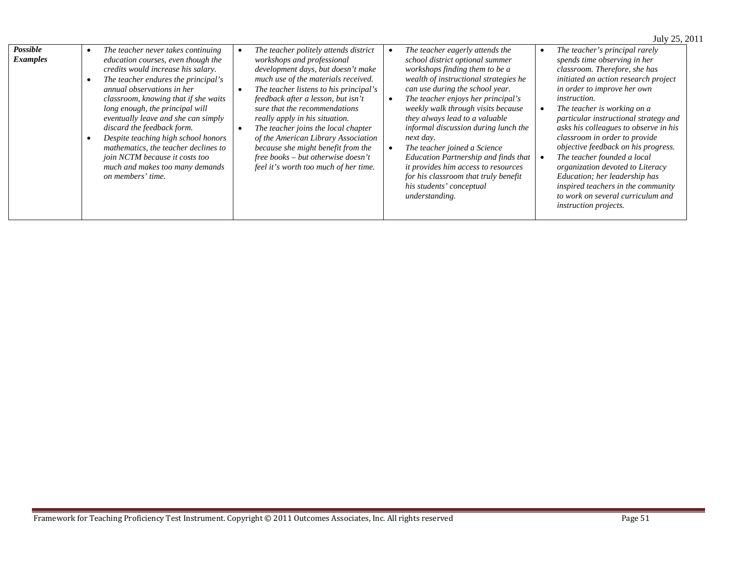|                             |                                                                                                                                                                                                                                                                                                                                                                                                                                                                                                                     |                                                                                                                                                                                                                                                                                                                                                                                                                                                                                                                                                                                                                                                                                                                                                                                                                                                                                                                                                                                                                                                                             | $J^{\mu}$ $\mu$ $\mu$ $\mu$ $\mu$                                                                                                                                                                                                                                                                                                                                                                                                                                                                                                                                                                     |
|-----------------------------|---------------------------------------------------------------------------------------------------------------------------------------------------------------------------------------------------------------------------------------------------------------------------------------------------------------------------------------------------------------------------------------------------------------------------------------------------------------------------------------------------------------------|-----------------------------------------------------------------------------------------------------------------------------------------------------------------------------------------------------------------------------------------------------------------------------------------------------------------------------------------------------------------------------------------------------------------------------------------------------------------------------------------------------------------------------------------------------------------------------------------------------------------------------------------------------------------------------------------------------------------------------------------------------------------------------------------------------------------------------------------------------------------------------------------------------------------------------------------------------------------------------------------------------------------------------------------------------------------------------|-------------------------------------------------------------------------------------------------------------------------------------------------------------------------------------------------------------------------------------------------------------------------------------------------------------------------------------------------------------------------------------------------------------------------------------------------------------------------------------------------------------------------------------------------------------------------------------------------------|
| Possible<br><b>Examples</b> | The teacher never takes continuing<br>education courses, even though the<br>credits would increase his salary.<br>The teacher endures the principal's<br><i>annual observations in her</i><br>classroom, knowing that if she waits<br>long enough, the principal will<br>eventually leave and she can simply<br>discard the feedback form.<br>Despite teaching high school honors<br>mathematics, the teacher declines to<br>join NCTM because it costs too<br>much and makes too many demands<br>on members' time. | The teacher politely attends district<br>The teacher eagerly attends the<br>workshops and professional<br>school district optional summer<br>development days, but doesn't make<br>workshops finding them to be a<br>much use of the materials received.<br>wealth of instructional strategies he<br>can use during the school year.<br>The teacher listens to his principal's<br>feedback after a lesson, but isn't<br>The teacher enjoys her principal's<br>weekly walk through visits because<br>sure that the recommendations<br>they always lead to a valuable<br>really apply in his situation.<br>informal discussion during lunch the<br>The teacher joins the local chapter<br>of the American Library Association<br>next day.<br>because she might benefit from the<br>The teacher joined a Science<br>free books $-$ but otherwise doesn't<br><b>Education Partnership and finds that</b><br>feel it's worth too much of her time.<br>it provides him access to resources<br>for his classroom that truly benefit<br>his students' conceptual<br>understanding. | The teacher's principal rarely<br>spends time observing in her<br>classroom. Therefore, she has<br>initiated an action research project<br>in order to improve her own<br><i>instruction.</i><br>The teacher is working on a<br>particular instructional strategy and<br>asks his colleagues to observe in his<br>classroom in order to provide<br>objective feedback on his progress.<br>The teacher founded a local<br>organization devoted to Literacy<br>Education; her leadership has<br>inspired teachers in the community<br>to work on several curriculum and<br><i>instruction projects.</i> |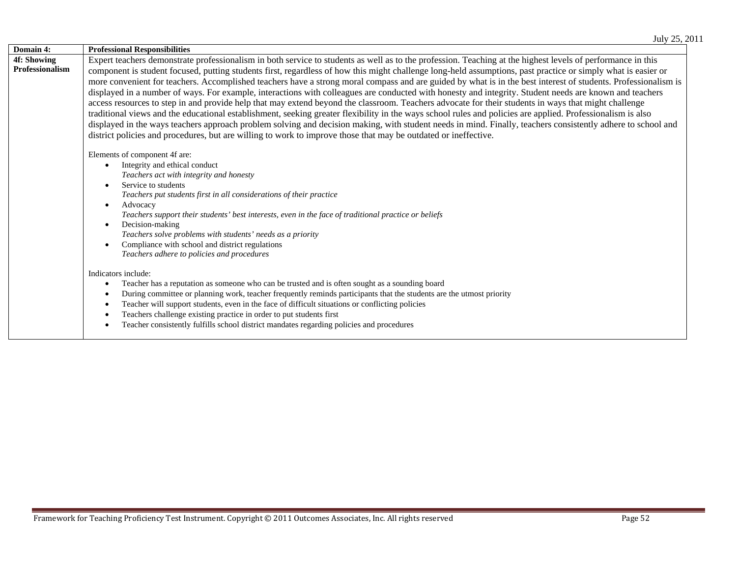| Domain 4:       | <b>Professional Responsibilities</b>                                                                                                                           |  |  |  |  |  |  |
|-----------------|----------------------------------------------------------------------------------------------------------------------------------------------------------------|--|--|--|--|--|--|
| 4f: Showing     | Expert teachers demonstrate professionalism in both service to students as well as to the profession. Teaching at the highest levels of performance in this    |  |  |  |  |  |  |
| Professionalism | component is student focused, putting students first, regardless of how this might challenge long-held assumptions, past practice or simply what is easier or  |  |  |  |  |  |  |
|                 | more convenient for teachers. Accomplished teachers have a strong moral compass and are guided by what is in the best interest of students. Professionalism is |  |  |  |  |  |  |
|                 | displayed in a number of ways. For example, interactions with colleagues are conducted with honesty and integrity. Student needs are known and teachers        |  |  |  |  |  |  |
|                 | access resources to step in and provide help that may extend beyond the classroom. Teachers advocate for their students in ways that might challenge           |  |  |  |  |  |  |
|                 | traditional views and the educational establishment, seeking greater flexibility in the ways school rules and policies are applied. Professionalism is also    |  |  |  |  |  |  |
|                 | displayed in the ways teachers approach problem solving and decision making, with student needs in mind. Finally, teachers consistently adhere to school and   |  |  |  |  |  |  |
|                 | district policies and procedures, but are willing to work to improve those that may be outdated or ineffective.                                                |  |  |  |  |  |  |
|                 |                                                                                                                                                                |  |  |  |  |  |  |
|                 | Elements of component 4f are:                                                                                                                                  |  |  |  |  |  |  |
|                 | Integrity and ethical conduct                                                                                                                                  |  |  |  |  |  |  |
|                 | Teachers act with integrity and honesty                                                                                                                        |  |  |  |  |  |  |
|                 | Service to students<br>٠                                                                                                                                       |  |  |  |  |  |  |
|                 | Teachers put students first in all considerations of their practice                                                                                            |  |  |  |  |  |  |
|                 | Advocacy<br>Teachers support their students' best interests, even in the face of traditional practice or beliefs                                               |  |  |  |  |  |  |
|                 | Decision-making<br>$\bullet$                                                                                                                                   |  |  |  |  |  |  |
|                 | Teachers solve problems with students' needs as a priority                                                                                                     |  |  |  |  |  |  |
|                 | Compliance with school and district regulations                                                                                                                |  |  |  |  |  |  |
|                 | Teachers adhere to policies and procedures                                                                                                                     |  |  |  |  |  |  |
|                 |                                                                                                                                                                |  |  |  |  |  |  |
|                 | Indicators include:                                                                                                                                            |  |  |  |  |  |  |
|                 | Teacher has a reputation as someone who can be trusted and is often sought as a sounding board                                                                 |  |  |  |  |  |  |
|                 | During committee or planning work, teacher frequently reminds participants that the students are the utmost priority                                           |  |  |  |  |  |  |
|                 | Teacher will support students, even in the face of difficult situations or conflicting policies                                                                |  |  |  |  |  |  |
|                 | Teachers challenge existing practice in order to put students first                                                                                            |  |  |  |  |  |  |
|                 | Teacher consistently fulfills school district mandates regarding policies and procedures                                                                       |  |  |  |  |  |  |
|                 |                                                                                                                                                                |  |  |  |  |  |  |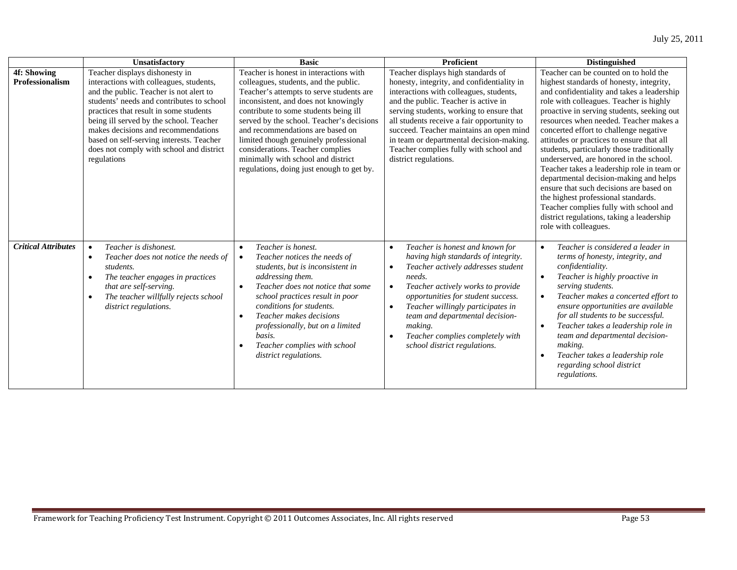|                                       | Unsatisfactory                                                                                                                                                                                                                                                                                                                                                                                       | <b>Basic</b>                                                                                                                                                                                                                                                                                                                                                                                                                                                  | <b>Proficient</b>                                                                                                                                                                                                                                                                                                                                                                                                         | <b>Distinguished</b>                                                                                                                                                                                                                                                                                                                                                                                                                                                                                                                                                                                                                                                                                                                         |
|---------------------------------------|------------------------------------------------------------------------------------------------------------------------------------------------------------------------------------------------------------------------------------------------------------------------------------------------------------------------------------------------------------------------------------------------------|---------------------------------------------------------------------------------------------------------------------------------------------------------------------------------------------------------------------------------------------------------------------------------------------------------------------------------------------------------------------------------------------------------------------------------------------------------------|---------------------------------------------------------------------------------------------------------------------------------------------------------------------------------------------------------------------------------------------------------------------------------------------------------------------------------------------------------------------------------------------------------------------------|----------------------------------------------------------------------------------------------------------------------------------------------------------------------------------------------------------------------------------------------------------------------------------------------------------------------------------------------------------------------------------------------------------------------------------------------------------------------------------------------------------------------------------------------------------------------------------------------------------------------------------------------------------------------------------------------------------------------------------------------|
| 4f: Showing<br><b>Professionalism</b> | Teacher displays dishonesty in<br>interactions with colleagues, students,<br>and the public. Teacher is not alert to<br>students' needs and contributes to school<br>practices that result in some students<br>being ill served by the school. Teacher<br>makes decisions and recommendations<br>based on self-serving interests. Teacher<br>does not comply with school and district<br>regulations | Teacher is honest in interactions with<br>colleagues, students, and the public.<br>Teacher's attempts to serve students are<br>inconsistent, and does not knowingly<br>contribute to some students being ill<br>served by the school. Teacher's decisions<br>and recommendations are based on<br>limited though genuinely professional<br>considerations. Teacher complies<br>minimally with school and district<br>regulations, doing just enough to get by. | Teacher displays high standards of<br>honesty, integrity, and confidentiality in<br>interactions with colleagues, students,<br>and the public. Teacher is active in<br>serving students, working to ensure that<br>all students receive a fair opportunity to<br>succeed. Teacher maintains an open mind<br>in team or departmental decision-making.<br>Teacher complies fully with school and<br>district regulations.   | Teacher can be counted on to hold the<br>highest standards of honesty, integrity,<br>and confidentiality and takes a leadership<br>role with colleagues. Teacher is highly<br>proactive in serving students, seeking out<br>resources when needed. Teacher makes a<br>concerted effort to challenge negative<br>attitudes or practices to ensure that all<br>students, particularly those traditionally<br>underserved, are honored in the school.<br>Teacher takes a leadership role in team or<br>departmental decision-making and helps<br>ensure that such decisions are based on<br>the highest professional standards.<br>Teacher complies fully with school and<br>district regulations, taking a leadership<br>role with colleagues. |
| <b>Critical Attributes</b>            | Teacher is dishonest.<br>Teacher does not notice the needs of<br>$\bullet$<br>students.<br>The teacher engages in practices<br>$\bullet$<br>that are self-serving.<br>The teacher willfully rejects school<br>$\bullet$<br>district regulations.                                                                                                                                                     | Teacher is honest.<br>Teacher notices the needs of<br>students, but is inconsistent in<br>addressing them.<br>Teacher does not notice that some<br>$\bullet$<br>school practices result in poor<br>conditions for students.<br>Teacher makes decisions<br>$\bullet$<br>professionally, but on a limited<br>basis.<br>Teacher complies with school<br>district regulations.                                                                                    | Teacher is honest and known for<br>$\bullet$<br>having high standards of integrity.<br>Teacher actively addresses student<br>$\bullet$<br>needs.<br>Teacher actively works to provide<br>$\bullet$<br>opportunities for student success.<br>Teacher willingly participates in<br>$\bullet$<br>team and departmental decision-<br>making.<br>Teacher complies completely with<br>$\bullet$<br>school district regulations. | Teacher is considered a leader in<br>terms of honesty, integrity, and<br>confidentiality.<br>Teacher is highly proactive in<br>$\bullet$<br>serving students.<br>Teacher makes a concerted effort to<br>$\bullet$<br>ensure opportunities are available<br>for all students to be successful.<br>Teacher takes a leadership role in<br>$\bullet$<br>team and departmental decision-<br>making.<br>Teacher takes a leadership role<br>$\bullet$<br>regarding school district<br>regulations.                                                                                                                                                                                                                                                  |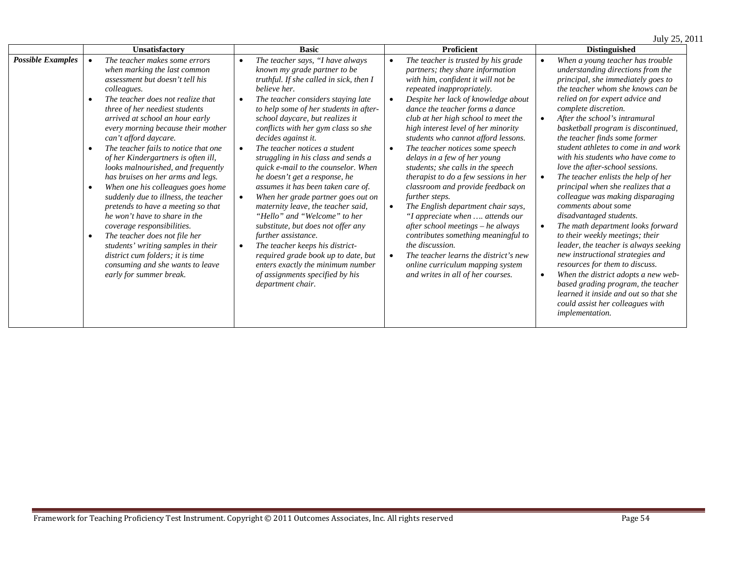|                          | Unsatisfactory                                                                                                                                                                                                                                                                                                                                                                                                                                                                                                                                                                                                                                                                                                                                                                                                 | <b>Basic</b>                                                                                                                                                                                                                                                                                                                                                                                                                                                                                                                                                                                                                                                                                                                                                                                                                                                                                           | <b>Proficient</b>                                                                                                                                                                                                                                                                                                                                                                                                                                                                                                                                                                                                                                                                                                                                                                                                                           | $J^{\mu}$ , $\omega$ , $\omega$<br><b>Distinguished</b>                                                                                                                                                                                                                                                                                                                                                                                                                                                                                                                                                                                                                                                                                                                                                                                                                                                                                                                                                                                 |
|--------------------------|----------------------------------------------------------------------------------------------------------------------------------------------------------------------------------------------------------------------------------------------------------------------------------------------------------------------------------------------------------------------------------------------------------------------------------------------------------------------------------------------------------------------------------------------------------------------------------------------------------------------------------------------------------------------------------------------------------------------------------------------------------------------------------------------------------------|--------------------------------------------------------------------------------------------------------------------------------------------------------------------------------------------------------------------------------------------------------------------------------------------------------------------------------------------------------------------------------------------------------------------------------------------------------------------------------------------------------------------------------------------------------------------------------------------------------------------------------------------------------------------------------------------------------------------------------------------------------------------------------------------------------------------------------------------------------------------------------------------------------|---------------------------------------------------------------------------------------------------------------------------------------------------------------------------------------------------------------------------------------------------------------------------------------------------------------------------------------------------------------------------------------------------------------------------------------------------------------------------------------------------------------------------------------------------------------------------------------------------------------------------------------------------------------------------------------------------------------------------------------------------------------------------------------------------------------------------------------------|-----------------------------------------------------------------------------------------------------------------------------------------------------------------------------------------------------------------------------------------------------------------------------------------------------------------------------------------------------------------------------------------------------------------------------------------------------------------------------------------------------------------------------------------------------------------------------------------------------------------------------------------------------------------------------------------------------------------------------------------------------------------------------------------------------------------------------------------------------------------------------------------------------------------------------------------------------------------------------------------------------------------------------------------|
| <b>Possible Examples</b> | The teacher makes some errors<br>when marking the last common<br>assessment but doesn't tell his<br>colleagues.<br>The teacher does not realize that<br>three of her neediest students<br>arrived at school an hour early<br>every morning because their mother<br>can't afford daycare.<br>The teacher fails to notice that one<br>of her Kindergartners is often ill,<br>looks malnourished, and frequently<br>has bruises on her arms and legs.<br>When one his colleagues goes home<br>suddenly due to illness, the teacher<br>pretends to have a meeting so that<br>he won't have to share in the<br>coverage responsibilities.<br>The teacher does not file her<br>students' writing samples in their<br>district cum folders; it is time<br>consuming and she wants to leave<br>early for summer break. | The teacher says, "I have always<br>$\bullet$<br>known my grade partner to be<br>truthful. If she called in sick, then I<br>believe her.<br>The teacher considers staying late<br>$\bullet$<br>to help some of her students in after-<br>school daycare, but realizes it<br>conflicts with her gym class so she<br>decides against it.<br>The teacher notices a student<br>$\bullet$<br>struggling in his class and sends a<br>quick e-mail to the counselor. When<br>he doesn't get a response, he<br>assumes it has been taken care of.<br>When her grade partner goes out on<br>maternity leave, the teacher said,<br>"Hello" and "Welcome" to her<br>substitute, but does not offer any<br>further assistance.<br>The teacher keeps his district-<br>$\bullet$<br>required grade book up to date, but<br>enters exactly the minimum number<br>of assignments specified by his<br>department chair. | The teacher is trusted by his grade<br>partners; they share information<br>with him, confident it will not be<br>repeated inappropriately.<br>Despite her lack of knowledge about<br>dance the teacher forms a dance<br>club at her high school to meet the<br>high interest level of her minority<br>students who cannot afford lessons.<br>The teacher notices some speech<br>delays in a few of her young<br>students; she calls in the speech<br>therapist to do a few sessions in her<br>classroom and provide feedback on<br>further steps.<br>The English department chair says,<br>"I appreciate when  attends our<br>after school meetings - he always<br>contributes something meaningful to<br>the discussion.<br>The teacher learns the district's new<br>online curriculum mapping system<br>and writes in all of her courses. | When a young teacher has trouble<br>$\bullet$<br>understanding directions from the<br>principal, she immediately goes to<br>the teacher whom she knows can be<br>relied on for expert advice and<br>complete discretion.<br>After the school's intramural<br>$\bullet$<br>basketball program is discontinued,<br>the teacher finds some former<br>student athletes to come in and work<br>with his students who have come to<br>love the after-school sessions.<br>The teacher enlists the help of her<br>$\bullet$<br>principal when she realizes that a<br>colleague was making disparaging<br>comments about some<br>disadvantaged students.<br>The math department looks forward<br>to their weekly meetings; their<br>leader, the teacher is always seeking<br>new instructional strategies and<br>resources for them to discuss.<br>When the district adopts a new web-<br>$\bullet$<br>based grading program, the teacher<br>learned it inside and out so that she<br>could assist her colleagues with<br><i>implementation.</i> |